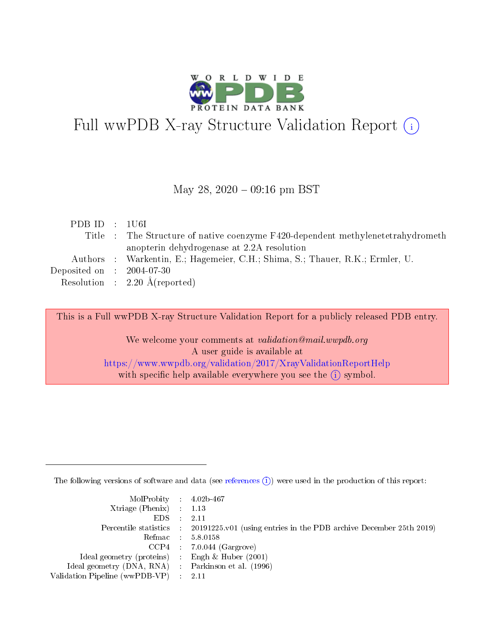

# Full wwPDB X-ray Structure Validation Report (i)

### May 28,  $2020 - 09:16$  pm BST

| PDBID : 1U6I |                                                                                 |
|--------------|---------------------------------------------------------------------------------|
|              | Title : The Structure of native coenzyme F420-dependent methylenetetrahydrometh |
|              | anopterin dehydrogenase at 2.2A resolution                                      |
|              | Authors : Warkentin, E.; Hagemeier, C.H.; Shima, S.; Thauer, R.K.; Ermler, U.   |
|              | Deposited on $\,$ : 2004-07-30 $\,$                                             |
|              | Resolution : $2.20 \text{ Å}$ (reported)                                        |

This is a Full wwPDB X-ray Structure Validation Report for a publicly released PDB entry.

We welcome your comments at validation@mail.wwpdb.org A user guide is available at <https://www.wwpdb.org/validation/2017/XrayValidationReportHelp> with specific help available everywhere you see the  $(i)$  symbol.

The following versions of software and data (see [references](https://www.wwpdb.org/validation/2017/XrayValidationReportHelp#references)  $(i)$ ) were used in the production of this report:

| MolProbity : 4.02b-467                              |                                                                                            |
|-----------------------------------------------------|--------------------------------------------------------------------------------------------|
| $Xtriangle (Phenix)$ : 1.13                         |                                                                                            |
| $EDS = 2.11$                                        |                                                                                            |
|                                                     | Percentile statistics : 20191225.v01 (using entries in the PDB archive December 25th 2019) |
|                                                     | Refmac : 5.8.0158                                                                          |
|                                                     | $CCP4$ : 7.0.044 (Gargrove)                                                                |
| Ideal geometry (proteins) : Engh $\&$ Huber (2001)  |                                                                                            |
| Ideal geometry (DNA, RNA) : Parkinson et al. (1996) |                                                                                            |
| Validation Pipeline (wwPDB-VP) : 2.11               |                                                                                            |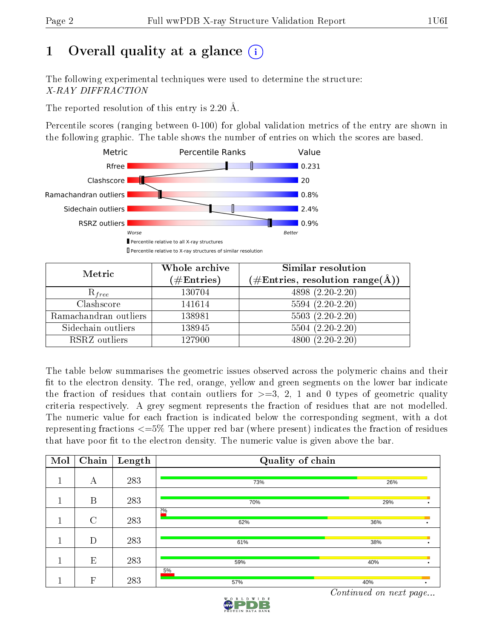# 1 [O](https://www.wwpdb.org/validation/2017/XrayValidationReportHelp#overall_quality)verall quality at a glance  $(i)$

The following experimental techniques were used to determine the structure: X-RAY DIFFRACTION

The reported resolution of this entry is 2.20 Å.

Percentile scores (ranging between 0-100) for global validation metrics of the entry are shown in the following graphic. The table shows the number of entries on which the scores are based.



| Metric                | Whole archive<br>$(\#\mathrm{Entries})$ | Similar resolution<br>$(\#\text{Entries},\, \text{resolution}\; \text{range}(\textup{\AA}))$ |
|-----------------------|-----------------------------------------|----------------------------------------------------------------------------------------------|
| $R_{free}$            | 130704                                  | 4898 (2.20-2.20)                                                                             |
| Clashscore            | 141614                                  | $5594(2.20-2.20)$                                                                            |
| Ramachandran outliers | 138981                                  | $5503 (2.20-2.20)$                                                                           |
| Sidechain outliers    | 138945                                  | $5504(2.20-2.20)$                                                                            |
| RSRZ outliers         | 127900                                  | $4800(2.20-2.20)$                                                                            |

The table below summarises the geometric issues observed across the polymeric chains and their fit to the electron density. The red, orange, yellow and green segments on the lower bar indicate the fraction of residues that contain outliers for  $>=3, 2, 1$  and 0 types of geometric quality criteria respectively. A grey segment represents the fraction of residues that are not modelled. The numeric value for each fraction is indicated below the corresponding segment, with a dot representing fractions  $\epsilon=5\%$  The upper red bar (where present) indicates the fraction of residues that have poor fit to the electron density. The numeric value is given above the bar.

| Mol | Chain   | Length | Quality of chain |     |  |
|-----|---------|--------|------------------|-----|--|
|     | А       | 283    | 73%              | 26% |  |
|     | B       | 283    | 70%              | 29% |  |
|     | $\rm C$ | 283    | 20/0<br>62%      | 36% |  |
|     | D       | 283    | 61%              | 38% |  |
|     | E       | 283    | 59%              | 40% |  |
|     | F       | 283    | 5%<br>57%        | 40% |  |

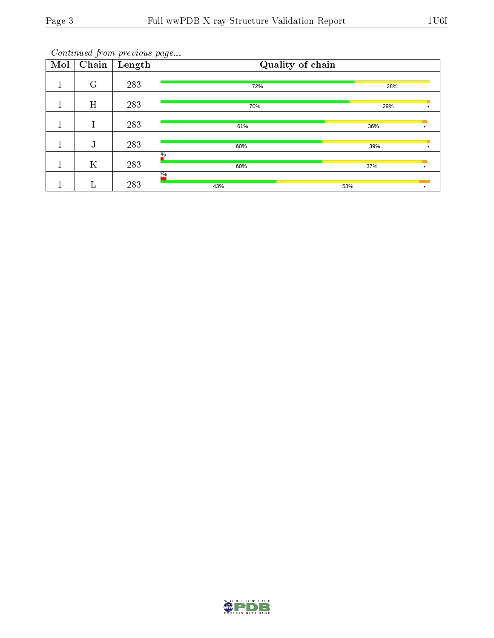| Mol | $\overline{\text{Chain}}$ | Length | Quality of chain |     |  |  |
|-----|---------------------------|--------|------------------|-----|--|--|
|     | $\mathbf G$               | 283    | 72%              | 28% |  |  |
|     | H                         | 283    | 70%              | 29% |  |  |
|     | Т                         | 283    | 61%              | 36% |  |  |
|     | т<br>J                    | 283    | 60%              | 39% |  |  |
|     | $\rm K$                   | 283    | $\%$<br>60%      | 37% |  |  |
|     |                           | 283    | 20/0<br>43%      | 53% |  |  |

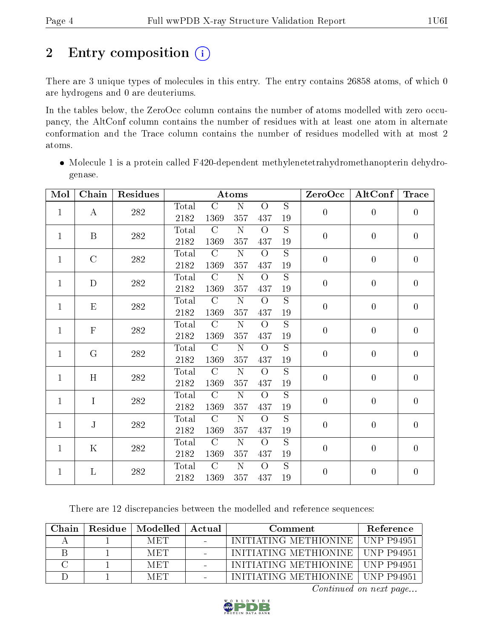# 2 Entry composition (i)

There are 3 unique types of molecules in this entry. The entry contains 26858 atoms, of which 0 are hydrogens and 0 are deuteriums.

In the tables below, the ZeroOcc column contains the number of atoms modelled with zero occupancy, the AltConf column contains the number of residues with at least one atom in alternate conformation and the Trace column contains the number of residues modelled with at most 2 atoms.

• Molecule 1 is a protein called F420-dependent methylenetetrahydromethanopterin dehydrogenase.

| Mol          | Chain         | Residues     |                |               | Atoms              |                |                | ZeroOcc          | $\rm AltConf$  | <b>Trace</b>   |
|--------------|---------------|--------------|----------------|---------------|--------------------|----------------|----------------|------------------|----------------|----------------|
|              |               |              | Total          | $\mathcal{C}$ | $\mathbf N$        | $\overline{O}$ | S              |                  |                |                |
| $\mathbf{1}$ | A             | 282          | 2182           | 1369          | 357                | 437            | 19             | $\boldsymbol{0}$ | $\theta$       | $\overline{0}$ |
| $\mathbf{1}$ | B             |              | Total          | $\mathcal{C}$ | $\mathbf N$        | $\overline{O}$ | $\overline{S}$ | $\theta$         | $\overline{0}$ | $\overline{0}$ |
|              |               | 282          | 2182           | 1369          | 357                | 437            | 19             |                  |                |                |
| $\mathbf{1}$ | $\mathcal{C}$ | 282          | Total          | $\mathcal{C}$ | $\mathbf N$        | $\overline{O}$ | $\overline{S}$ | $\overline{0}$   | $\overline{0}$ | $\overline{0}$ |
|              |               |              | 2182           | 1369          | 357                | 437            | 19             |                  |                |                |
| $\mathbf{1}$ | D             | $282\,$      | Total          | $\mathcal{C}$ | $\mathbf N$        | $\overline{O}$ | $\overline{S}$ | $\overline{0}$   | $\theta$       | $\overline{0}$ |
|              |               |              | 2182           | 1369          | 357                | 437            | $19\,$         |                  |                |                |
| $\mathbf{1}$ | $E_{\rm}$     | 282          | Total          | $\mathcal{C}$ | N                  | $\overline{O}$ | $\overline{S}$ | $\overline{0}$   | $\theta$       | $\overline{0}$ |
|              |               |              | 2182           | 1369          | 357                | 437            | 19             |                  |                |                |
| $\mathbf{1}$ | $\mathbf{F}$  | 282          | Total          | $\mathcal{C}$ | ${\bf N}$          | $\overline{O}$ | $\overline{S}$ | $\overline{0}$   | $\theta$       | $\overline{0}$ |
|              |               |              | 2182           | 1369          | 357                | 437            | $19\,$         |                  |                |                |
| $\mathbf{1}$ | G             | 282          | Total          | $\mathcal{C}$ | $\mathbf N$        | $\overline{O}$ | S              | $\overline{0}$   | $\theta$       | $\overline{0}$ |
|              |               |              | 2182           | 1369          | 357                | 437            | 19             |                  |                |                |
| $\mathbf{1}$ | H             | $282\,$      | Total          | $\mathcal{C}$ | ${\bf N}$          | $\overline{O}$ | $\overline{S}$ | $\overline{0}$   | $\theta$       | $\overline{0}$ |
|              |               |              | 2182           | 1369          | 357                | 437            | $19\,$         |                  |                |                |
| $\mathbf{1}$ | $\mathbf I$   | 282          | Total          | $\mathcal{C}$ | N                  | $\Omega$       | S              | $\boldsymbol{0}$ | $\overline{0}$ | $\overline{0}$ |
|              |               |              | 2182           | 1369          | 357                | 437            | 19             |                  |                |                |
| $\mathbf{1}$ | $\mathbf{J}$  | $28\sqrt{2}$ | $\text{Total}$ | $\mathcal{C}$ | ${\bf N}$          | $\Omega$       | $\overline{S}$ | $\overline{0}$   | $\theta$       | $\overline{0}$ |
|              |               |              | 2182           | 1369          | 357                | 437            | $19\,$         |                  |                |                |
| $\mathbf{1}$ | $\rm K$       | 282          | Total          | $\mathcal{C}$ | $\mathbf N$        | $\Omega$       | $\overline{S}$ | $\boldsymbol{0}$ | $\overline{0}$ | $\overline{0}$ |
|              |               |              | 2182           | 1369          | 357                | 437            | $19\,$         |                  |                |                |
| $\mathbf{1}$ | L             | 282          | Total          | $\mathcal{C}$ | $\overline{\rm N}$ | $\overline{O}$ | $\overline{S}$ | $\boldsymbol{0}$ | $\overline{0}$ | $\overline{0}$ |
|              |               |              | 2182           | 1369          | 357                | 437            | $19\,$         |                  |                |                |

There are 12 discrepancies between the modelled and reference sequences:

| Chain. | Residue   Modelled | Actual | Comment                            | <b>Reference</b> |
|--------|--------------------|--------|------------------------------------|------------------|
|        | MET.               |        | INITIATING METHIONINE   UNP P94951 |                  |
|        | <b>MET</b>         |        | INITIATING METHIONINE LUNP P94951  |                  |
|        | <b>MET</b>         |        | INITIATING METHIONINE   UNP P94951 |                  |
|        | <b>MET</b>         |        | INITIATING METHIONINE   UNP P94951 |                  |

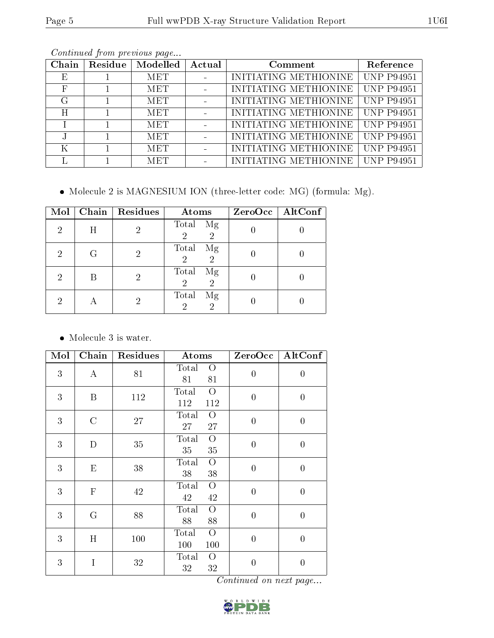| Chain | Residue | Modelled   | Actual | Comment               | Reference         |
|-------|---------|------------|--------|-----------------------|-------------------|
| E,    |         | <b>MET</b> |        | INITIATING METHIONINE | <b>UNP P94951</b> |
| F     |         | <b>MET</b> |        | INITIATING METHIONINE | <b>UNP P94951</b> |
| G     |         | <b>MET</b> |        | INITIATING METHIONINE | <b>UNP P94951</b> |
| H     |         | MET        |        | INITIATING METHIONINE | <b>UNP P94951</b> |
|       |         | <b>MET</b> |        | INITIATING METHIONINE | <b>UNP P94951</b> |
|       |         | <b>MET</b> |        | INITIATING METHIONINE | <b>UNP P94951</b> |
| K     |         | <b>MET</b> |        | INITIATING METHIONINE | UNP P94951        |
|       |         | <b>MET</b> |        | INITIATING METHIONINE | UNP P94951        |

Molecule 2 is MAGNESIUM ION (three-letter code: MG) (formula: Mg).

| Mol | Chain | Residues | Atoms                                           | ZeroOcc   AltConf |
|-----|-------|----------|-------------------------------------------------|-------------------|
| 2   | Η     | 2        | Total Mg<br>$\overline{2}$<br>$\overline{2}$    |                   |
| 2   | G     | 2        | Total<br>Mg<br>$\overline{2}$<br>$\overline{2}$ |                   |
| 2   |       | 2        | Total<br>Mg<br>2<br>$\overline{2}$              |                   |
| 2   |       | 2        | Total<br>Mg<br>2<br>2                           |                   |

Molecule 3 is water.

| Mol | Chain            | Residues | Atoms                                   | ZeroOcc $ $    | AltConf          |
|-----|------------------|----------|-----------------------------------------|----------------|------------------|
| 3   | $\bf{A}$         | 81       | Total<br>$\overline{O}$<br>81<br>81     | $\overline{0}$ | $\overline{0}$   |
| 3   | $\boldsymbol{B}$ | 112      | $\overline{O}$<br>Total<br>112<br>112   | $\overline{0}$ | $\boldsymbol{0}$ |
| 3   | $\rm C$          | 27       | Total<br>$\overline{O}$<br>27<br>27     | $\theta$       | $\overline{0}$   |
| 3   | D                | 35       | Total<br>$\overline{O}$<br>35<br>35     | $\overline{0}$ | $\overline{0}$   |
| 3   | E                | 38       | Total<br>$\Omega$<br>38<br>38           | $\overline{0}$ | $\overline{0}$   |
| 3   | $\mathbf F$      | 42       | Total<br>$\overline{O}$<br>$42\,$<br>42 | $\overline{0}$ | $\boldsymbol{0}$ |
| 3   | $\mathbf G$      | 88       | Total<br>$\overline{O}$<br>88<br>88     | $\overline{0}$ | $\overline{0}$   |
| 3   | H                | 100      | $\overline{O}$<br>Total<br>100<br>100   | $\theta$       | $\overline{0}$   |
| 3   | I                | $32\,$   | Total<br>$\overline{O}$<br>32<br>32     | $\overline{0}$ | $\overline{0}$   |

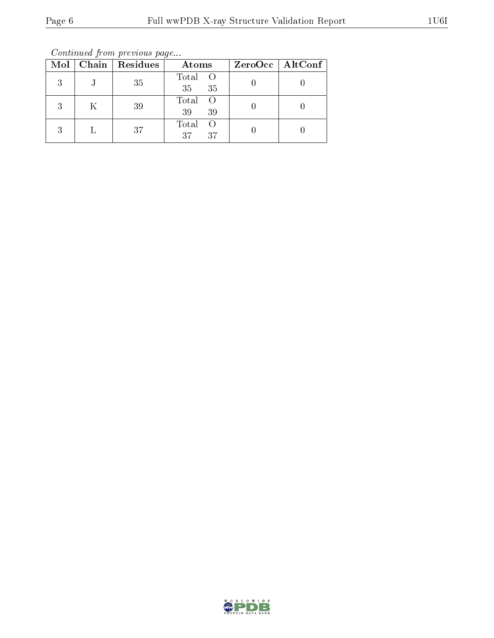Continued from previous page...

|   |   | Mol   Chain   Residues | Atoms                          | $ZeroOcc \mid AltConf$ |
|---|---|------------------------|--------------------------------|------------------------|
| 3 | J | 35                     | Total O<br>35<br>35            |                        |
| 3 | Κ | 39                     | Total<br>$\circ$ O<br>39<br>39 |                        |
| 3 |   | 37                     | Total<br>- ()<br>37<br>37      |                        |

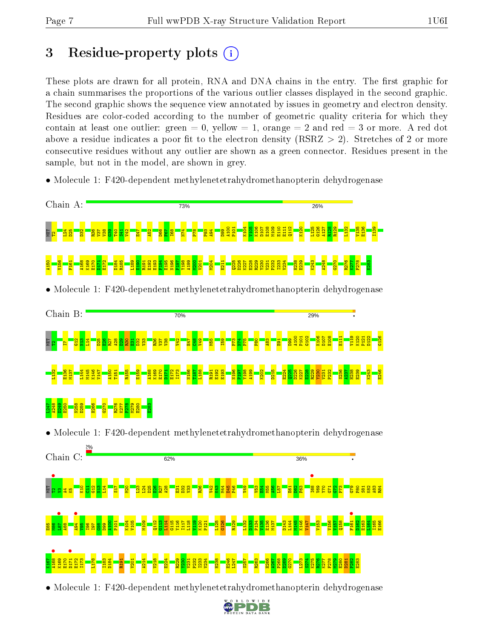# 3 Residue-property plots  $(i)$

These plots are drawn for all protein, RNA and DNA chains in the entry. The first graphic for a chain summarises the proportions of the various outlier classes displayed in the second graphic. The second graphic shows the sequence view annotated by issues in geometry and electron density. Residues are color-coded according to the number of geometric quality criteria for which they contain at least one outlier: green  $= 0$ , yellow  $= 1$ , orange  $= 2$  and red  $= 3$  or more. A red dot above a residue indicates a poor fit to the electron density (RSRZ  $> 2$ ). Stretches of 2 or more consecutive residues without any outlier are shown as a green connector. Residues present in the sample, but not in the model, are shown in grey.

• Molecule 1: F420-dependent methylenetetrahydromethanopterin dehydrogenase



• Molecule 1: F420-dependent methylenetetrahydromethanopterin dehydrogenase

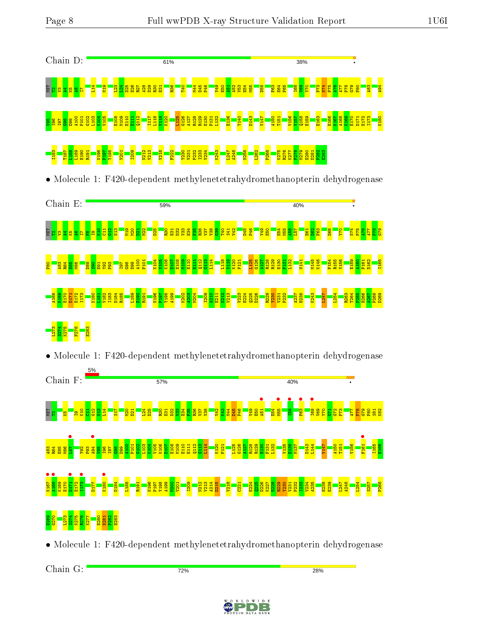

Chain G:

72%

**28%** 

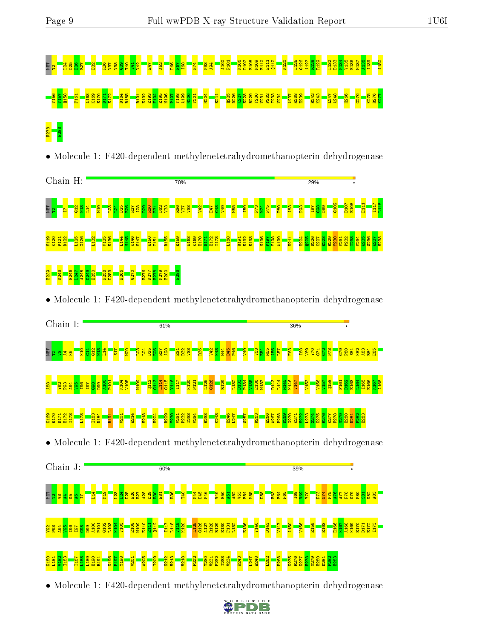

• Molecule 1: F420-dependent methylenetetrahydromethanopterin dehydrogenase



• Molecule 1: F420-dependent methylenetetrahydromethanopterin dehydrogenase



#### K180 L181 V182 I183 T187 <mark>ទីទីទី</mark> N196 P197 Y198 V201 A205 I209 N212 V213 V218 F222  $\frac{23}{22}$   $\frac{23}{22}$   $\frac{23}{22}$ K243 L247 A248 L262 P268 K275 R276 K277 F278 M279 E280 D281 P282 E283

• Molecule 1: F420-dependent methylenetetrahydromethanopterin dehydrogenase

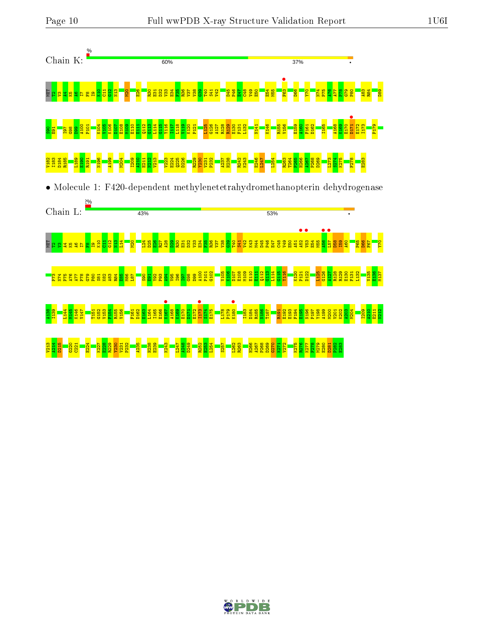



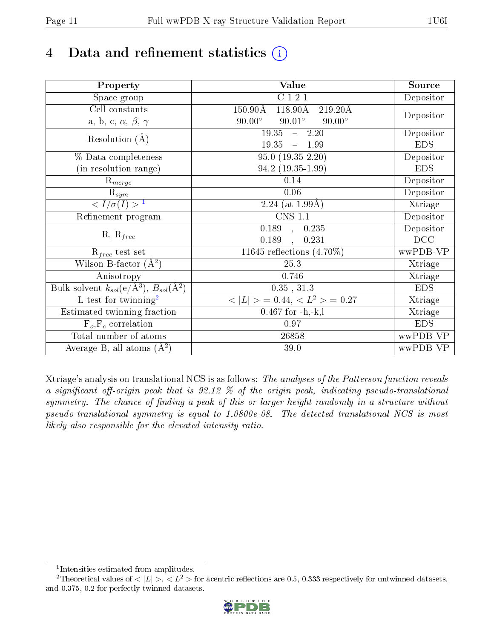# 4 Data and refinement statistics  $(i)$

| Property                                                             | Value                                                          | Source     |
|----------------------------------------------------------------------|----------------------------------------------------------------|------------|
| Space group                                                          | C121                                                           | Depositor  |
| Cell constants                                                       | $118.90\text{\AA}$<br>$150.90\text{\AA}$<br>$219.20\text{\AA}$ |            |
| a, b, c, $\alpha$ , $\beta$ , $\gamma$                               | $90.00^\circ$<br>$90.01^\circ$<br>$90.00^\circ$                | Depositor  |
| Resolution $(A)$                                                     | 19.35<br>$-2.20$                                               | Depositor  |
|                                                                      | 19.35<br>1.99<br>$\frac{1}{2}$                                 | <b>EDS</b> |
| % Data completeness                                                  | $95.0(19.35-2.20)$                                             | Depositor  |
| (in resolution range)                                                | $94.2(19.35-1.99)$                                             | <b>EDS</b> |
| $R_{merge}$                                                          | 0.14                                                           | Depositor  |
| $\mathrm{R}_{sym}$                                                   | 0.06                                                           | Depositor  |
| $\langle I/\sigma(I) \rangle^{-1}$                                   | 2.24 (at $1.99\text{\AA})$                                     | Xtriage    |
| Refinement program                                                   | $\overline{\text{CNS} 1.1}$                                    | Depositor  |
|                                                                      | 0.189<br>0.235<br>$\mathbf{A}$                                 | Depositor  |
| $R, R_{free}$                                                        | 0.189<br>0.231                                                 | DCC        |
| $R_{free}$ test set                                                  | 11645 reflections $(4.70\%)$                                   | wwPDB-VP   |
| Wilson B-factor $(A^2)$                                              | 25.3                                                           | Xtriage    |
| Anisotropy                                                           | 0.746                                                          | Xtriage    |
| Bulk solvent $k_{sol}(e/\mathring{A}^3)$ , $B_{sol}(\mathring{A}^2)$ | $0.35$ , $31.3\,$                                              | <b>EDS</b> |
| L-test for twinning <sup>2</sup>                                     | $>$ = 0.44, < $L^2$ > = 0.27<br>< L                            | Xtriage    |
| Estimated twinning fraction                                          | $0.467$ for $-h,-k,l$                                          | Xtriage    |
| $F_o, F_c$ correlation                                               | 0.97                                                           | <b>EDS</b> |
| Total number of atoms                                                | 26858                                                          | wwPDB-VP   |
| Average B, all atoms $(A^2)$                                         | 39.0                                                           | wwPDB-VP   |

Xtriage's analysis on translational NCS is as follows: The analyses of the Patterson function reveals a significant off-origin peak that is  $92.12\%$  of the origin peak, indicating pseudo-translational symmetry. The chance of finding a peak of this or larger height randomly in a structure without pseudo-translational symmetry is equal to 1.0800e-08. The detected translational NCS is most likely also responsible for the elevated intensity ratio.

<sup>&</sup>lt;sup>2</sup>Theoretical values of  $\langle |L| \rangle$ ,  $\langle L^2 \rangle$  for acentric reflections are 0.5, 0.333 respectively for untwinned datasets, and 0.375, 0.2 for perfectly twinned datasets.



<span id="page-10-1"></span><span id="page-10-0"></span><sup>1</sup> Intensities estimated from amplitudes.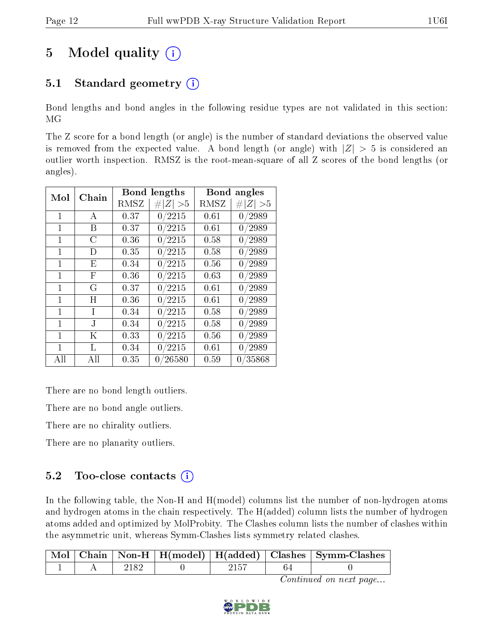# 5 Model quality  $(i)$

# 5.1 Standard geometry  $(i)$

Bond lengths and bond angles in the following residue types are not validated in this section: MG

The Z score for a bond length (or angle) is the number of standard deviations the observed value is removed from the expected value. A bond length (or angle) with  $|Z| > 5$  is considered an outlier worth inspection. RMSZ is the root-mean-square of all Z scores of the bond lengths (or angles).

| $\operatorname{Mol}$<br>Chain |         |      | <b>Bond lengths</b> | Bond angles |         |
|-------------------------------|---------|------|---------------------|-------------|---------|
|                               |         | RMSZ | # $ Z  > 5$         | RMSZ        | Z   > 5 |
| 1                             | А       | 0.37 | 0/2215              | 0.61        | 0/2989  |
| 1                             | Β       | 0.37 | 0/2215              | 0.61        | 0/2989  |
| $\mathbf{1}$                  | С       | 0.36 | 0/2215              | 0.58        | 0/2989  |
| 1                             | D       | 0.35 | 0/2215              | 0.58        | 0/2989  |
| 1                             | Ε       | 0.34 | 0/2215              | 0.56        | 0/2989  |
| 1                             | F       | 0.36 | 0/2215              | 0.63        | 0/2989  |
| 1                             | G       | 0.37 | 0/2215              | 0.61        | 0/2989  |
| 1                             | Η       | 0.36 | 0/2215              | 0.61        | 0/2989  |
| 1                             | Ι       | 0.34 | 0/2215              | 0.58        | 0/2989  |
| 1                             | J.      | 0.34 | 0/2215              | 0.58        | 0/2989  |
| 1                             | $\rm K$ | 0.33 | 0/2215              | 0.56        | 0/2989  |
| 1                             | L       | 0.34 | 0/2215              | 0.61        | 0/2989  |
| All                           | All     | 0.35 | 0/26580             | 0.59        | 0/35868 |

There are no bond length outliers.

There are no bond angle outliers.

There are no chirality outliers.

There are no planarity outliers.

## 5.2 Too-close contacts  $(i)$

In the following table, the Non-H and H(model) columns list the number of non-hydrogen atoms and hydrogen atoms in the chain respectively. The H(added) column lists the number of hydrogen atoms added and optimized by MolProbity. The Clashes column lists the number of clashes within the asymmetric unit, whereas Symm-Clashes lists symmetry related clashes.

|  |  |  | Mol   Chain   Non-H   H(model)   H(added)   Clashes   Symm-Clashes |
|--|--|--|--------------------------------------------------------------------|
|  |  |  |                                                                    |

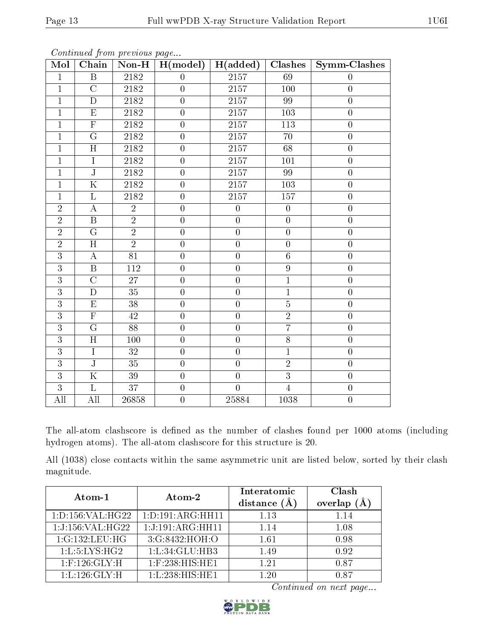| Mol            | $\overline{\text{Chain}}$ | contentava prom procto ao pago<br>$\overline{\text{Non-H}}$ | H (model)        | H(added)          | <b>Clashes</b>   | Symm-Clashes     |
|----------------|---------------------------|-------------------------------------------------------------|------------------|-------------------|------------------|------------------|
| $\mathbf{1}$   | $\boldsymbol{B}$          | 2182                                                        | $\overline{0}$   | $\overline{2157}$ | 69               | $\theta$         |
| $\mathbf{1}$   | $\mathcal{C}$             | 2182                                                        | $\overline{0}$   | 2157              | 100              | $\boldsymbol{0}$ |
| $\overline{1}$ | $\overline{D}$            | 2182                                                        | $\overline{0}$   | 2157              | 99               | $\overline{0}$   |
| $\overline{1}$ | ${\rm E}$                 | 2182                                                        | $\overline{0}$   | 2157              | 103              | $\overline{0}$   |
| $\overline{1}$ | $\overline{\mathrm{F}}$   | 2182                                                        | $\overline{0}$   | 2157              | $\overline{113}$ | $\overline{0}$   |
| $\mathbf{1}$   | $\overline{G}$            | 2182                                                        | $\overline{0}$   | 2157              | 70               | $\overline{0}$   |
| $\mathbf{1}$   | H                         | $2182\,$                                                    | $\boldsymbol{0}$ | $2157\,$          | 68               | $\boldsymbol{0}$ |
| $\overline{1}$ | $\overline{I}$            | 2182                                                        | $\overline{0}$   | $\overline{2157}$ | 101              | $\overline{0}$   |
| $\overline{1}$ | $\overline{\text{J}}$     | 2182                                                        | $\overline{0}$   | 2157              | 99               | $\overline{0}$   |
| $\mathbf 1$    | $\overline{\mathrm{K}}$   | 2182                                                        | $\boldsymbol{0}$ | $\overline{2157}$ | $\overline{103}$ | $\boldsymbol{0}$ |
| $\overline{1}$ | L                         | 2182                                                        | $\overline{0}$   | 2157              | 157              | $\boldsymbol{0}$ |
| $\overline{2}$ | $\bf{A}$                  | $\overline{2}$                                              | $\overline{0}$   | $\overline{0}$    | $\boldsymbol{0}$ | $\overline{0}$   |
| $\overline{2}$ | $\overline{B}$            | $\overline{2}$                                              | $\overline{0}$   | $\overline{0}$    | $\overline{0}$   | $\overline{0}$   |
| $\overline{2}$ | G                         | $\overline{2}$                                              | $\overline{0}$   | $\overline{0}$    | $\overline{0}$   | $\overline{0}$   |
| $\overline{2}$ | $\overline{H}$            | $\overline{2}$                                              | $\boldsymbol{0}$ | $\boldsymbol{0}$  | $\boldsymbol{0}$ | $\boldsymbol{0}$ |
| $\overline{3}$ | $\overline{A}$            | $\overline{81}$                                             | $\overline{0}$   | $\overline{0}$    | $\overline{6}$   | $\overline{0}$   |
| $\overline{3}$ | $\overline{\mathbf{B}}$   | 112                                                         | $\boldsymbol{0}$ | $\boldsymbol{0}$  | $\boldsymbol{9}$ | $\boldsymbol{0}$ |
| $\overline{3}$ | $\mathcal{C}$             | 27                                                          | $\boldsymbol{0}$ | $\boldsymbol{0}$  | $\,1$            | $\boldsymbol{0}$ |
| $\overline{3}$ | $\mathbf D$               | 35                                                          | $\overline{0}$   | $\overline{0}$    | $\overline{1}$   | $\overline{0}$   |
| $\overline{3}$ | $\overline{E}$            | $\overline{38}$                                             | $\overline{0}$   | $\overline{0}$    | $\overline{5}$   | $\overline{0}$   |
| $\overline{3}$ | $\overline{F}$            | 42                                                          | $\overline{0}$   | $\overline{0}$    | $\sqrt{2}$       | $\boldsymbol{0}$ |
| $\overline{3}$ | $\overline{G}$            | $\overline{88}$                                             | $\overline{0}$   | $\overline{0}$    | $\overline{7}$   | $\boldsymbol{0}$ |
| $\overline{3}$ | $\overline{H}$            | 100                                                         | $\boldsymbol{0}$ | $\boldsymbol{0}$  | $\overline{8}$   | $\boldsymbol{0}$ |
| $\overline{3}$ | $\overline{I}$            | $\overline{32}$                                             | $\overline{0}$   | $\overline{0}$    | $\overline{1}$   | $\boldsymbol{0}$ |
| $\overline{3}$ | $\overline{\text{J}}$     | 35                                                          | $\overline{0}$   | $\overline{0}$    | $\overline{2}$   | $\overline{0}$   |
| $\overline{3}$ | $\overline{\mathrm{K}}$   | 39                                                          | $\boldsymbol{0}$ | $\boldsymbol{0}$  | $\overline{3}$   | $\boldsymbol{0}$ |
| $\overline{3}$ | $\overline{\mathrm{L}}$   | $\overline{37}$                                             | $\overline{0}$   | $\overline{0}$    | $\overline{4}$   | $\boldsymbol{0}$ |
| All            | All                       | 26858                                                       | $\boldsymbol{0}$ | 25884             | 1038             | $\boldsymbol{0}$ |

The all-atom clashscore is defined as the number of clashes found per 1000 atoms (including hydrogen atoms). The all-atom clashscore for this structure is 20.

All (1038) close contacts within the same asymmetric unit are listed below, sorted by their clash magnitude.

| Atom-1               | Atom-2                        | Interatomic    | Clash         |
|----------------------|-------------------------------|----------------|---------------|
|                      |                               | distance $(A)$ | overlap $(A)$ |
| 1: D: 156: VAL:H G22 | 1: D: 191: ARG: HH11          | 1.13           | 1.14          |
| 1:J:156:VAL:H G22    | 1:J:191:ARG:HH11              | 1.14           | 1.08          |
| 1:G:132:LEU:HG       | 3:G:8432:HOH:O                | 1.61           | 0.98          |
| 1: L: 5: LYS: HG2    | 1: L: 34: GLU: HB3            | 1.49           | 0.92          |
| $1:$ F:126: $GLY:H$  | $1:$ F:238:HIS:HE1            | 1.21           | 0.87          |
| 1: L: 126: GLY: H    | $1:L:238:HIS:\overline{H E1}$ | 120            | 0.87          |

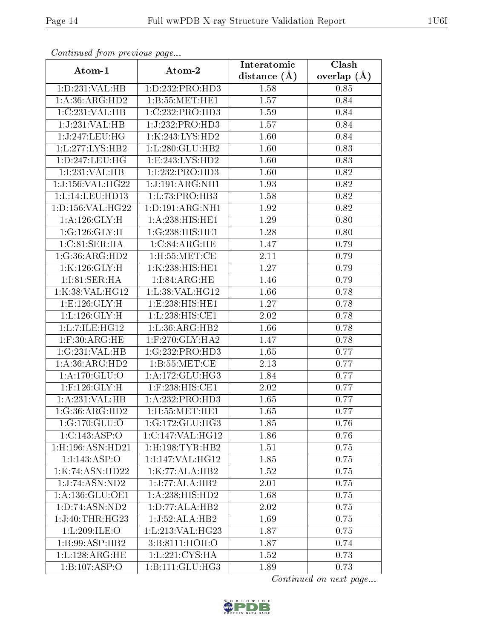| Communica from precious page |                               | Interatomic    | Clash           |
|------------------------------|-------------------------------|----------------|-----------------|
| Atom-1                       | Atom-2                        | distance $(A)$ | overlap $(\AA)$ |
| 1:D:231:VAL:HB               | 1:D:232:PRO:HD3               | 1.58           | 0.85            |
| 1:A:36:ARG:HD2               | 1: B:55: MET:HE1              | 1.57           | 0.84            |
| 1:C:231:VAL:HB               | 1:C:232:PRO:HD3               | 1.59           | 0.84            |
| 1:J:231:VAL:HB               | 1:J:232:PRO:H <sub>D3</sub>   | 1.57           | 0.84            |
| 1:J:247:LEU:HG               | 1:K:243:LYS:HD2               | 1.60           | 0.84            |
| 1:L:277:LYS:HB2              | 1: L:280: GLU:HB2             | 1.60           | 0.83            |
| 1: D: 247: LEU: HG           | 1: E: 243: LYS: HD2           | 1.60           | 0.83            |
| 1:I:231:VAL:HB               | 1:1:232:PRO:HD3               | 1.60           | 0.82            |
| 1:J:156:VAL:H G22            | 1:J:191:ARG:NH1               | 1.93           | 0.82            |
| 1:L:14:LEU:HDI3              | 1:L:73:PRO:HB3                | 1.58           | 0.82            |
| 1:D:156:VAL:HG22             | 1:D:191:ARG:NH1               | 1.92           | 0.82            |
| 1:A:126:GLY:H                | 1: A:238: HIS: HE1            | 1.29           | 0.80            |
| 1:G:126:GLY:H                | 1:G:238:HIS:HE1               | 1.28           | 0.80            |
| 1: C:81: SER: HA             | 1:C:84:ARG:HE                 | 1.47           | 0.79            |
| 1:G:36:ARG:HD2               | 1:H:55:MET:CE                 | 2.11           | 0.79            |
| 1:K:126:GLY:H                | 1:K:238:HIS:HE1               | 1.27           | 0.79            |
| 1:1:81:SER:HA                | 1:1:84:ARG:HE                 | 1.46           | 0.79            |
| 1:K:38:VAL:HG12              | 1:L:38:VAL:HG12               | 1.66           | 0.78            |
| 1: E: 126: GLY: H            | 1:E:238:HIS:HE1               | 1.27           | 0.78            |
| 1: L: 126: GLY: H            | 1:L:238:HIS:CE1               | $2.02\,$       | 0.78            |
| 1:L:7:ILE:HG12               | 1: L: 36: ARG: HB2            | 1.66           | 0.78            |
| $1:$ F:30:ARG:HE             | $1:$ F:270:GLY:HA2            | 1.47           | 0.78            |
| 1:G:231:VAL:HB               | 1:G:232:PRO:HD3               | 1.65           | 0.77            |
| 1: A:36: ARG: HD2            | 1: B:55:MET:CE                | 2.13           | 0.77            |
| 1:A:170:GLU:O                | 1: A:172: GLU: HG3            | 1.84           | 0.77            |
| $1:$ F:126: $GLY:H$          | 1:F:238:HIS:CE1               | 2.02           | 0.77            |
| 1:A:231:VAL:HB               | 1:A:232:PRO:HD3               | 1.65           | 0.77            |
| 1:G:36:ARG:HD2               | $1:$ H $:55:$ MET $:$ HE $1$  | 1.65           | 0.77            |
| 1:G:170:GLU:O                | 1:G:172:GLU:HG3               | 1.85           | 0.76            |
| 1:C:143:ASP:O                | 1:C:147:VAL:HG12              | 1.86           | 0.76            |
| 1:H:196:ASN:HD21             | $1:$ H $:198:$ TYR $:$ HB $2$ | 1.51           | 0.75            |
| 1:1:143:ASP:O                | 1:1:147:VAL:HG12              | 1.85           | 0.75            |
| 1:K:74:ASN:HD22              | 1:K:77:ALA:HB2                | 1.52           | 0.75            |
| 1:J:74:ASN:ND2               | 1:J:77:ALA:HB2                | 2.01           | 0.75            |
| 1:A:136:GLU:OE1              | 1:A:238:HIS:HD2               | 1.68           | 0.75            |
| 1:D:74:ASN:ND2               | 1: D: 77: ALA: HB2            | 2.02           | 0.75            |
| 1:J:40:THR:HG23              | 1:J:52:ALA:HB2                | 1.69           | 0.75            |
| 1:L:209:ILE:O                | 1:L:213:VAL:HG23              | 1.87           | 0.75            |
| 1:B:99:ASP:HB2               | 3:B:8111:HOH:O                | 1.87           | 0.74            |
| 1: L: 128: ARG: HE           | 1:L:221:CYS:HA                | 1.52           | 0.73            |
| $1:B:107: \overline{ASP:O}$  | 1:B:111:GLU:HG3               | 1.89           | 0.73            |

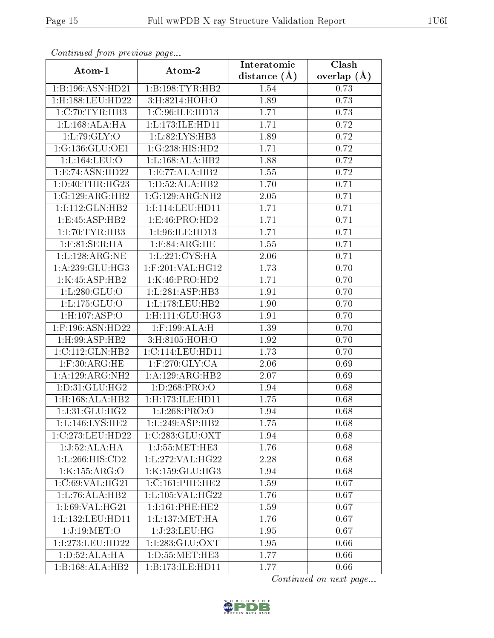| Continuea from previous page |                               | Interatomic    | Clash         |
|------------------------------|-------------------------------|----------------|---------------|
| Atom-1                       | Atom-2                        | distance $(A)$ | overlap $(A)$ |
| 1:B:196:ASN:HD21             | 1:B:198:TYR:HB2               | 1.54           | 0.73          |
| 1:H:188:LEU:HD22             | 3:H:8214:HOH:O                | 1.89           | 0.73          |
| 1:C:70:TYR:HB3               | 1:C:96:ILE:HD13               | 1.71           | 0.73          |
| 1:L:168:ALA:HA               | 1:L:173:ILE:HD11              | 1.71           | 0.72          |
| 1:L:79:GLY:O                 | 1:L:82:LYS:HB3                | 1.89           | 0.72          |
| 1:G:136:GLU:OE1              | 1:G:238:HIS:HD2               | 1.71           | 0.72          |
| 1:L:164:LEU:O                | 1: L: 168: ALA: HB2           | 1.88           | 0.72          |
| 1: E: 74: ASN: HD22          | 1:E:77:ALA:HB2                | 1.55           | 0.72          |
| 1: D: 40: THR: HG23          | 1: D: 52: ALA: HB2            | 1.70           | 0.71          |
| 1:G:129:ARG:HB2              | 1:G:129:ARG:NH2               | $2.05\,$       | 0.71          |
| 1:1:112:GLN:HB2              | 1:1:114:LEU:HD11              | 1.71           | 0.71          |
| 1:E:45:ASP:HB2               | 1:E:46:PRO:HD2                | 1.71           | 0.71          |
| 1:I:70:TYR:HB3               | 1:I:96:ILE:HD13               | 1.71           | 0.71          |
| $1:$ F:81:SER:HA             | $1:$ F:84:ARG:HE              | 1.55           | 0.71          |
| 1:L:128:ARG:NE               | 1:L:221:CYS:HA                | 2.06           | 0.71          |
| 1:A:239:GLU:HG3              | 1:F:201:VAL:HG12              | 1.73           | 0.70          |
| 1:K:45:ASP:HB2               | 1:K:46:PRO:HD2                | 1.71           | 0.70          |
| 1: L: 280: GLU:O             | 1:L:281:ASP:HB3               | 1.91           | 0.70          |
| 1: L: 175: GLU:O             | 1:L:178:LEU:HB2               | 1.90           | 0.70          |
| 1:H:107:ASP:O                | $1:$ H $:111:$ GLU $:$ H $G3$ | 1.91           | 0.70          |
| 1:F:196:ASN:HD22             | 1:F:199:ALA:H                 | 1.39           | 0.70          |
| 1:H:99:ASP:HB2               | 3:H:8105:HOH:O                | 1.92           | 0.70          |
| 1:C:112:GLN:HB2              | 1:C:114:LEU:HD11              | 1.73           | 0.70          |
| $1:$ F:30:ARG:HE             | $1:$ F:270:GLY:CA             | 2.06           | 0.69          |
| 1:A:129:ARG:NH2              | 1:A:129:ARG:HB2               | 2.07           | 0.69          |
| 1: D:31: GLU: HG2            | 1: D:268: PRO:O               | 1.94           | 0.68          |
| 1:H:168:ALA:HB2              | $1:$ H:173:ILE:HD11           | 1.75           | 0.68          |
| 1:J:31:GLU:HG2               | 1:J:268:PRO:O                 | 1.94           | 0.68          |
| 1:L:146:LYS:HE2              | 1: L: 249: ASP: HB2           | 1.75           | 0.68          |
| 1:C:273:LEU:HD22             | 1:C:283:GLU:OXT               | 1.94           | 0.68          |
| 1:J:52:ALA:HA                | 1:J:55:MET:HE3                | 1.76           | 0.68          |
| 1: L:266: HIS: CD2           | 1:L:272:VAL:H G22             | 2.28           | 0.68          |
| 1:K:155:ARG:O                | 1:K:159:GLU:HG3               | 1.94           | 0.68          |
| 1:C:69:VAL:HG21              | 1:C:161:PHE:HE2               | 1.59           | 0.67          |
| 1: L: 76: ALA: HB2           | 1: L: 105: VAL:HG22           | 1.76           | 0.67          |
| 1:1:69:VAL:HG21              | 1:I:161:PHE:HE2               | 1.59           | 0.67          |
| 1:L:132:LEU:HD11             | 1: L: 137: MET: HA            | 1.76           | 0.67          |
| 1:J:19:MET:O                 | 1:J:23:LEU:HG                 | 1.95           | 0.67          |
| 1:I:273:LEU:HD22             | 1:I:283:GLU:OXT               | 1.95           | 0.66          |
| 1: D:52: ALA: HA             | 1: D: 55: MET: HE3            | 1.77           | 0.66          |
| 1:B:168:ALA:HB2              | 1:B:173:ILE:HD11              | 1.77           | 0.66          |

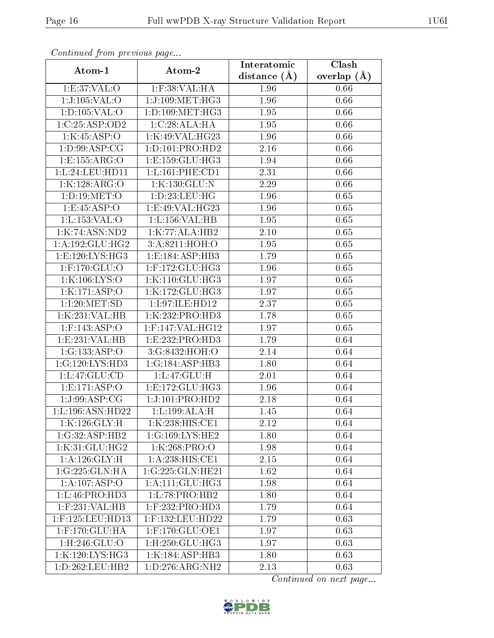| Continuea from previous page  |                                  | Interatomic    | Clash           |
|-------------------------------|----------------------------------|----------------|-----------------|
| Atom-1                        | Atom-2                           | distance $(A)$ | overlap $(\AA)$ |
| 1:E:37:VAL:O                  | $1:$ F:38:VAL:HA                 | 1.96           | 0.66            |
| 1:J:105:VAL:O                 | 1:J:109:MET:HG3                  | 1.96           | 0.66            |
| 1: D: 105: VAL: O             | 1: D: 109: MET:HG3               | 1.95           | 0.66            |
| 1:C:25:ASP:OD2                | 1:C:28:ALA:HA                    | 1.95           | 0.66            |
| 1:K:45:ASP:O                  | 1:K:49:VAL:HG23                  | 1.96           | 0.66            |
| $1: D:99: ASP: \overline{CG}$ | 1: D: 101: PRO: HD2              | 2.16           | 0.66            |
| 1: E: 155: ARG: O             | 1:E:159:GLU:HG3                  | 1.94           | 0.66            |
| 1:L:24:LEU:HDI1               | 1: L: 161: PHE: CD1              | 2.31           | 0.66            |
| $1:K:\overline{128:ARG:O}$    | 1:K:130:GLU:N                    | 2.29           | 0.66            |
| 1: D: 19: MET:O               | 1: D: 23: LEU: HG                | 1.96           | 0.65            |
| 1:E:45:ASP:O                  | 1:E:49:VAL:HG23                  | 1.96           | 0.65            |
| 1: L: 153: VAL: O             | 1: L: 156: VAL: HB               | 1.95           | 0.65            |
| 1:K:74:ASN:ND2                | 1:K:77:ALA:HB2                   | 2.10           | 0.65            |
| 1: A: 192: GLU: HG2           | 3:A:8211:HOH:O                   | 1.95           | 0.65            |
| 1:E:120:LYS:HG3               | 1:E:184:ASP:HB3                  | 1.79           | 0.65            |
| 1:F:170:GLU:O                 | $1:$ F:172:GLU:HG3               | 1.96           | 0.65            |
| 1:K:106:LYS:O                 | 1:K:110:GLU:HG3                  | 1.97           | 0.65            |
| 1:K:171:ASP:O                 | 1:K:172:GLU:HG3                  | 1.97           | 0.65            |
| 1:1:20:MET:SD                 | 1:I:97:ILE:HD12                  | 2.37           | 0.65            |
| 1:K:231:VAL:HB                | 1:K:232:PRO:HD3                  | 1.78           | 0.65            |
| $1:$ F:143:ASP:O              | 1:F:147:VAL:HG12                 | 1.97           | 0.65            |
| 1:E:231:VAL:HB                | 1: E: 232: PRO: HD3              | 1.79           | 0.64            |
| 1:G:133:ASP:O                 | 3:G:8432:HOH:O                   | 2.14           | 0.64            |
| 1:G:120:LYS:HD3               | 1:G:184:ASP:HB3                  | 1.80           | 0.64            |
| 1:L:47:GLU:CD                 | 1: L: 47: GLU: H                 | 2.01           | 0.64            |
| 1: E: 171: ASP:O              | 1:E:172:GLU:HG3                  | 1.96           | 0.64            |
| 1:J:99:ASP:CG                 | 1:J:101:PRO:HD2                  | 2.18           | 0.64            |
| 1: L: 196: ASN: HD22          | 1: L: 199: ALA: H                | 1.45           | 0.64            |
| 1:K:126:GLY:H                 | 1:K:238:HIS:CE1                  | 2.12           | 0.64            |
| 1:G:32:ASP:HB2                | 1:G:169:LYS:HE2                  | 1.80           | 0.64            |
| 1:K:31:GLU:HG2                | 1:K:268:PRO:O                    | 1.98           | 0.64            |
| $1: A: 126: \overline{GLY:H}$ | 1:A:238:HIS:CE1                  | 2.15           | 0.64            |
| 1:G:225:GLN:HA                | 1:G:225:GLN:HE21                 | 1.62           | 0.64            |
| 1:A:107:ASP:O                 | 1: A:111: GLU:HG3                | 1.98           | 0.64            |
| 1: L: 46: PRO: HD3            | 1: L: 78: PRO: HB2               | 1.80           | 0.64            |
| $1:$ F:231:VAL:HB             | $1:$ F:232:PRO:HD3               | 1.79           | 0.64            |
| 1:F:125:LEU:HD13              | 1:F:132:LEU:HD22                 | 1.79           | 0.63            |
| 1:F:170:GLU:HA                | $1:$ F:170: $\overline{GLU:OE1}$ | 1.97           | 0.63            |
| 1:H:246:GLU:O                 | $1:$ H $:250:$ GLU $:$ H $G3$    | 1.97           | 0.63            |
| 1:K:120:LYS:HG3               | 1:K:184:ASP:HB3                  | 1.80           | 0.63            |
| 1: D: 262: LEU: HB2           | 1:D:276:ARG:NH2                  | 2.13           | 0.63            |

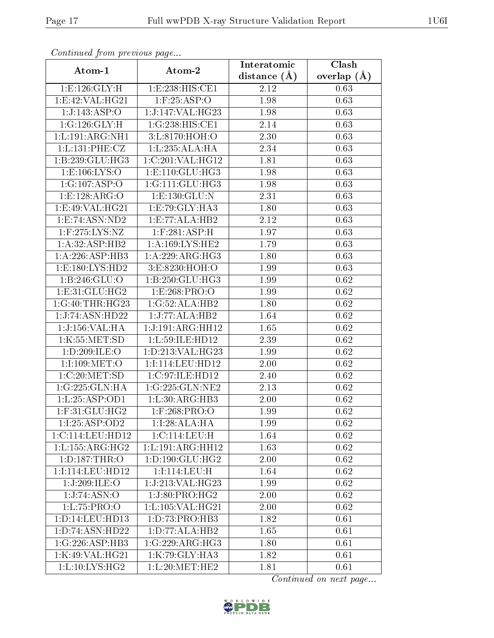| Continuata from previous page |                                                        | Interatomic    | Clash           |
|-------------------------------|--------------------------------------------------------|----------------|-----------------|
| Atom-1                        | Atom-2                                                 | distance $(A)$ | overlap $(\AA)$ |
| 1: E: 126: GLY: H             | 1:E:238:HIS:CE1                                        | 2.12           | 0.63            |
| 1:E:42:VAL:HG21               | $1:$ F:25:ASP:O                                        | 1.98           | 0.63            |
| 1:J:143:ASP:O                 | 1:J:147:VAL:HG23                                       | 1.98           | 0.63            |
| 1:G:126:GLY:H                 | 1:G:238:HIS:CE1                                        | 2.14           | 0.63            |
| 1:L:191:ARG:NH1               | 3: L:8170:HOH:O                                        | 2.30           | 0.63            |
| 1: L: 131: PHE: CZ            | 1:L:235:ALA:HA                                         | 2.34           | 0.63            |
| 1:B:239:GLU:HG3               | 1:C:201:VAL:HG12                                       | 1.81           | 0.63            |
| 1: E: 106: LYS: O             | 1: E: 110: GLU: HG3                                    | 1.98           | 0.63            |
| 1:G:107:ASP:O                 | 1:G:111:GLU:HG3                                        | 1.98           | 0.63            |
| 1:E:128:ARG:O                 | 1:E:130:GLU:N                                          | 2.31           | 0.63            |
| 1:E:49:VAL:HG21               | 1:E:79:GLY:HA3                                         | 1.80           | 0.63            |
| 1: E: 74: ASN: ND2            | 1: E: 77: ALA: HB2                                     | 2.12           | 0.63            |
| $1:$ F:275:LYS:NZ             | $1:$ F:281:ASP:H                                       | 1.97           | 0.63            |
| 1:A:32:ASP:HB2                | 1:A:169:LYS:HE2                                        | 1.79           | 0.63            |
| 1:A:226:ASP:HB3               | $1:A:229: \overline{\text{ARG}:H}\overline{\text{G}3}$ | 1.80           | 0.63            |
| 1:E:180:LYS:HD2               | 3:E:8230:HOH:O                                         | 1.99           | 0.63            |
| 1: B:246: GLU:O               | 1:B:250:GLU:HG3                                        | 1.99           | 0.62            |
| 1: E: 31: GLU: HG2            | 1:E:268:PRO:O                                          | 1.99           | 0.62            |
| 1:G:40:THR:HG23               | 1:G:52:ALA:HB2                                         | 1.80           | 0.62            |
| 1:J:74:ASN:HD22               | 1:J:77:ALA:HB2                                         | 1.64           | 0.62            |
| 1:J:156:VAL:HA                | 1:J:191:ARG:HH12                                       | 1.65           | 0.62            |
| 1:K:55:MET:SD                 | 1: L:59: ILE: HD12                                     | 2.39           | 0.62            |
| 1:D:209:ILE:O                 | 1: D: 213: VAL: HG23                                   | 1.99           | 0.62            |
| 1:I:109:MET:O                 | 1:I:114:LEU:HD12                                       | 2.00           | 0.62            |
| 1:C:20:MET:SD                 | 1:C:97:ILE:HD12                                        | 2.40           | 0.62            |
| 1:G:225:GLN:HA                | 1:G:225:GLN:NE2                                        | 2.13           | 0.62            |
| 1: L: 25: ASP: OD1            | 1: L:30: ARG: HB3                                      | 2.00           | 0.62            |
| $1:$ F:31:GLU:HG2             | 1:F:268:PRO:O                                          | 1.99           | 0.62            |
| 1:I:25:ASP:OD2                | 1:1:28:ALA:HA                                          | 1.99           | 0.62            |
| 1:C:114:LEU:HD12              | 1:C:114:LEU:H                                          | 1.64           | 0.62            |
| 1: L: 155: ARG: HG2           | 1:L:191:ARG:HH12                                       | 1.63           | 0.62            |
| 1: D: 187: THR: O             | 1: D: 190: GLU: HG2                                    | 2.00           | 0.62            |
| 1:I:114:LEU:HD12              | 1:I:114:LEU:H                                          | 1.64           | 0.62            |
| 1:J:209:ILE:O                 | 1:J:213:VAL:HG23                                       | 1.99           | 0.62            |
| 1:J:74:ASN:O                  | 1:J:80:PRO:HG2                                         | 2.00           | 0.62            |
| 1:L:75:PRO:O                  | 1:L:105:VAL:HG21                                       | 2.00           | 0.62            |
| 1: D: 14: LEU: HD13           | 1:D:73:PRO:HB3                                         | 1.82           | 0.61            |
| 1: D: 74: ASN: HD22           | 1:D:77:ALA:HB2                                         | 1.65           | 0.61            |
| 1:G:226:ASP:HB3               | 1:G:229:ARG:HG3                                        | 1.80           | 0.61            |
| 1:K:49:VAL:HG21               | 1:K:79:GLY:HA3                                         | 1.82           | 0.61            |
| 1: L: 10: LYS: HG2            | 1: L: 20: MET: HE2                                     | 1.81           | 0.61            |

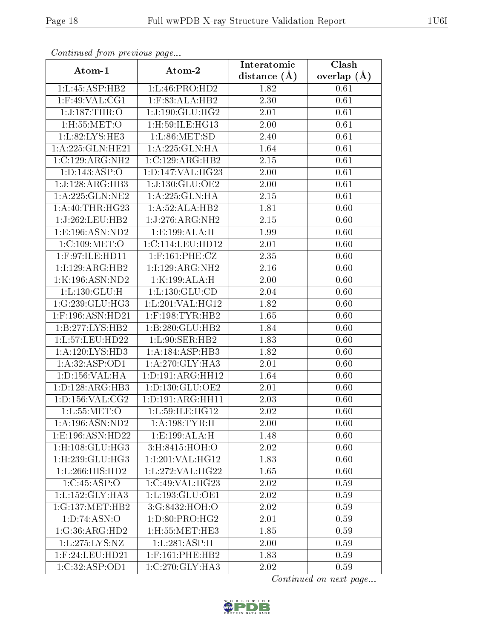| Communa from previous page           |                             | Interatomic      | Clash           |
|--------------------------------------|-----------------------------|------------------|-----------------|
| Atom-1                               | Atom-2                      | distance $(\AA)$ | overlap $(\AA)$ |
| 1:L:45:ASP:HB2                       | 1:L:46:PRO:HD2              | 1.82             | 0.61            |
| $1:$ F:49:VAL:CG1                    | $1:$ F:83:ALA:HB2           | 2.30             | 0.61            |
| 1:J:187:THR:O                        | 1:J:190:GLU:HG2             | 2.01             | 0.61            |
| 1: H: 55: MET:O                      | 1: H:59: ILE: HG13          | 2.00             | 0.61            |
| 1:L:82:LYS:HE3                       | 1: L:86: MET:SD             | 2.40             | 0.61            |
| 1:A:225:GLN:HE21                     | 1:A:225:GLN:HA              | 1.64             | 0.61            |
| 1:C:129:ARG:NH2                      | 1:C:129:ARG:HB2             | 2.15             | 0.61            |
| 1: D: 143: ASP: O                    | 1:D:147:VAL:HG23            | 2.00             | 0.61            |
| 1:J:128:ARG:HB3                      | 1:J:130:GLU:OE2             | 2.00             | 0.61            |
| 1: A:225: GLN:NE2                    | 1:A:225:GLN:HA              | 2.15             | 0.61            |
| 1: A:40:THR:HG23                     | 1:A:52:ALA:HB2              | 1.81             | 0.60            |
| 1:J:262:LEU:HB2                      | 1:J:276:ARG:NH2             | 2.15             | 0.60            |
| 1:E:196:ASN:ND2                      | 1:E:199:ALA:H               | 1.99             | 0.60            |
| 1:C:109:MET:O                        | 1:C:114:LEU:HD12            | 2.01             | 0.60            |
| $1:$ F:97:ILE:HD11                   | $1:$ F:161:PHE:CZ           | 2.35             | 0.60            |
| 1:1:129:ARG:HB2                      | 1:1:129:ARG:NH2             | 2.16             | 0.60            |
| 1:K:196:ASN:ND2                      | 1:K:199:ALA:H               | 2.00             | 0.60            |
| 1:L:130:GLU:H                        | $1:\v{L}:130:\v{GLU:CD}$    | 2.04             | 0.60            |
| 1:G:239:GLU:HG3                      | 1:L:201:VAL:HG12            | 1.82             | 0.60            |
| 1:F:196:ASN:HD21                     | $1:$ F:198:TYR:HB2          | 1.65             | 0.60            |
| 1:B:277:LYS:HB2                      | 1:B:280:GLU:HB2             | 1.84             | 0.60            |
| 1:L:57:LEU:HD22                      | 1:L:90:SER:HB2              | 1.83             | 0.60            |
| 1: A: 120: LYS: HD3                  | 1: A: 184: ASP: HB3         | 1.82             | 0.60            |
| 1:A:32:ASP:OD1                       | 1:A:270:GLY:HA3             | 2.01             | 0.60            |
| 1: D: 156: VAL:HA                    | 1:D:191:ARG:HH12            | 1.64             | 0.60            |
| 1: D: 128: ARG: HB3                  | 1: D: 130: GLU: OE2         | 2.01             | 0.60            |
| 1: D: 156: VAL: CG2                  | 1: D: 191: ARG: HH11        | 2.03             | 0.60            |
| 1: L: 55: MET:O                      | 1:L:59:ILE:HG12             | 2.02             | 0.60            |
| 1:A:196:ASN:ND2                      | 1: A:198: TYR:H             | 2.00             | 0.60            |
| 1:E:196:ASN:HD22                     | 1:E:199:ALA:H               | 1.48             | 0.60            |
| $1:$ H $:108:$ GLU $:$ HG3           | 3:H:8415:HOH:O              | 2.02             | 0.60            |
| $1:$ H $:239:$ GLU $:$ HG3           | 1:I:201:VAL:HG12            | 1.83             | 0.60            |
| $1:\mathbb{L}:266:\mathbb{H}$ IS:HD2 | 1:L:272:VAL:HG22            | 1.65             | 0.60            |
| 1:C:45:ASP:O                         | 1:C:49:VAL:HG23             | 2.02             | 0.59            |
| 1:L:152:GLY:HA3                      | 1: L: 193: GLU: OE1         | 2.02             | 0.59            |
| 1:G:137:MET:HB2                      | $3:G:8432:\overline{HOH:O}$ | 2.02             | 0.59            |
| 1:D:74:ASN:O                         | 1: D: 80: PRO:HG2           | 2.01             | 0.59            |
| 1:G:36:ARG:HD2                       | 1:H:55:MET:HE3              | 1.85             | 0.59            |
| 1: L: 275: LYS: NZ                   | 1:L:281:ASP:H               | 2.00             | 0.59            |
| $1:$ F:24:LEU:HD21                   | $1:$ F:161:PHE:HB2          | 1.83             | 0.59            |
| 1:C:32:ASP:OD1                       | $1:C:270:$ GLY:HA3          | 2.02             | 0.59            |

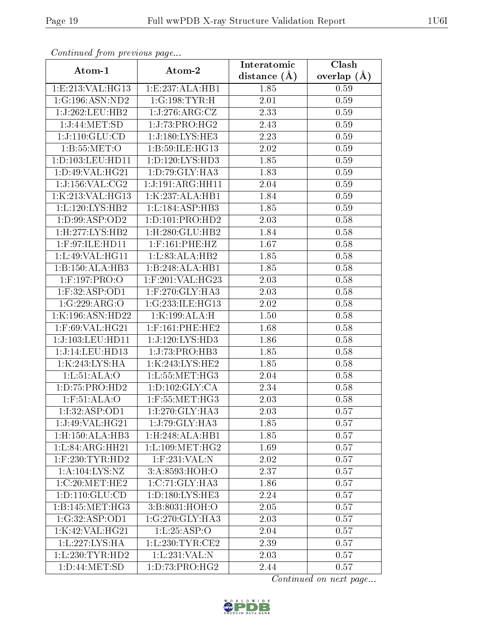| Communa from previous page        |                               | Interatomic    | Clash           |
|-----------------------------------|-------------------------------|----------------|-----------------|
| Atom-1                            | Atom-2                        | distance $(A)$ | overlap $(\AA)$ |
| 1:E:213:VAL:HG13                  | 1:E:237:ALA:HB1               | 1.85           | 0.59            |
| 1:G:196:ASN:ND2                   | 1:G:198:TYR:H                 | 2.01           | 0.59            |
| 1:J:262:LEU:HB2                   | 1:J:276:ARG:CZ                | 2.33           | 0.59            |
| $1:J:44:\text{MET}:S\overline{D}$ | 1:J:73:PRO:HG2                | 2.43           | 0.59            |
| 1:J:110:GLU:CD                    | 1:J:180:LYS:HE3               | 2.23           | 0.59            |
| 1: B: 55: MET:O                   | 1: B:59: ILE: HG13            | 2.02           | 0.59            |
| 1:D:103:LEU:HD11                  | 1: D: 120: LYS: HD3           | $1.85\,$       | 0.59            |
| 1: D:49: VAL:HG21                 | 1: D: 79: GLY: HA3            | 1.83           | 0.59            |
| 1:J:156:VAL:CG2                   | 1:J:191:ARG:HH11              | 2.04           | 0.59            |
| 1:K:213:VAL:HG13                  | 1:K:237:ALA:HB1               | 1.84           | 0.59            |
| 1:L:120:LYS:HB2                   | 1:L:184:ASP:HB3               | 1.85           | 0.59            |
| 1:D:99:ASP:OD2                    | 1: D: 101: PRO: HD2           | 2.03           | 0.58            |
| 1:H:277:LYS:HB2                   | $1:$ H $:280:$ GLU $:$ HB $2$ | 1.84           | 0.58            |
| $1:$ F:97:ILE:HD11                | $1:$ F:161:PHE:HZ             | 1.67           | 0.58            |
| 1:L:49:VAL:HG11                   | 1:L:83:ALA:HB2                | 1.85           | 0.58            |
| 1:B:150:ALA:HB3                   | 1:B:248:ALA:HB1               | 1.85           | 0.58            |
| 1:F:197:PRO:O                     | 1:F:201:VAL:HG23              | 2.03           | 0.58            |
| 1:F:32:ASP:OD1                    | $1:$ F:270: $GLY:HA3$         | 2.03           | 0.58            |
| 1:G:229:ARG:O                     | 1:G:233:ILE:HG13              | 2.02           | 0.58            |
| 1:K:196:ASN:HD22                  | 1:K:199:ALA:H                 | 1.50           | 0.58            |
| 1:F:69:VAL:HG21                   | $1:$ F:161:PHE:HE2            | 1.68           | 0.58            |
| 1:J:103:LEU:HDI1                  | 1:J:120:LYS:HD3               | 1.86           | 0.58            |
| 1:J:14:LEU:HD13                   | 1:J:73:PRO:HB3                | 1.85           | 0.58            |
| 1:K:243:LYS:HA                    | 1:K:243:LYS:HE2               | 1.85           | 0.58            |
| 1: L: 51: ALA: O                  | 1: L: 55: MET:HG3             | 2.04           | 0.58            |
| 1:D:75:PRO:HD2                    | 1: D: 102: GLY: CA            | 2.34           | 0.58            |
| 1: F: 51: ALA: O                  | $1:$ F:55:MET:HG3             | 2.03           | 0.58            |
| 1:I:32:ASP:OD1                    | $1:1:270:GLY:H$ A3            | 2.03           | 0.57            |
| 1:J:49:VAL:HG21                   | 1:J:79:GLY:HA3                | 1.85           | 0.57            |
| 1:H:150:ALA:HB3                   | 1:H:248:ALA:HB1               | 1.85           | 0.57            |
| 1: L:84: ARG:HH21                 | 1: L: 109: MET: HG2           | 1.69           | 0.57            |
| $1:$ F:230:TYR:HD2                | $1:$ F:231:VAL:N              | 2.02           | 0.57            |
| 1: A: 104: LYS: NZ                | 3:A:8593:HOH:O                | 2.37           | 0.57            |
| 1:C:20:MET:HE2                    | 1:C:71:GLY:HA3                | 1.86           | 0.57            |
| 1: D: 110: GLU: CD                | 1:D:180:LYS:HE3               | 2.24           | 0.57            |
| 1: B:145: MET:HG3                 | $3: B:8031:\overline{HOH:O}$  | 2.05           | 0.57            |
| 1:G:32:ASP:OD1                    | 1:G:270:GLY:HA3               | 2.03           | 0.57            |
| 1:K:42:VAL:HG21                   | 1: L: 25: ASP:O               | 2.04           | 0.57            |
| 1:L:227:LYS:HA                    | 1: L:230: TYR: CE2            | 2.39           | 0.57            |
| 1: L: 230: TYR: HD2               | 1:L:231:VAL:N                 | 2.03           | 0.57            |
| 1: D:44:MET:SD                    | 1: D: 73: PRO:HG2             | 2.44           | 0.57            |

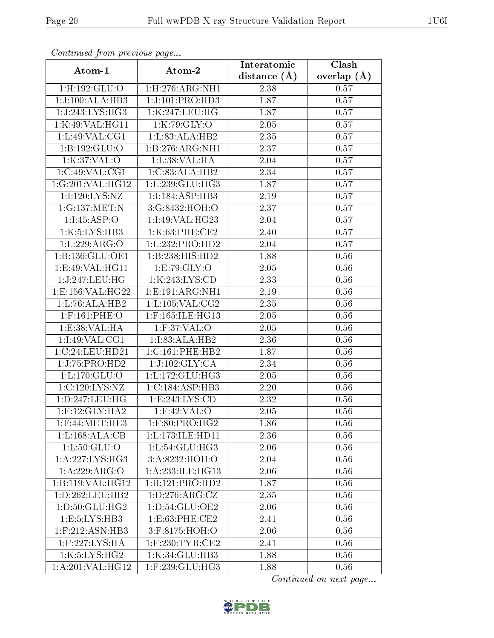| Communa from previous page   |                     | Interatomic       | Clash         |
|------------------------------|---------------------|-------------------|---------------|
| Atom-1                       | Atom-2              | distance $(A)$    | overlap $(A)$ |
| 1:H:192:GLU:O                | 1: H: 276: ARG: NH1 | 2.38              | 0.57          |
| 1:J:100:ALA:HB3              | 1:J:101:PRO:HD3     | 1.87              | 0.57          |
| 1:J:243:LYS:HG3              | 1:K:247:LEU:HG      | 1.87              | 0.57          |
| 1:K:49:VAL:HG11              | 1:K:79:GLY:O        | $2.05\,$          | 0.57          |
| 1: L:49: VAL:CG1             | 1:L:83:ALA:HB2      | 2.35              | 0.57          |
| 1:B:192:GLU:O                | 1:B:276:ARG:NH1     | 2.37              | 0.57          |
| 1:K:37:VAL:O                 | 1:L:38:VAL:HA       | 2.04              | 0.57          |
| 1:C:49:VAL:CG1               | 1:C:83:ALA:HB2      | 2.34              | 0.57          |
| 1:G:201:VAL:HG12             | 1: L: 239: GLU: HG3 | 1.87              | 0.57          |
| 1:I:120:LYS:NZ               | 1:I:184:ASP:HB3     | 2.19              | 0.57          |
| 1:G:137:MET:N                | 3:G:8432:HOH:O      | 2.37              | 0.57          |
| 1:1:45:ASP:O                 | 1:1:49:VAL:HG23     | 2.04              | 0.57          |
| 1:K:5:L <sub>Y</sub> S:HB3   | 1:K:63:PHE:CE2      | 2.40              | 0.57          |
| 1:L:229:ARG:O                | 1:L:232:PRO:HD2     | 2.04              | 0.57          |
| 1:B:136:GLU:OE1              | 1:B:238:HIS:HD2     | 1.88              | 0.56          |
| 1: E:49: VAL:HG11            | 1:E:79:GLY:O        | 2.05              | 0.56          |
| 1:J:247:LEU:HG               | 1:K:243:LYS:CD      | 2.33              | 0.56          |
| 1:E:156:VAL:HG22             | 1: E: 191: ARG: NH1 | 2.19              | 0.56          |
| 1:L:76:ALA:HB2               | 1:L:105:VAL:CG2     | 2.35              | 0.56          |
| $1:$ F:161:PHE:O             | $1:$ F:165:ILE:HG13 | 2.05              | 0.56          |
| 1:E:38:VAL:HA                | 1:F:37:VAL:O        | $\overline{2.05}$ | 0.56          |
| 1:I:49:VAL:CG1               | 1:I:83:ALA:HB2      | 2.36              | 0.56          |
| 1:C:24:LEU:HD21              | 1:C:161:PHE:HB2     | 1.87              | 0.56          |
| 1:J:75:PRO:HD2               | 1:J:102:GLY:CA      | 2.34              | 0.56          |
| 1: L: 170: GLU:O             | 1: L: 172: GLU: HG3 | 2.05              | 0.56          |
| 1:C:120:LYS:NZ               | 1:C:184:ASP:HB3     | $2.20\,$          | 0.56          |
| 1: D: 247: LEU: HG           | 1: E:243: LYS: CD   | 2.32              | 0.56          |
| $1:$ F:12:GLY:HA2            | $1:$ F:42:VAL:O     | 2.05              | 0.56          |
| $1:$ F:44:MET:HE3            | $1:$ F:80:PRO:HG2   | 1.86              | 0.56          |
| 1:L:168:ALA:CB               | 1:L:173:ILE:HD11    | 2.36              | 0.56          |
| 1: L: 50: GLU:O              | 1: L: 54: GLU: HG3  | 2.06              | 0.56          |
| $1:A:227:LY\overline{S:HG3}$ | 3:A:8232:HOH:O      | 2.04              | 0.56          |
| 1:A:229:ARG:O                | 1:A:233:ILE:HG13    | 2.06              | 0.56          |
| 1:B:119:VAL:HGI2             | 1:B:121:PRO:HD2     | 1.87              | 0.56          |
| 1: D: 262: LEU: HB2          | 1: D: 276: ARG: CZ  | 2.35              | 0.56          |
| 1: D: 50: GLU: HG2           | 1: D: 54: GLU: OE2  | 2.06              | 0.56          |
| 1:E:5:LYS:HB3                | 1: E: 63: PHE: CE2  | 2.41              | 0.56          |
| 1:F:212:ASN:HB3              | 3:F:8175:HOH:O      | 2.06              | 0.56          |
| 1:F:227:LYS:HA               | $1:$ F:230:TYR:CE2  | 2.41              | 0.56          |
| 1:K:5:LYS:HG2                | 1:K:34:GLU:HB3      | 1.88              | 0.56          |
| 1:A:201:VAL:HG12             | 1:F:239:GLU:HG3     | 1.88              | 0.56          |

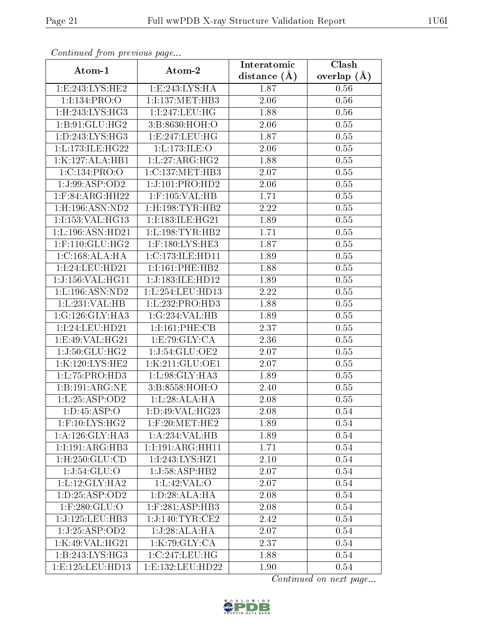| Continuea from previous page       |                               | Interatomic    | Clash           |
|------------------------------------|-------------------------------|----------------|-----------------|
| Atom-1                             | Atom-2                        | distance $(A)$ | overlap $(\AA)$ |
| 1:E:243:LYS:HE2                    | 1:E:243:LYS:HA                | 1.87           | 0.56            |
| 1:1:134:PRO:O                      | 1:I:137:MET:HB3               | 2.06           | 0.56            |
| $1:$ H $:243:LYS:HG3$              | 1:I:247:LEU:HG                | 1.88           | 0.56            |
| 1:B:91:GLU:HG2                     | 3:B:8630:HOH:O                | 2.06           | 0.55            |
| 1: D: 243: LYS: HG3                | 1:E:247:LEU:HG                | 1.87           | 0.55            |
| 1:L:173:ILE:HG22                   | 1:L:173:ILE:O                 | 2.06           | 0.55            |
| 1:K:127:ALA:HB1                    | 1: L: 27: ARG: HG2            | 1.88           | 0.55            |
| 1:C:134:PRO:O                      | 1:C:137:MET:HB3               | 2.07           | 0.55            |
| 1:J:99:ASP:OD2                     | 1:J:101:PRO:HD2               | 2.06           | 0.55            |
| $1:$ F:84:ARG:HH22                 | $1:$ F:105:VAL:HB             | 1.71           | 0.55            |
| 1:H:196:ASN:ND2                    | $1:$ H $:198:$ TYR $:$ HB $2$ | 2.22           | 0.55            |
| 1:I:153:VAL:HG13                   | 1:I:183:ILE:HG21              | 1.89           | 0.55            |
| 1: L: 196: ASN: HD21               | 1:L:198:TYR:HB2               | 1.71           | 0.55            |
| $1:$ F:110:GLU:HG2                 | $1:$ F:180:LYS:HE3            | 1.87           | 0.55            |
| 1:C:168:ALA:HA                     | 1:C:173:ILE:HD11              | 1.89           | 0.55            |
| 1:I:24:LEU:HD21                    | 1:1:161:PHE:HB2               | 1.88           | 0.55            |
| 1:J:156:VAL:H <sub>G11</sub>       | 1:J:183:ILE:HD12              | 1.89           | 0.55            |
| 1:L:196:ASN:ND2                    | 1:L:254:LEU:HD13              | 2.22           | 0.55            |
| 1:L:231:VAL:HB                     | 1:L:232:PRO:HD3               | 1.88           | 0.55            |
| 1:G:126:GLY:HA3                    | 1:G:234:VAL:HB                | 1.89           | 0.55            |
| 1:I:24:LEU:HD21                    | 1:1:161:PHE:CB                | 2.37           | 0.55            |
| 1:E:49:VAL:HG21                    | 1: E: 79: GLY: CA             | 2.36           | 0.55            |
| 1:J:50:GLU:HG2                     | 1:J:54:GLU:OE2                | 2.07           | 0.55            |
| 1:K:120:LYS:HE2                    | 1:K:211:GLU:OE1               | 2.07           | 0.55            |
| 1:L:75:PRO:HD3                     | 1:L:98:GLY:HA3                | 1.89           | 0.55            |
| $1:B:191:\overline{\text{ARG:NE}}$ | 3:B:8558:HOH:O                | 2.40           | 0.55            |
| 1:L:25:ASP:OD2                     | 1:L:28:ALA:HA                 | 2.08           | 0.55            |
| 1:D:45:ASP:O                       | 1:D:49:VAL:HG23               | 2.08           | $0.54\,$        |
| $1:$ F:10:LYS:HG2                  | $1:$ F:20:MET:HE2             | 1.89           | 0.54            |
| $1:A:126:GLY:H\rm{A}3$             | 1:A:234:VAL:HB                | 1.89           | 0.54            |
| 1:1:191:ARG:HB3                    | 1:1:191:ARG:HH11              | 1.71           | 0.54            |
| 1: H: 250: GLU: CD                 | 1:I:243:LYS:HZ1               | 2.10           | 0.54            |
| 1:J:54:GLU:O                       | 1:J:58:ASP:HB2                | 2.07           | 0.54            |
| 1: L: 12: GLY: HA2                 | 1: L:42: VAL:O                | 2.07           | 0.54            |
| 1: D: 25: ASP: OD2                 | 1:D:28:ALA:HA                 | 2.08           | 0.54            |
| $1:$ F:280:GLU:O                   | $1:$ F:281:ASP:HB3            | 2.08           | 0.54            |
| 1:J:125:LEU:HB3                    | 1:J:140:TYR:CE2               | 2.42           | 0.54            |
| 1:J:25:ASP:OD2                     | 1:J:28:ALA:HA                 | 2.07           | 0.54            |
| 1:K:49:VAL:HG21                    | 1:K:79:GLY:CA                 | 2.37           | 0.54            |
| 1:B:243:LYS:HG3                    | 1:C:247:LEU:HG                | 1.88           | 0.54            |
| 1:E:125:LEU:HD13                   | 1:E:132:LEU:HD22              | 1.90           | 0.54            |

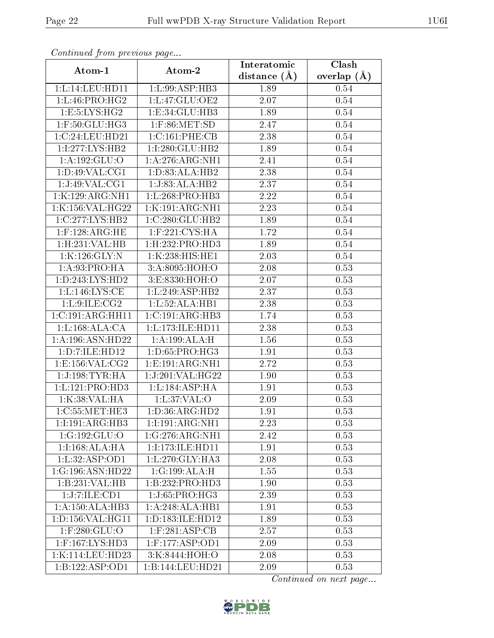| Commuca from previous page            |                                        | Interatomic    | Clash         |
|---------------------------------------|----------------------------------------|----------------|---------------|
| Atom-1                                | Atom-2                                 | distance $(A)$ | overlap $(A)$ |
| 1:L:14:LEU:HDI1                       | 1:L:99:ASP:HB3                         | 1.89           | 0.54          |
| 1:L:46:PRO:HG2                        | 1:L:47:GLU:OE2                         | 2.07           | $0.54\,$      |
| 1: E: 5: LYS: HG2                     | 1: E: 34: GLU: HB3                     | 1.89           | 0.54          |
| 1:F:50:GLU:HG3                        | $1:$ F:86:MET:SD                       | 2.47           | 0.54          |
| 1:C:24:LEU:HD21                       | 1:C:161:PHE:CB                         | 2.38           | $0.54\,$      |
| 1:1:277:LYS:HB2                       | 1:I:280:GLU:HB2                        | 1.89           | 0.54          |
| 1:A:192:GLU:O                         | 1: A:276:ARG:NH1                       | 2.41           | $0.54\,$      |
| 1: D:49: VAL: CG1                     | 1: D: 83: ALA: HB2                     | 2.38           | $0.54\,$      |
| 1:J:49:VAL:CG1                        | 1:J:83:ALA:HB2                         | 2.37           | 0.54          |
| 1:K:129:ARG:NH1                       | 1: L:268: PRO:HB3                      | 2.22           | 0.54          |
| 1:K:156:VAL:HG22                      | 1:K:191:ARG:NH1                        | 2.23           | 0.54          |
| 1:C:277:LYS:HB2                       | 1:C:280:GLU:HB2                        | 1.89           | 0.54          |
| $1:$ F:128:ARG:HE                     | $1:$ F:221:CYS:HA                      | 1.72           | 0.54          |
| 1:H:231:VAL:HB                        | 1: H: 232: PRO: HD3                    | 1.89           | 0.54          |
| 1:K:126:GLY:N                         | 1:K:238:HIS:HE1                        | 2.03           | 0.54          |
| 1:A:93:PRO:HA                         | 3: A:8095: HOH:O                       | 2.08           | 0.53          |
| 1:D:243:LYS:HD2                       | 3:E:8330:HOH:O                         | 2.07           | 0.53          |
| 1: L: 146: LYS: CE                    | 1: L: 249: ASP: HB2                    | 2.37           | 0.53          |
| 1: L:9: ILE: CG2                      | 1:L:52:ALA:HB1                         | 2.38           | 0.53          |
| 1:C:191:ARG:HH11                      | 1:C:191:ARG:HB3                        | 1.74           | 0.53          |
| 1: L: 168: ALA: CA                    | 1:L:173:ILE:HD11                       | 2.38           | 0.53          |
| 1:A:196:ASN:HD22                      | 1:A:199:ALA:H                          | 1.56           | 0.53          |
| 1:D:7:ILE:HD12                        | 1:D:65:PRO:HG3                         | 1.91           | 0.53          |
| 1: E: 156: VAL: CG2                   | 1: E: 191: ARG: NH1                    | 2.72           | 0.53          |
| 1:J:198:TYR:HA                        | 1:J:201:VAL:HG22                       | 1.90           | 0.53          |
| 1: L: 121: PRO: HD3                   | 1:L:184:ASP:HA                         | 1.91           | 0.53          |
| 1:K:38:VAL:HA                         | 1: L:37: VAL:O                         | 2.09           | 0.53          |
| 1:C:55:MET:HE3                        | 1: D: 36: ARG: HD2                     | 1.91           | 0.53          |
| 1:I:191:ARG:HB3                       | 1:I:191:ARG:NH1                        | 2.23           | 0.53          |
| 1:G:192:GLU:O                         | 1:G:276:ARG:NH1                        | 2.42           | 0.53          |
| 1:I:168:ALA:HA                        | 1:I:173:ILE:HD11                       | 1.91           | 0.53          |
| 1:L:32:ASP:OD1                        | 1:L:270:GLY:HA3                        | 2.08           | 0.53          |
| 1:G:196:ASN:HD22                      | 1:G:199:ALA:H                          | 1.55           | 0.53          |
| 1:B:231:VAL:HB                        | 1:B:232:PRO:HD3                        | 1.90           | 0.53          |
| 1:J:7:ILE:CD1                         | 1:J:65:PRO:HG3                         | 2.39           | 0.53          |
| 1:A:150:ALA:HB3                       | 1:A:248:ALA:HB1                        | 1.91           | 0.53          |
| 1: D: 156: VAL:HGI1                   | 1: D: 183: ILE: HD12                   | 1.89           | 0.53          |
| $1:$ F:280:G $\overline{\text{LU}:O}$ | $1:$ F:281: $\overline{\text{ASP:CB}}$ | 2.57           | 0.53          |
| 1:F:167:LYS:HD3                       | $1:$ F:177:ASP:OD1                     | 2.09           | 0.53          |
| 1:K:114:LEU:HD23                      | 3:K:8444:HOH:O                         | 2.08           | 0.53          |
| 1:B:122:ASP:OD1                       | 1:B:144:LEU:HD21                       | 2.09           | 0.53          |

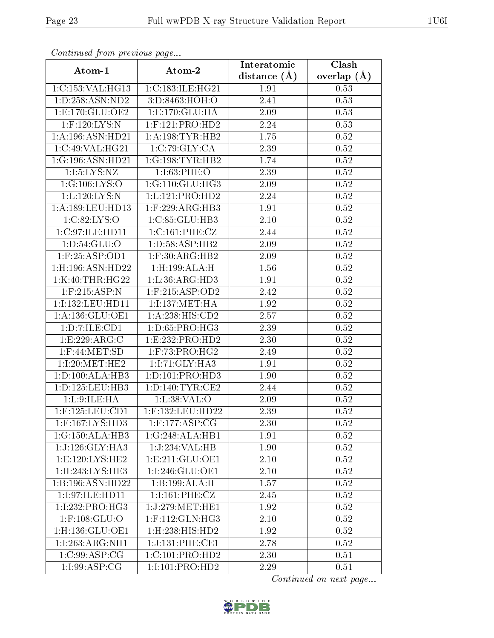| Continuea from previous page |                           | Interatomic    | Clash         |
|------------------------------|---------------------------|----------------|---------------|
| Atom-1                       | Atom-2                    | distance $(A)$ | overlap $(A)$ |
| 1:C:153:VAL:HG13             | 1:C:183:ILE:HG21          | 1.91           | 0.53          |
| 1:D:258:ASN:ND2              | 3:D:8463:HOH:O            | 2.41           | 0.53          |
| 1: E: 170: GLU: OE2          | 1: E: 170: GLU: HA        | 2.09           | 0.53          |
| $1:$ F:120:LYS:N             | $1:$ F:121:PRO:HD2        | 2.24           | 0.53          |
| 1:A:196:ASN:HD21             | 1: A:198: TYR: HB2        | 1.75           | 0.52          |
| 1:C:49:VAL:HG21              | 1:C:79:GLY:CA             | 2.39           | $0.52\,$      |
| 1:G:196:ASN:HD21             | 1:G:198:TYR:HB2           | 1.74           | 0.52          |
| 1:1:5:LYS:NZ                 | 1:I:63:PHE:O              | 2.39           | 0.52          |
| 1:G:106:LYS:O                | 1:G:110:GLU:HG3           | 2.09           | 0.52          |
| 1:L:120:LYS:N                | 1: L: 121: PRO: HD2       | 2.24           | 0.52          |
| 1: A: 189: LEU: HD13         | $1:$ F:229:ARG:HB3        | 1.91           | 0.52          |
| 1:C:82:LYS:O                 | 1:C:85:GLU:HB3            | $2.10\,$       | 0.52          |
| 1:C:97:ILE:HD11              | 1: C: 161: PHE: CZ        | 2.44           | 0.52          |
| 1: D: 54: GLU: O             | 1: D: 58: ASP: HB2        | 2.09           | 0.52          |
| 1:F:25:ASP:OD1               | $1:$ F:30:ARG:HB2         | 2.09           | 0.52          |
| 1:H:196:ASN:HD22             | 1:H:199:ALA:H             | 1.56           | 0.52          |
| 1:K:40:THR:HG22              | 1: L:36: ARG:HD3          | 1.91           | 0.52          |
| $1:$ F:215:ASP:N             | $1:$ F:215:ASP:OD2        | 2.42           | 0.52          |
| 1:I:132:LEU:HD11             | 1:1:137:MET:HA            | 1.92           | $0.52\,$      |
| 1: A: 136: GLU: OE1          | 1:A:238:HIS:CD2           | 2.57           | 0.52          |
| 1:D:7:ILE:CD1                | 1:D:65:PRO:HG3            | 2.39           | 0.52          |
| 1:E:229:ARG:C                | 1:E:232:PRO:HD2           | 2.30           | 0.52          |
| $1:$ F:44:MET:SD             | 1:F:73:PRO:HG2            | 2.49           | 0.52          |
| 1:I:20:MET:HE2               | 1:I:71:GLY:HA3            | 1.91           | 0.52          |
| 1: D: 100: ALA: HB3          | 1: D: 101: PRO: HD3       | 1.90           | $0.52\,$      |
| 1: D: 125: LEU: HB3          | 1: D: 140: TYR: CE2       | 2.44           | 0.52          |
| 1: L:9: ILE: HA              | 1:L:38:VAL:O              | 2.09           | 0.52          |
| $1:$ F:125:LEU:CD1           | 1:F:132:LEU:HD22          | 2.39           | 0.52          |
| $1:$ F:167:LYS:HD3           | $1:$ F:177:ASP:CG         | 2.30           | 0.52          |
| 1:G:150:ALA:HB3              | 1:G:248:ALA:HB1           | 1.91           | 0.52          |
| 1:J:126:GLY:HA3              | 1:J:234:VAL:HB            | 1.90           | 0.52          |
| 1: E: 120: LYS: HE2          | 1: E: 211: GLU: OE1       | 2.10           | 0.52          |
| 1:H:243:LYS:HE3              | 1:I:246:GLU:OE1           | 2.10           | 0.52          |
| 1:B:196:ASN:HD22             | 1:B:199:ALA:H             | 1.57           | 0.52          |
| 1:1:97:1LE:HD11              | 1:1:161:PHE:CZ            | 2.45           | 0.52          |
| 1:I:232:PRO:HG3              | 1:J:279:MET:HE1           | 1.92           | 0.52          |
| $1:$ F:108:GLU:O             | $1:$ F:112:GLN:HG3        | 2.10           | 0.52          |
| 1:H:136:GLU:OE1              | $1:$ H $:238:$ HIS:HD $2$ | 1.92           | 0.52          |
| $1:1:263:ARG:\overline{NH1}$ | 1:J:131:PHE:CE1           | 2.78           | 0.52          |
| 1:C:99:ASP:CG                | 1:C:101:PRO:HD2           | 2.30           | 0.51          |
| 1:1:99:ASP:CG                | 1:1:101:PRO:HD2           | 2.29           | 0.51          |

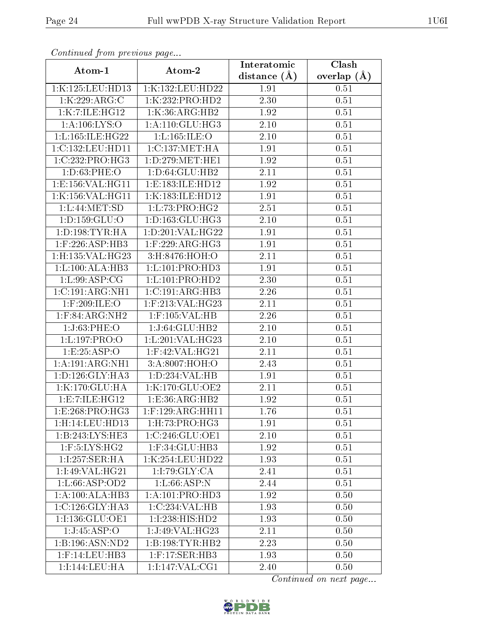| Communa from previous page      |                                 | Interatomic    | Clash         |
|---------------------------------|---------------------------------|----------------|---------------|
| Atom-1                          | Atom-2                          | distance $(A)$ | overlap $(A)$ |
| 1:K:125:LEU:HD13                | 1:K:132:LEU:HD22                | 1.91           | 0.51          |
| 1:K:229:ARG:C                   | 1:K:232:PRO:HD2                 | 2.30           | 0.51          |
| 1:K:7:ILE:HG12                  | 1:K:36:ARG:HB2                  | 1.92           | 0.51          |
| 1: A: 106: LYS: O               | 1: A:110: GLU:HG3               | 2.10           | 0.51          |
| 1:L:165:ILE:HG22                | 1: L: 165: ILE: O               | 2.10           | 0.51          |
| 1:C:132:LEU:HD11                | 1:C:137:MET:HA                  | 1.91           | 0.51          |
| 1:C:232:PRO:HG3                 | 1: D: 279: MET: HE1             | 1.92           | 0.51          |
| 1: D:63: PHE:O                  | 1: D:64: GLU:HB2                | 2.11           | 0.51          |
| 1: E: 156: VAL: HG11            | 1:E:183:ILE:HD12                | 1.92           | 0.51          |
| 1:K:156:VAL:HG11                | 1:K:183:ILE:HD12                | 1.91           | 0.51          |
| 1: L: 44: MET: SD               | 1:L:73:PRO:HG2                  | 2.51           | 0.51          |
| 1: D: 159: GLU: O               | 1: D: 163: GLU: HG3             | 2.10           | 0.51          |
| 1: D: 198: TYR: HA              | 1:D:201:VAL:HG22                | 1.91           | 0.51          |
| $1:$ F:226:ASP:HB3              | $1:$ F:229:ARG:HG3              | 1.91           | 0.51          |
| 1:H:135:VAL:HG23                | 3:H:8476:HOH:O                  | 2.11           | 0.51          |
| 1: L: 100: ALA: HB3             | 1:L:101:PRO:HD3                 | 1.91           | 0.51          |
| 1: L:99: ASP:CG                 | 1: L: 101: PRO: HD2             | 2.30           | 0.51          |
| 1:C:191:ARG:NH1                 | 1:C:191:ARG:HB3                 | 2.26           | 0.51          |
| 1:F:209:ILE:O                   | 1:F:213:VAL:HG23                | 2.11           | 0.51          |
| $1:$ F:84:ARG:NH2               | $1:$ F:105:VAL:HB               | 2.26           | 0.51          |
| 1:J:63:PHE:O                    | 1:J:64:GLU:HB2                  | 2.10           | 0.51          |
| 1:L:197:PRO:O                   | 1:L:201:VAL:HG23                | $2.10\,$       | 0.51          |
| 1:E:25:ASP:O                    | $1:$ F:42:VAL:HG21              | <b>2.11</b>    | 0.51          |
| 1:A:191:ARG:NH1                 | 3:A:8007:HOH:O                  | 2.43           | 0.51          |
| 1: D: 126: GLY: HA3             | 1: D: 234: VAL: HB              | 1.91           | 0.51          |
| 1:K:170:GLU:HA                  | 1:K:170:GLU:OE2                 | 2.11           | 0.51          |
| 1:E:7:ILE:HG12                  | 1:E:36:ARG:HB2                  | 1.92           | 0.51          |
| $1: E:268: PRO: \overline{HG3}$ | $1: \overline{F:129:ARG:HH11}$  | 1.76           | 0.51          |
| 1:H:14:LEU:HDI3                 | 1:H:73:PRO:HG3                  | 1.91           | 0.51          |
| 1:B:243:LYS:HE3                 | 1:C:246:GLU:OE1                 | 2.10           | 0.51          |
| $1:$ F:5:LYS:HG2                | $1:$ F:34:GLU: $\overline{HB3}$ | 1.92           | 0.51          |
| 1:1:257:SER:HA                  | 1:K:254:LEU:HD22                | 1.93           | 0.51          |
| 1:1:49:VAL:HG21                 | 1:1:79:GLY:CA                   | 2.41           | 0.51          |
| 1:L:66:ASP:OD2                  | 1: L:66: ASP:N                  | 2.44           | 0.51          |
| 1:A:100:ALA:HB3                 | 1:A:101:PRO:HD3                 | 1.92           | 0.50          |
| 1:C:126:GLY:HA3                 | 1:C:234:VAL:HB                  | 1.93           | 0.50          |
| 1:1:136:GLU:OE1                 | 1:I:238:HIS:HD2                 | 1.93           | 0.50          |
| 1:J:45:ASP:O                    | 1:J:49:VAL:HG23                 | 2.11           | 0.50          |
| 1:B:196:ASN:ND2                 | 1:B:198:TYR:HB2                 | 2.23           | 0.50          |
| $1:$ F:14:LEU:HB3               | $1:$ F:17:SER:HB3               | 1.93           | 0.50          |
| 1:1:144:LEU:HA                  | 1:1:147:VAL:CG1                 | 2.40           | 0.50          |

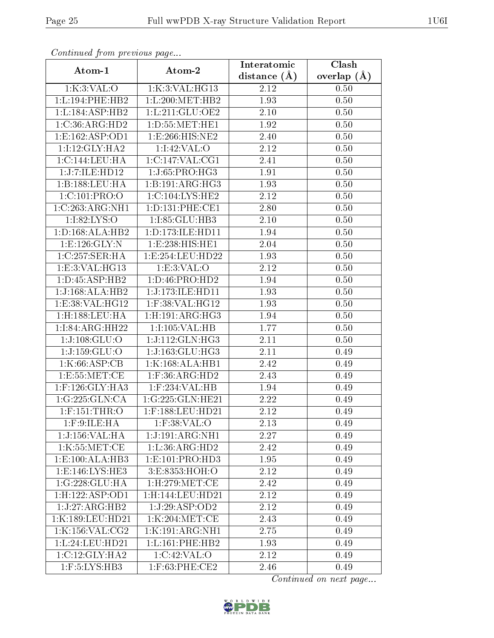| Continuati pont previous page |                              | Interatomic      | Clash           |
|-------------------------------|------------------------------|------------------|-----------------|
| Atom-1                        | Atom-2                       | distance $(\AA)$ | overlap $(\AA)$ |
| 1:K:3:VAL:O                   | 1:K:3:VAL:HG13               | 2.12             | 0.50            |
| 1:L:194:PHE:HB2               | 1:L:200:MET:HB2              | 1.93             | 0.50            |
| 1:L:184:ASP:HB2               | 1: L:211: GLU:OE2            | $2.10\,$         | 0.50            |
| 1:C:36:ARG:HD2                | 1: D: 55: MET: HE1           | 1.92             | 0.50            |
| 1:E:162:ASP:OD1               | 1:E:266:HIS:NE2              | 2.40             | 0.50            |
| 1:1:12:GLY:HA2                | 1:1:42:VAL:O                 | 2.12             | 0.50            |
| 1:C:144:LEU:HA                | 1:C:147:VAL:CG1              | 2.41             | 0.50            |
| 1:J:7:ILE:HD12                | 1:J:65:PRO:H <sub>G3</sub>   | 1.91             | 0.50            |
| 1:B:188:LEU:HA                | 1:B:191:ARG:HG3              | 1.93             | 0.50            |
| 1:C:101:PRO:O                 | 1:C:104:LYS:HE2              | 2.12             | 0.50            |
| 1:C:263:ARG:NH1               | 1: D: 131: PHE: CE1          | 2.80             | 0.50            |
| 1:I:82:LYS:O                  | 1:I:85:GLU:HB3               | 2.10             | 0.50            |
| 1: D: 168: ALA: HB2           | 1:D:173:ILE:HD11             | 1.94             | 0.50            |
| 1: E: 126: GLY:N              | 1:E:238:HIS:HE1              | 2.04             | 0.50            |
| 1:C:257:SER:HA                | 1:E:254:LEU:HD22             | 1.93             | 0.50            |
| 1:E:3:VAL:HG13                | 1: E:3: VAL:O                | 2.12             | 0.50            |
| 1:D:45:ASP:HB2                | 1: D: 46: PRO: HD2           | 1.94             | 0.50            |
| 1:J:168:ALA:HB2               | 1:J:173:ILE:HD11             | 1.93             | 0.50            |
| 1:E:38:VAL:HG12               | 1:F:38:VAL:HG12              | 1.93             | 0.50            |
| $1:$ H $:188:$ LEU $:$ HA     | 1: H: 191: ARG: HG3          | 1.94             | 0.50            |
| 1:I:84:ARG:HH22               | 1:I:105:VAL:HB               | 1.77             | 0.50            |
| 1:J:108:GLU:O                 | 1:J:112:GLN:HG3              | 2.11             | 0.50            |
| 1:J:159:GLU:O                 | 1:J:163:GLU:HG3              | <b>2.11</b>      | 0.49            |
| 1:K:66:ASP:CB                 | 1:K:168:ALA:HB1              | 2.42             | 0.49            |
| 1:E:55:MET:CE                 | $1:$ F:36:ARG:HD2            | 2.43             | 0.49            |
| $1:$ F:126: $GLY:HA3$         | 1:F:234:VAL:HB               | 1.94             | 0.49            |
| 1:G:225:GLN:CA                | 1:G:225:GLN:HE21             | 2.22             | 0.49            |
| $1:$ F:151:THR:O              | $1:$ F:188:LEU:HD21          | 2.12             | 0.49            |
| $1:$ F:9:ILE:HA               | $1:$ F:38:VAL:O              | 2.13             | 0.49            |
| 1:J:156:VAL:HA                | 1:J:191:ARG:NH1              | 2.27             | 0.49            |
| 1:K:55:MET:CE                 | $1: L:36: \widehat{ARG:HD2}$ | 2.42             | 0.49            |
| 1: E: 100: ALA: HB3           | 1:E:101:PRO:HD3              | 1.95             | 0.49            |
| 1: E: 146: LYS: HE3           | 3:E:8353:HOH:O               | 2.12             | 0.49            |
| 1:G:228:GLU:HA                | $1:$ H $:279:$ MET $:$ CE    | 2.42             | 0.49            |
| 1:H:122:ASP:OD1               | 1:H:144:LEU:HD21             | 2.12             | 0.49            |
| 1:J:27:ARG:HB2                | 1:J:29:ASP:OD2               | 2.12             | 0.49            |
| 1:K:189:LEU:HD21              | 1:K:204:MET:CE               | 2.43             | 0.49            |
| 1:K:156:VAL:CG2               | 1:K:191:ARG:NH1              | 2.75             | 0.49            |
| 1:L:24:LEU:HD21               | 1: L: 161: PHE: HB2          | 1.93             | 0.49            |
| 1:C:12:GLY:HA2                | 1:C:42:VAL:O                 | 2.12             | 0.49            |
| 1:F:5:LYS:HB3                 | $1:$ F:63:PHE:CE2            | 2.46             | 0.49            |

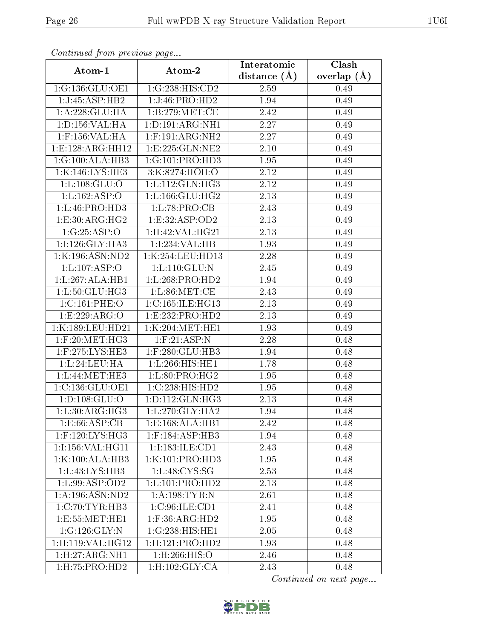| Continuea from previous page        |                     | Interatomic  | Clash           |
|-------------------------------------|---------------------|--------------|-----------------|
| Atom-1                              | Atom-2              | distance (Å) | overlap $(\AA)$ |
| 1:G:136:GLU:OE1                     | 1:G:238:HIS:CD2     | 2.59         | 0.49            |
| 1:J:45:ASP:HB2                      | 1:J:46:PRO:HD2      | 1.94         | 0.49            |
| 1:A:228:GLU:HA                      | 1: B: 279: MET:CE   | 2.42         | 0.49            |
| 1: D: 156: VAL: HA                  | 1: D: 191: ARG: NH1 | 2.27         | 0.49            |
| 1:F:156:VAL:HA                      | $1:$ F:191:ARG:NH2  | 2.27         | 0.49            |
| 1:E:128:ARG:HH12                    | 1:E:225:GLN:NE2     | 2.10         | 0.49            |
| 1:G:100:ALA:HB3                     | 1:G:101:PRO:HD3     | 1.95         | 0.49            |
| 1:K:146:LYS:HE3                     | 3:K:8274:HOH:O      | 2.12         | 0.49            |
| 1: L: 108: GLU:O                    | 1:L:112:GLN:HG3     | 2.12         | 0.49            |
| 1: L: 162: ASP: O                   | 1: L: 166: GLU: HG2 | 2.13         | 0.49            |
| 1:L:46:PRO:HD3                      | 1:L:78:PRO:CB       | 2.43         | 0.49            |
| 1: E: 30: ARG: HG2                  | 1:E:32:ASP:OD2      | 2.13         | 0.49            |
| 1:G:25:ASP:O                        | 1: H:42: VAL:HG21   | 2.13         | 0.49            |
| 1:I:126:GLY:HA3                     | 1:1:234:VAL:HB      | 1.93         | 0.49            |
| 1:K:196:ASN:ND2                     | 1:K:254:LEU:HD13    | 2.28         | 0.49            |
| 1: L: 107: ASP: O                   | 1: L: 110: GLU: N   | 2.45         | 0.49            |
| 1:L:267:ALA:HB1                     | 1: L:268: PRO:HD2   | 1.94         | 0.49            |
| 1: L:50: GLU: HG3                   | $1: L:86$ : MET: CE | 2.43         | 0.49            |
| 1:C:161:PHE:O                       | 1:C:165:ILE:HG13    | 2.13         | 0.49            |
| 1:E:229:ARG:O                       | 1: E: 232: PRO: HD2 | 2.13         | 0.49            |
| 1:K:189:LEU:HD21                    | 1:K:204:MET:HE1     | 1.93         | 0.49            |
| $1:$ F:20:MET:HG3                   | 1: F:21:ASP:N       | 2.28         | 0.48            |
| $1:$ F:275:LYS:HE3                  | $1:$ F:280:GLU:HB3  | 1.94         | 0.48            |
| 1: L:24:LEU:HA                      | 1:L:266:HIS:HE1     | 1.78         | 0.48            |
| 1:L:44:MET:HE3                      | 1:L:80:PRO:HG2      | 1.95         | 0.48            |
| 1:C:136:GLU:OE1                     | 1:C:238:HIS:HD2     | 1.95         | 0.48            |
| 1: D: 108: GLU: O                   | 1: D: 112: GLN: HG3 | 2.13         | 0.48            |
| 1: L:30: ARG: HG3                   | $1: L:270:$ GLY:HA2 | 1.94         | 0.48            |
| $1: E:66: \overline{\text{ASP:CB}}$ | 1: E: 168: ALA: HB1 | 2.42         | 0.48            |
| 1:F:120:LYS:HG3                     | 1:F:184:ASP:HB3     | 1.94         | 0.48            |
| 1:1:156:VAL:HG11                    | 1:I:183:ILE:CD1     | 2.43         | 0.48            |
| 1:K:100:ALA:HB3                     | 1:K:101:PRO:HD3     | 1.95         | 0.48            |
| 1: L: 43: LYS: HB3                  | 1: L: 48: CYS: SG   | 2.53         | 0.48            |
| 1: L:99: ASP:OD2                    | 1: L: 101: PRO: HD2 | 2.13         | 0.48            |
| 1:A:196:ASN:ND2                     | 1: A:198: TYR:N     | 2.61         | 0.48            |
| 1:C:70:TYR:HB3                      | 1:C:96:ILE:CD1      | 2.41         | 0.48            |
| 1:E:55:MET:HE1                      | $1:$ F:36:ARG:HD2   | 1.95         | 0.48            |
| 1:G:126:GLY:N                       | 1:G:238:HIS:HE1     | 2.05         | 0.48            |
| 1:H:119:VAL:HG12                    | 1: H: 121: PRO: HD2 | 1.93         | 0.48            |
| 1: H: 27: ARG: NH1                  | 1:H:266:HIS:O       | 2.46         | 0.48            |
| $1:$ H $:75:$ P $RO:$ H $D2$        | 1:H:102:GLY:CA      | 2.43         | 0.48            |

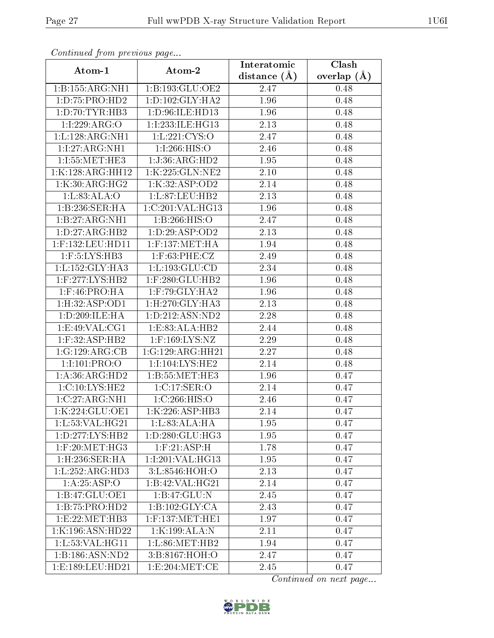| Comunaca jiom previous page |                     | Interatomic    | Clash           |
|-----------------------------|---------------------|----------------|-----------------|
| Atom-1                      | Atom-2              | distance $(A)$ | overlap $(\AA)$ |
| 1:B:155:ARG:NH1             | 1:B:193:GLU:OE2     | 2.47           | 0.48            |
| 1: D: 75: PRO: HD2          | 1: D: 102: GLY: HA2 | 1.96           | 0.48            |
| 1: D: 70: TYR: HB3          | 1: D:96: ILE: HD13  | 1.96           | 0.48            |
| 1:1:229:ARG:O               | 1:1:233:1LE:HG13    | 2.13           | 0.48            |
| 1:L:128:ARG:NH1             | 1:L:221:CYS:O       | 2.47           | 0.48            |
| 1:1:27:ARG:NH1              | 1:1:266:HIS:O       | 2.46           | 0.48            |
| 1:I:55:MET:HE3              | 1:J:36:ARG:HD2      | 1.95           | 0.48            |
| 1:K:128:ARG:HH12            | 1:K:225:GLN:NE2     | 2.10           | 0.48            |
| 1:K:30:ARG:HG2              | 1:K:32:ASP:OD2      | 2.14           | 0.48            |
| 1:L:83:ALA:O                | 1:L:87:LEU:HB2      | 2.13           | 0.48            |
| 1:B:236:SER:HA              | 1:C:201:VAL:HG13    | 1.96           | 0.48            |
| 1:B:27:ARG:NH1              | 1:B:266:HIS:O       | 2.47           | 0.48            |
| 1: D: 27: ARG: HB2          | 1:D:29:ASP:OD2      | 2.13           | 0.48            |
| 1:F:132:LEU:HD11            | 1:F:137:MET:HA      | 1.94           | 0.48            |
| 1:F:5:LYS:HB3               | $1:$ F:63:PHE:CZ    | 2.49           | 0.48            |
| 1: L: 152: GLY: HA3         | 1:L:193:GLU:CD      | 2.34           | 0.48            |
| $1:$ F:277:LYS:HB2          | $1:$ F:280:GLU:HB2  | 1.96           | 0.48            |
| $1:$ F:46:PRO:HA            | $1:$ F:79:GLY:HA2   | 1.96           | 0.48            |
| 1:H:32:ASP:OD1              | 1:H:270:GLY:HA3     | 2.13           | 0.48            |
| 1:D:209:ILE:HA              | 1: D: 212: ASN: ND2 | 2.28           | 0.48            |
| 1: E:49: VAL: CG1           | 1: E: 83: ALA: HB2  | 2.44           | 0.48            |
| $1:$ F:32:ASP:HB2           | $1:$ F:169:LYS:NZ   | 2.29           | 0.48            |
| 1:G:129:ARG:CB              | 1:G:129:ARG:HH21    | 2.27           | 0.48            |
| 1:1:101:PRO:O               | 1:1:104:LYS:HE2     | 2.14           | 0.48            |
| 1:A:36:ARG:HD2              | 1:B:55:MET:HE3      | 1.96           | 0.47            |
| 1:C:10:LYS:HE2              | 1:C:17:SER:O        | 2.14           | 0.47            |
| 1:C:27:ARG:NH1              | 1:C:266:HIS:O       | 2.46           | 0.47            |
| 1:K:224:GLU:OE1             | 1:K:226:ASP:HB3     | 2.14           | 0.47            |
| 1: L: 53: VAL:HG21          | 1: L:83: ALA: HA    | 1.95           | 0.47            |
| 1:D:277:LYS:HB2             | 1: D: 280: GLU: HG3 | 1.95           | 0.47            |
| $1:$ F:20:MET:HG3           | 1: F:21: ASP:H      | 1.78           | 0.47            |
| $1:$ H $:236:$ SER $:$ HA   | 1:I:201:VAL:HG13    | 1.95           | 0.47            |
| 1:L:252:ARG:HD3             | 3:L:8546:HOH:O      | 2.13           | 0.47            |
| 1:A:25:ASP:O                | 1:B:42:VAL:HG21     | 2.14           | 0.47            |
| 1: B:47: GLU:OE1            | 1:B:47:GLU:N        | 2.45           | 0.47            |
| 1:B:75:PRO:HD2              | 1:B:102:GLY:CA      | 2.43           | 0.47            |
| 1: E: 22: MET: HB3          | $1:$ F:137:MET:HE1  | 1.97           | 0.47            |
| 1:K:196:ASN:HD22            | 1:K:199:ALA:N       | 2.11           | 0.47            |
| 1: L: 53: VAL: HG11         | 1: L:86: MET:HB2    | 1.94           | 0.47            |
| 1:B:186:ASN:ND2             | 3:B:8167:HOH:O      | 2.47           | 0.47            |
| 1:E:189:LEU:HD21            | 1:E:204:MET:CE      | 2.45           | 0.47            |

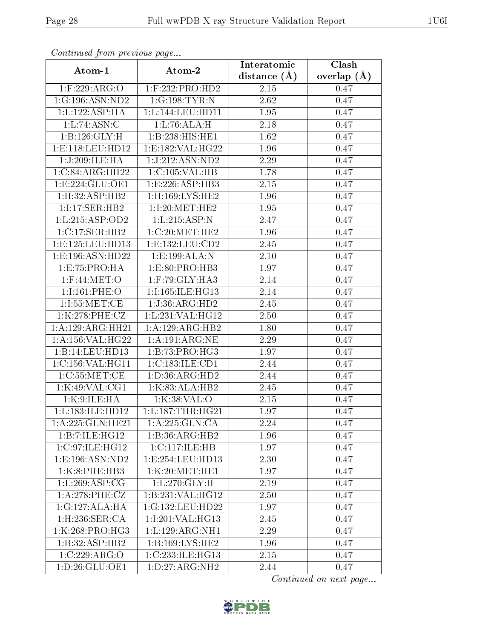| Commuca from previous page |                                      | Interatomic       | Clash         |
|----------------------------|--------------------------------------|-------------------|---------------|
| Atom-1                     | Atom-2                               | distance $(A)$    | overlap $(A)$ |
| 1:F:229:ARG:O              | $1:$ F:232:PRO:HD2                   | 2.15              | 0.47          |
| 1:G:196:ASN:ND2            | 1:G:198:TYR:N                        | $\overline{2.62}$ | 0.47          |
| 1:L:122:ASP:HA             | 1: L: 144: LEU: HD11                 | $1.95\,$          | 0.47          |
| 1:L:74:ASN:C               | 1:L:76:ALA:H                         | 2.18              | 0.47          |
| 1:B:126:GLY:H              | 1:B:238:HIS:HE1                      | 1.62              | 0.47          |
| 1:E:118:EU:HD12            | 1: E: 182: VAL:HG22                  | 1.96              | 0.47          |
| 1:J:209:ILE:HA             | 1:J:212:ASN:ND2                      | 2.29              | 0.47          |
| 1:C:84:ARG:HH22            | 1:C:105:VAL:HB                       | 1.78              | 0.47          |
| 1:E:224:GLU:OE1            | 1:E:226:ASP:HB3                      | 2.15              | 0.47          |
| 1: H:32: ASP:HB2           | $1:$ H:169:LYS:HE2                   | 1.96              | 0.47          |
| 1:I:17:SER:HB2             | 1:1:20:MET:HE2                       | 1.95              | 0.47          |
| 1: L: 215: ASP:OD2         | 1:L:215:ASP:N                        | 2.47              | 0.47          |
| 1:C:17:SER:HB2             | 1:C:20:MET:HE2                       | 1.96              | 0.47          |
| 1: E: 125: LEU: HD13       | 1: E: 132: LEU: CD2                  | 2.45              | 0.47          |
| 1:E:196:ASN:HD22           | 1:E:199:ALA:N                        | 2.10              | 0.47          |
| 1:E:75:PRO:HA              | 1:E:80:PRO:HB3                       | 1.97              | 0.47          |
| $1:$ F:44:MET:O            | $1:$ F:79:GLY:HA3                    | 2.14              | 0.47          |
| 1:1:161:PHE:O              | 1:I:165:ILE:HG13                     | 2.14              | 0.47          |
| 1:1:55:MET:CE              | 1:J:36:ARG:HD2                       | 2.45              | 0.47          |
| 1:K:278:PHE:CZ             | 1:L:231:VAL:HG12                     | 2.50              | 0.47          |
| 1:A:129:ARG:HH21           | 1:A:129:ARG:HB2                      | 1.80              | 0.47          |
| 1:A:156:VAL:HG22           | 1: A: 191: ARG: NE                   | 2.29              | 0.47          |
| 1:B:14:LEU:HD13            | 1:B:73:PRO:HG3                       | 1.97              | 0.47          |
| 1:C:156:VAL:HG11           | 1:C:183:ILE:CD1                      | 2.44              | 0.47          |
| 1:C:55:MET:CE              | 1:D:36:ARG:HD2                       | 2.44              | 0.47          |
| 1:K:49:VAL:CG1             | 1:K:83:ALA:HB2                       | $\overline{2}.45$ | 0.47          |
| 1:K:9:ILE:HA               | 1:K:38:VAL:O                         | 2.15              | 0.47          |
| 1: L: 183: ILE: HD12       | 1: L: 187: THR: HG21                 | 1.97              | 0.47          |
| 1:A:225:GLN:HE21           | 1:A:225:GLN:CA                       | 2.24              | 0.47          |
| 1:B:7:ILE:HG12             | $1:B:36:A\overline{\mathrm{RG:HB2}}$ | 1.96              | 0.47          |
| 1:C:97:ILE:HG12            | 1: C: 117: ILE: HB                   | 1.97              | 0.47          |
| 1: E: 196: ASN: ND2        | 1:E:254:LEU:HD13                     | 2.30              | 0.47          |
| 1:K:8:PHE:HB3              | 1:K:20:MET:HE1                       | 1.97              | 0.47          |
| 1:L:269:ASP:CG             | 1: L:270: GLY:H                      | 2.19              | 0.47          |
| 1: A:278: PHE: CZ          | 1:B:231:VAL:HG12                     | 2.50              | 0.47          |
| 1:G:127:ALA:HA             | 1:G:132:LEU:HD22                     | 1.97              | 0.47          |
| 1:H:236:SER:CA             | 1:I:201:VAL:HG13                     | 2.45              | 0.47          |
| 1:K:268:PRO:HG3            | 1: L: 129: ARG: NH1                  | 2.29              | 0.47          |
| 1:B:32:ASP:HB2             | $1:B:169:LYS:H\overline{E2}$         | 1.96              | 0.47          |
| 1:C:229:ARG:O              | 1:C:233:ILE:HG13                     | 2.15              | 0.47          |
| 1:D:26:GLU:OE1             | $1: D: 27: \overline{\text{RG:NH2}}$ | 2.44              | 0.47          |

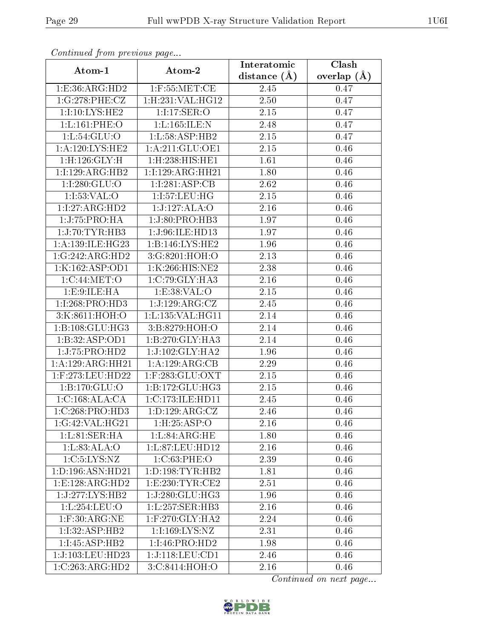| Continuati pom previous page |                     | Interatomic       | Clash         |
|------------------------------|---------------------|-------------------|---------------|
| Atom-1                       | Atom-2              | distance $(A)$    | overlap $(A)$ |
| 1: E: 36: ARG: HD2           | $1:$ F:55:MET:CE    | 2.45              | 0.47          |
| 1:G:278:PHE:CZ               | 1:H:231:VAL:HG12    | 2.50              | 0.47          |
| 1:1:10:LYS:HE2               | 1:1:17:SER:O        | 2.15              | 0.47          |
| 1: L: 161: PHE: O            | 1:L:165:ILE:N       | 2.48              | 0.47          |
| 1: L: 54: GLU:O              | 1:L:58:ASP:HB2      | 2.15              | 0.47          |
| 1: A:120: LYS: HE2           | 1: A:211: GLU:OE1   | 2.15              | 0.46          |
| 1:H:126:GLY:H                | 1: H:238:HIS:HE1    | $\overline{1.61}$ | 0.46          |
| 1:1:129:ARG:HB2              | 1:1:129:ARG:HH21    | 1.80              | 0.46          |
| 1:1:280:GLU:O                | 1:1:281:ASP:CB      | 2.62              | 0.46          |
| 1:I:53:VAL:O                 | 1:I:57:LEU:HG       | 2.15              | 0.46          |
| 1:1:27:ARG:HD2               | 1:J:127:ALA:O       | 2.16              | 0.46          |
| 1:J:75:PRO:HA                | 1:J:80:PRO:HB3      | 1.97              | 0.46          |
| 1:J:70:TYR:HB3               | 1:J:96:ILE:HD13     | 1.97              | 0.46          |
| 1:A:139:ILE:HG23             | 1:B:146:LYS:HE2     | 1.96              | 0.46          |
| 1:G:242:ARG:HD2              | 3:G:8201:HOH:O      | 2.13              | 0.46          |
| 1:K:162:ASP:OD1              | 1:K:266:HIS:NE2     | 2.38              | 0.46          |
| 1:C:44:MET:O                 | 1:C:79:GLY:HA3      | 2.16              | 0.46          |
| 1: E: 9: ILE: HA             | 1: E: 38: VAL: O    | 2.15              | 0.46          |
| 1:I:268:PRO:HD3              | 1:J:129:ARG:CZ      | 2.45              | 0.46          |
| 3:K:8611:HOH:O               | 1: L: 135: VAL:HGI1 | 2.14              | 0.46          |
| 1:B:108:GLU:HG3              | 3:B:8279:HOH:O      | 2.14              | 0.46          |
| 1:B:32:ASP:OD1               | 1:B:270:GLY:HA3     | 2.14              | 0.46          |
| 1:J:75:PRO:HD2               | 1:J:102:GLY:HA2     | 1.96              | 0.46          |
| 1:A:129:ARG:HH21             | 1:A:129:ARG:CB      | 2.29              | 0.46          |
| 1:F:273:LEU:HD22             | $1:$ F:283:GLU:OXT  | 2.15              | 0.46          |
| 1:B:170:GLU:O                | 1:B:172:GLU:HG3     | 2.15              | 0.46          |
| 1:C:168:ALA:CA               | 1:C:173:ILE:HD11    | 2.45              | 0.46          |
| $1:C:268:PRO:\overline{HD3}$ | 1:D:129:ARG:CZ      | 2.46              | 0.46          |
| 1:G:42:VAL:HG21              | 1:H:25:ASP:O        | 2.16              | 0.46          |
| 1: L:81:SER:HA               | 1: L:84: ARG: HE    | 1.80              | 0.46          |
| 1: L:83: ALA:O               | 1:L:87:LEU:HD12     | 2.16              | 0.46          |
| $1:C:5:\text{LYS}:NZ$        | 1:C:63:PHE:O        | 2.39              | 0.46          |
| 1: D: 196: ASN: HD21         | 1: D: 198: TYR: HB2 | 1.81              | 0.46          |
| 1:E:128:ARG:HD2              | 1: E: 230: TYR: CE2 | 2.51              | 0.46          |
| 1:J:277:LYS:HB2              | 1:J:280:GLU:HG3     | 1.96              | 0.46          |
| 1:L:254:LEU:O                | 1:L:257:SER:HB3     | 2.16              | 0.46          |
| $1:$ F:30:ARG:NE             | $1:$ F:270:GLY:HA2  | 2.24              | 0.46          |
| 1:I:32:ASP:HB2               | 1:I:169:LYS:NZ      | 2.31              | 0.46          |
| 1:1:45:ASP:HB2               | 1:I:46:PRO:HD2      | 1.98              | 0.46          |
| 1:J:103:LEU:HD23             | 1:J:118:LEU:CD1     | 2.46              | 0.46          |
| 1:C:263:ARG:HD2              | 3:C:8414:HOH:O      | 2.16              | 0.46          |

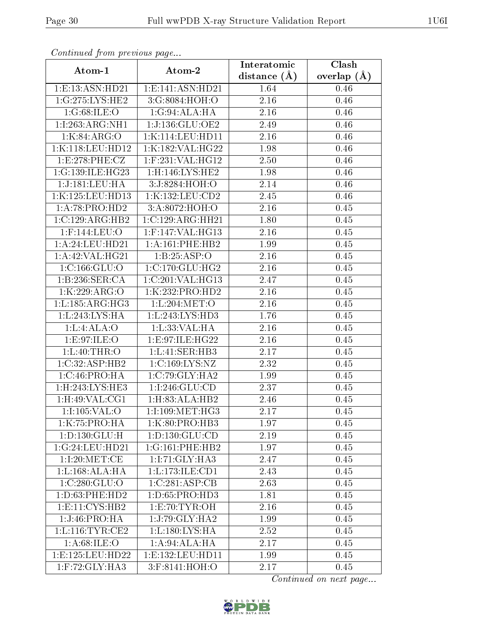| Continued from previous page |                                 | Interatomic       | Clash           |
|------------------------------|---------------------------------|-------------------|-----------------|
| Atom-1                       | Atom-2                          | distance $(A)$    | overlap $(\AA)$ |
| 1:E:13:ASN:HD21              | 1: E: 141: ASN: HD21            | 1.64              | 0.46            |
| 1:G:275:LYS:HE2              | 3:G:8084:HOH:O                  | 2.16              | 0.46            |
| 1:G:68:ILE:O                 | 1:G:94:ALA:HA                   | 2.16              | 0.46            |
| 1:1:263:ARG:NH1              | 1:J:136:GLU:OE2                 | 2.49              | 0.46            |
| 1:K:84:ARG:O                 | 1:K:114:LEU:HD11                | 2.16              | 0.46            |
| 1:K:118:LEU:HD12             | 1:K:182:VAL:HG22                | 1.98              | 0.46            |
| 1:E:278:PHE:CZ               | $1:$ F:231:VAL:HG12             | 2.50              | 0.46            |
| 1:G:139:ILE:HG23             | 1:H:146:LYS:HE2                 | 1.98              | 0.46            |
| 1:J:181:LEU:HA               | 3:J:8284:HOH:O                  | 2.14              | 0.46            |
| 1:K:125:LEU:HD13             | 1:K:132:LEU:CD2                 | 2.45              | 0.46            |
| 1:A:78:PRO:HD2               | 3:A:8072:HOH:O                  | 2.16              | 0.45            |
| 1:C:129:ARG:HB2              | 1:C:129:ARG:HH21                | $\overline{1.80}$ | 0.45            |
| 1:F:144:LEU:O                | 1:F:147:VAL:HG13                | 2.16              | 0.45            |
| 1:A:24:LEU:HD21              | 1: A:161:PHE:HB2                | 1.99              | 0.45            |
| 1:A:42:VAL:HG21              | 1:B:25:ASP:O                    | 2.16              | 0.45            |
| 1:C:166:GLU:O                | 1:C:170:CLU:HG2                 | 2.16              | 0.45            |
| 1:B:236:SER:CA               | 1:C:201:VAL:HG13                | 2.47              | 0.45            |
| 1:K:229:ARG:O                | 1:K:232:PRO:HD2                 | 2.16              | 0.45            |
| 1: L: 185: ARG: HG3          | 1: L:204: MET:O                 | 2.16              | 0.45            |
| 1: L: 243: LYS: HA           | 1: L: 243: LYS: HD3             | 1.76              | 0.45            |
| 1: L: 4: ALA: O              | 1:L:33:VAL:HA                   | 2.16              | 0.45            |
| 1:E:97:ILE:O                 | 1: E:97: ILE: HG22              | 2.16              | 0.45            |
| 1: L:40:THR:O                | 1:L:41:SER:HB3                  | 2.17              | 0.45            |
| 1:C:32:ASP:HB2               | 1:C:169:LYS:NZ                  | 2.32              | 0.45            |
| 1:C:46:PRO:HA                | 1:C:79:GLY:HA2                  | 1.99              | 0.45            |
| $1:$ H $:243:LYS:$ HE3       | 1:I:246:GLU:CD                  | 2.37              | 0.45            |
| $1:$ H:49:VAL:CG1            | 1:H:83:ALA:HB2                  | 2.46              | 0.45            |
| 1:1:105:VAL:O                | 1:1:109:MET:HG3                 | 2.17              | 0.45            |
| 1:K:75:PRO:HA                | 1:K:80:PRO:HB3                  | 1.97              | 0.45            |
| 1:D:130:GLU:H                | 1:D:130:GLU:CD                  | 2.19              | 0.45            |
| 1:G:24:LEU:HD21              | 1:G:161:PHE:HB2                 | 1.97              | 0.45            |
| 1:1:20:MET:CE                | 1:I:71:GLY:HA3                  | 2.47              | 0.45            |
| 1: L: 168: ALA: HA           | 1:L:173:ILE:CD1                 | 2.43              | 0.45            |
| 1:C:280:GLU:O                | 1:C:281:ASP:CB                  | 2.63              | 0.45            |
| 1: D: 63: PHE: HD2           | 1: D: 65: PRO: HD3              | 1.81              | 0.45            |
| 1: E: 11: CYS: HB2           | 1: E: 70: TYR: OH               | 2.16              | 0.45            |
| 1:J:46:PRO:HA                | $1:J:79:GLY:H\overline{A2}$     | 1.99              | 0.45            |
| 1: L: 116: TYR: CE2          | $1: L: 180: LYS: \overline{HA}$ | 2.52              | 0.45            |
| 1: A:68: ILE: O              | 1:A:94:ALA:HA                   | 2.17              | 0.45            |
| 1:E:125:LEU:HD22             | 1: E: 132: LEU: HD11            | 1.99              | 0.45            |
| 1:F:72:GLY:HA3               | 3:F:8141:HOH:O                  | 2.17              | 0.45            |

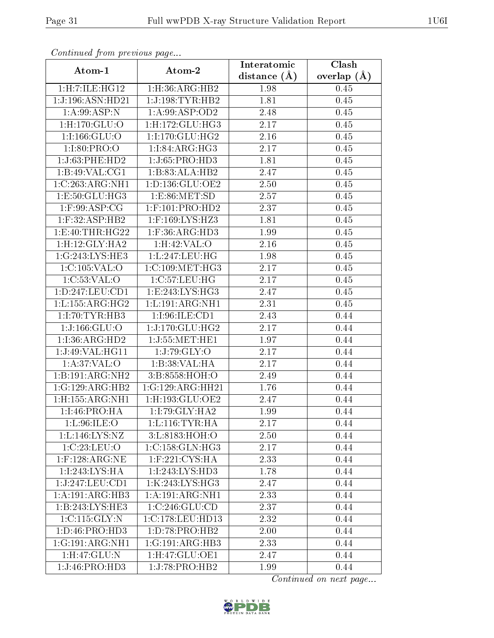| Continuea from previous page  |                               | Interatomic    | Clash           |
|-------------------------------|-------------------------------|----------------|-----------------|
| Atom-1                        | Atom-2                        | distance $(A)$ | overlap $(\AA)$ |
| 1:H:7:ILE:HG12                | 1: H:36: ARG: HB2             | 1.98           | 0.45            |
| $1:J:196:ASN:H\overline{D}21$ | 1:J:198:TYR:HB2               | 1.81           | 0.45            |
| 1:A:99:ASP:N                  | 1: A:99: ASP:OD2              | 2.48           | 0.45            |
| $1:$ H $:170:$ GLU $:$ O      | $1:$ H $:172:$ GLU $:$ H $G3$ | 2.17           | 0.45            |
| 1:1:166:GLU:O                 | 1:I:170:GLU:HG2               | 2.16           | 0.45            |
| 1:1:80:PRO:O                  | 1:1:84:ARG:HG3                | 2.17           | 0.45            |
| 1:J:63:PHE:HD2                | $1:J:65:PRO:H\overline{D3}$   | 1.81           | 0.45            |
| 1:B:49:VAL:CG1                | 1:B:83:ALA:HB2                | 2.47           | 0.45            |
| 1:C:263:ARG:NH1               | 1:D:136:GLU:OE2               | 2.50           | 0.45            |
| 1:E:50:GLU:HG3                | 1: E: 86: MET: SD             | 2.57           | 0.45            |
| $1:$ F:99:ASP:CG              | $1:$ F:101:PRO:HD2            | 2.37           | 0.45            |
| 1:F:32:ASP:HB2                | 1:F:169:LYS:HZ3               | 1.81           | 0.45            |
| 1:E:40:THR:HG22               | $1:$ F:36:ARG:HD3             | 1.99           | 0.45            |
| 1:H:12:GLY:HA2                | $1:H:42:\overline{VAL:O}$     | 2.16           | 0.45            |
| 1:G:243:LYS:HE3               | 1:L:247:LEU:HG                | 1.98           | 0.45            |
| 1:C:105:VAL:O                 | 1:C:109:MET:HG3               | 2.17           | 0.45            |
| 1:C:53:VAL:O                  | 1:C:57:LEU:HG                 | 2.17           | 0.45            |
| 1: D: 247: LEU: CD1           | 1:E:243:LYS:HG3               | 2.47           | 0.45            |
| 1: L: 155: ARG: HG2           | 1: L: 191: ARG: NH1           | 2.31           | 0.45            |
| 1:1:70:TYR:HB3                | 1:1:96:ILE:CD1                | 2.43           | 0.44            |
| 1:J:166:GLU:O                 | 1:J:170:GLU:HG2               | 2.17           | 0.44            |
| 1:I:36:ARG:HD2                | 1:J:55:MET:HE1                | 1.97           | 0.44            |
| 1:J:49:VAL:HG11               | 1:J:79:GLY:O                  | 2.17           | 0.44            |
| 1: A:37: VAL:O                | 1:B:38:VAL:HA                 | 2.17           | 0.44            |
| 1:B:191:ARG:NH2               | 3:B:8558:HOH:O                | 2.49           | 0.44            |
| 1:G:129:ARG:HB2               | 1:G:129:ARG:HH21              | 1.76           | 0.44            |
| 1:H:155:ARG:NH1               | 1:H:193:GLU:OE2               | 2.47           | 0.44            |
| 1:I:46:PRO:HA                 | 1:I:79:GLY:HA2                | 1.99           | 0.44            |
| 1: L:96: ILE: O               | 1: L: 116: TYR: HA            | 2.17           | 0.44            |
| 1: L: 146: LYS: NZ            | 3: L: 8183: HOH:O             | 2.50           | 0.44            |
| 1:C:23:LEU:O                  | 1:C:158:GLN:HG3               | 2.17           | 0.44            |
| $1:$ F:128:ARG:NE             | $1:$ F:221:CYS:HA             | 2.33           | 0.44            |
| 1:1:243:LYS:HA                | 1:I:243:LYS:HD3               | 1.78           | 0.44            |
| 1:J:247:LEU:CD1               | 1:K:243:LYS:HG3               | 2.47           | 0.44            |
| 1:A:191:ARG:HB3               | 1: A:191: ARG:NH1             | 2.33           | 0.44            |
| 1:B:243:LYS:HE3               | 1:C:246:GLU:CD                | 2.37           | 0.44            |
| 1:C:115:GLY:N                 | 1:C:178:LEU:HD13              | 2.32           | 0.44            |
| 1:D:46:PRO:HD3                | 1:D:78:PRO:HB2                | 2.00           | 0.44            |
| 1:G:191:ARG:NH1               | 1:G:191:ARG:HB3               | 2.33           | 0.44            |
| 1:H:47:GLU:N                  | 1:H:47:GLU:OE1                | 2.47           | 0.44            |
| 1:J:46:PRO:HD3                | 1:J:78:PRO:HB2                | 1.99           | 0.44            |

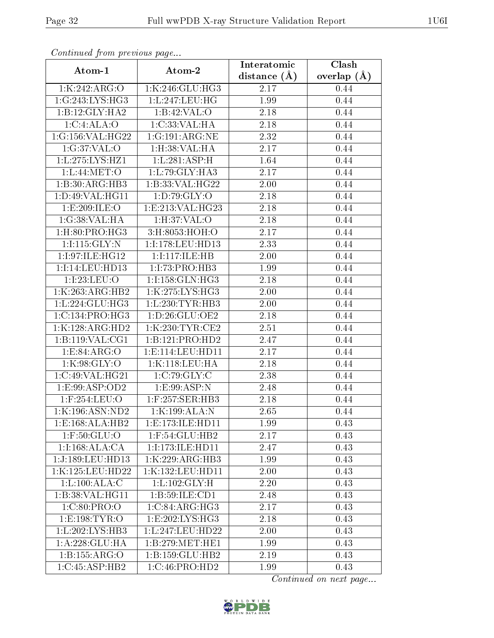| Continua from pretious page |                      | Interatomic    | Clash         |
|-----------------------------|----------------------|----------------|---------------|
| Atom-1                      | Atom-2               | distance $(A)$ | overlap $(A)$ |
| 1:K:242:ARG:O               | 1:K:246:GLU:HG3      | 2.17           | 0.44          |
| 1:G:243:LYS:HG3             | 1:L:247:LEU:HG       | 1.99           | 0.44          |
| 1:B:12:GLY:HA2              | 1:B:42:VAL:O         | 2.18           | 0.44          |
| 1:C:4:ALA:O                 | 1:C:33:VAL:HA        | 2.18           | 0.44          |
| 1:G:156:VAL:HG22            | 1:G:191:ARG:NE       | 2.32           | 0.44          |
| 1:G:37:VAL:O                | 1: H:38: VAL: HA     | 2.17           | 0.44          |
| 1: L: 275: LYS: HZ1         | 1:L:281:ASP:H        | 1.64           | 0.44          |
| 1: L:44: MET:O              | 1:L:79:GLY:HA3       | 2.17           | 0.44          |
| 1:B:30:ARG:HB3              | 1:B:33:VAL:HG22      | 2.00           | 0.44          |
| 1: D:49: VAL:HGI1           | 1: D: 79: GLY: O     | 2.18           | 0.44          |
| 1:E:209:ILE:O               | 1:E:213:VAL:HG23     | 2.18           | $0.44\,$      |
| 1:G:38:VAL:HA               | 1: H:37: VAL:O       | 2.18           | 0.44          |
| 1:H:80:PRO:HG3              | 3:H:8053:HOH:O       | 2.17           | 0.44          |
| 1:1:115:GLY:N               | 1:I:178:LEU:HD13     | 2.33           | 0.44          |
| 1:I:97:ILE:HG12             | 1:1:117:1LE:HB       | 2.00           | 0.44          |
| 1:1:14:LEU:HD13             | 1:1:73:PRO:HB3       | 1.99           | 0.44          |
| 1:I:23:LEU:O                | 1:I:158:GLN:HG3      | 2.18           | 0.44          |
| 1:K:263:ARG:HB2             | 1:K:275:LYS:HG3      | 2.00           | 0.44          |
| 1:L:224:GLU:HG3             | 1: L: 230: TYR: HB3  | 2.00           | 0.44          |
| 1:C:134:PRO:HG3             | 1: D:26: GLU:OE2     | 2.18           | 0.44          |
| 1:K:128:ARG:HD2             | 1:K:230:TYR:CE2      | 2.51           | 0.44          |
| 1: B: 119: VAL: CG1         | 1:B:121:PRO:HD2      | 2.47           | 0.44          |
| 1: E:84: ARG:O              | 1: E: 114: LEU: HD11 | 2.17           | 0.44          |
| 1:K:98:GLY:O                | 1:K:118:LEU:HA       | 2.18           | 0.44          |
| 1:C:49:VAL:HG21             | 1:C:79:GLY:C         | 2.38           | 0.44          |
| 1: E: 99: ASP: OD2          | 1:E:99:ASP:N         | 2.48           | 0.44          |
| $1:$ F:254:LEU:O            | $1:$ F:257:SER:HB3   | 2.18           | 0.44          |
| 1:K:196:ASN:ND2             | 1:K:199:ALA:N        | 2.65           | 0.44          |
| 1: E: 168: ALA: HB2         | 1:E:173:ILE:HD11     | 1.99           | 0.43          |
| $1:$ F:50:GLU:O             | 1:F:54:GLU:HB2       | 2.17           | 0.43          |
| 1:1:168:ALA:CA              | 1:1:173:1LE:HD11     | 2.47           | 0.43          |
| 1:J:189:LEU:HD13            | 1:K:229:ARG:HB3      | 1.99           | 0.43          |
| 1:K:125:LEU:HD22            | 1:K:132:LEU:HD11     | 2.00           | 0.43          |
| 1:L:100:ALA:C               | 1: L: 102: GLY: H    | 2.20           | 0.43          |
| 1:B:38:VAL:HG11             | 1:B:59:ILE:CD1       | 2.48           | 0.43          |
| 1:C:80:PRO:O                | 1:C:84:ARG:HG3       | 2.17           | 0.43          |
| 1:E:198:TYR:O               | 1: E: 202: LYS: HG3  | 2.18           | 0.43          |
| 1:L:202:LYS:HB3             | 1:L:247:LEU:HD22     | 2.00           | 0.43          |
| 1: A:228: GLU:HA            | 1: B:279:MET:HE1     | 1.99           | 0.43          |
| 1:B:155:ARG:O               | 1: B: 159: GLU: HB2  | 2.19           | 0.43          |
| 1:C:45:ASP:HB2              | 1:C:46:PRO:HD2       | 1.99           | 0.43          |

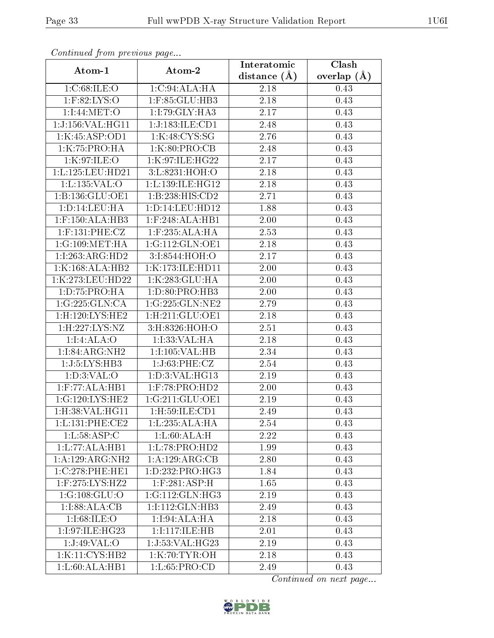| Continuati prom pretious page          |                              | Interatomic       | Clash         |
|----------------------------------------|------------------------------|-------------------|---------------|
| Atom-1                                 | Atom-2                       | distance $(A)$    | overlap $(A)$ |
| 1: C:68: ILE: O                        | 1:C:94:ALA:HA                | $2.18\,$          | 0.43          |
| $1:$ F:82:LYS:O                        | 1:F:85:GLU:HB3               | $\overline{2.18}$ | 0.43          |
| 1:I:44:MET:O                           | 1:I:79:GLY:HA3               | 2.17              | 0.43          |
| 1:J:156:VAL:HG11                       | 1:J:183:ILE:CD1              | 2.48              | 0.43          |
| 1:K:45:ASP:OD1                         | 1:K:48:CYS:SG                | 2.76              | 0.43          |
| 1:K:75:PRO:HA                          | 1:K:80:PRO:CB                | 2.48              | 0.43          |
| 1:K:97:ILE:O                           | 1:K:97:ILE:HG22              | 2.17              | 0.43          |
| 1: L: 125: LEU: HD21                   | 3:L:8231:HOH:O               | 2.18              | 0.43          |
| 1:L:135:VAL:O                          | 1:L:139:ILE:HG12             | 2.18              | 0.43          |
| 1:B:136:GLU:OE1                        | 1:B:238:HIS:CD2              | 2.71              | 0.43          |
| 1: D: 14: LEU: HA                      | 1: D: 14: LEU: HD12          | 1.88              | 0.43          |
| $1:$ F:150:ALA:HB3                     | $1:$ F:248:ALA:HB1           | 2.00              | 0.43          |
| $1:$ F:131:PHE:CZ                      | 1:F:235:ALA:HA               | 2.53              | 0.43          |
| 1:G:109:MET:HA                         | 1:G:112:GLN:OE1              | 2.18              | 0.43          |
| 1:I:263:ARG:HD2                        | 3:I:8544:HOH:O               | 2.17              | 0.43          |
| 1:K:168:ALA:HB2                        | 1:K:173:ILE:HD11             | 2.00              | 0.43          |
| 1:K:273:LEU:HD22                       | 1:K:283:GLU:HA               | 2.00              | 0.43          |
| 1: D: 75: PRO: HA                      | 1: D: 80: PRO: HB3           | 2.00              | 0.43          |
| 1:G:225:GLN:CA                         | 1:G:225:GLN:NE2              | 2.79              | 0.43          |
| 1:H:120:LYS:HE2                        | 1: H:211: GLU:OE1            | 2.18              | 0.43          |
| $1:$ H:227: $\overline{\text{LYS:}NZ}$ | 3:H:8326:HOH:O               | 2.51              | 0.43          |
| 1:1:4:ALA:O                            | 1:I:33:VAL:HA                | 2.18              | 0.43          |
| 1:1:84:ARG:NH2                         | 1:I:105:VAL:HB               | 2.34              | 0.43          |
| 1:J:5:LYS:HB3                          | 1:J:63:PHE:CZ                | 2.54              | 0.43          |
| 1: D:3: VAL:O                          | 1:D:3:VAL:HG13               | 2.19              | 0.43          |
| $1:$ F:77:ALA:HB1                      | 1:F:78:PRO:HD2               | 2.00              | 0.43          |
| 1:G:120:LYS:HE2                        | 1:G:211:GLU:OE1              | 2.19              | 0.43          |
| 1:H:38: VAL: HG11                      | $1:$ H $:59:$ ILE $:$ CD $1$ | 2.49              | 0.43          |
| 1:L:131:PHE:CE2                        | 1:L:235:ALA:HA               | 2.54              | 0.43          |
| 1: L: 58: ASP: C                       | 1: L:60:ALA:H                | 2.22              | 0.43          |
| 1: L: 77: ALA: HB1                     | 1: L: 78: PRO: HD2           | 1.99              | 0.43          |
| 1:A:129:ARG:NH2                        | 1:A:129:ARG:CB               | 2.80              | 0.43          |
| 1:C:278:PHE:HE1                        | 1:D:232:PRO:HG3              | 1.84              | 0.43          |
| 1:F:275:LYS:HZ2                        | $1:$ F:281:ASP:H             | 1.65              | 0.43          |
| 1:G:108:GLU:O                          | 1:G:112:GLN:HG3              | 2.19              | 0.43          |
| 1:1:88:ALA:CB                          | 1:I:112:GLN:HB3              | 2.49              | 0.43          |
| 1:1:68:ILE:O                           | 1:1:94:ALA:HA                | 2.18              | 0.43          |
| 1:I:97:ILE:HG23                        | 1:1:117:1LE:HB               | 2.01              | 0.43          |
| 1:J:49:VAL:O                           | 1:J:53:VAL:HG23              | 2.19              | 0.43          |
| 1:K:11:CYS:HB2                         | 1:K:70:TYR:OH                | 2.18              | 0.43          |
| 1:L:60:ALA:HB1                         | 1:L:65:PRO:CD                | 2.49              | 0.43          |

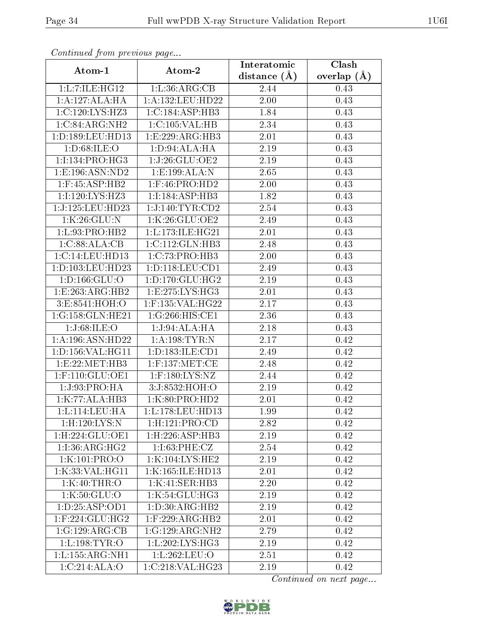| Commuca from previous page        |                                  | Interatomic       | Clash           |
|-----------------------------------|----------------------------------|-------------------|-----------------|
| Atom-1                            | Atom-2                           | distance $(A)$    | overlap $(\AA)$ |
| 1:L:7:LE:HG12                     | 1: L: 36: ARG: CB                | 2.44              | 0.43            |
| 1:A:127:ALA:HA                    | 1:A:132:LEU:HD22                 | $2.00\,$          | 0.43            |
| 1:C:120:LYS:HZ3                   | 1:C:184:ASP:HB3                  | 1.84              | 0.43            |
| 1:C:84:ARG:NH2                    | 1:C:105:VAL:HB                   | $\overline{2}.34$ | 0.43            |
| 1:D:189:LEU:HD13                  | 1:E:229:ARG:HB3                  | $2.01\,$          | 0.43            |
| 1: D:68: ILE: O                   | 1: D: 94: ALA: HA                | 2.19              | 0.43            |
| 1:1:134:PRO:HG3                   | 1:J:26:GLU:OE2                   | 2.19              | 0.43            |
| 1: E: 196: ASN: ND2               | 1: E: 199: ALA: N                | 2.65              | 0.43            |
| $1:$ F:45:ASP:HB2                 | $1:$ F:46:PRO:HD2                | 2.00              | 0.43            |
| 1:1:120:LYS:HZ3                   | 1:I:184:ASP:HB3                  | 1.82              | 0.43            |
| 1:J:125:LEU:HD23                  | 1:J:140:TYR:CD2                  | 2.54              | 0.43            |
| 1:K:26:GLU:N                      | 1:K:26:GLU:OE2                   | 2.49              | 0.43            |
| 1:L:93:PRO:HB2                    | 1:L:173:ILE:HG21                 | 2.01              | 0.43            |
| 1:C:88:ALA:CB                     | 1:C:112:GLN:HB3                  | 2.48              | 0.43            |
| 1:C:14:LEU:HD13                   | 1:C:73:PRO:HB3                   | 2.00              | 0.43            |
| 1:D:103:LEU:HD23                  | 1: D: 118: LEU: CD1              | 2.49              | 0.43            |
| 1: D: 166: GLU: O                 | 1: D: 170: GLU: HG2              | 2.19              | 0.43            |
| 1:E:263:ARG:HB2                   | 1:E:275:LYS:HG3                  | 2.01              | 0.43            |
| 3:E:8541:HOH:O                    | 1:F:135:VAL:HG22                 | 2.17              | 0.43            |
| 1:G:158:GLN:HE21                  | 1:G:266:HIS:CE1                  | 2.36              | 0.43            |
| 1:J:68:ILE:O                      | 1:J:94:ALA:HA                    | 2.18              | 0.43            |
| 1:A:196:ASN:HD22                  | 1: A:198: TYR:N                  | 2.17              | 0.42            |
| 1:D:156:VAL:HG11                  | 1:D:183:ILE:CD1                  | 2.49              | 0.42            |
| 1:E:22:MET:HB3                    | $1:$ F:137:MET:CE                | 2.48              | 0.42            |
| $1:$ F:110:GLU:OE1                | $1:$ F:180:LYS:NZ                | 2.44              | 0.42            |
| 1:J:93:PRO:HA                     | 3:J:8532:HOH:O                   | $\overline{2}.19$ | 0.42            |
| 1:K:77:ALA:HB3                    | 1:K:80:PRO:HD2                   | 2.01              | 0.42            |
| 1: L: 114: LEU: HA                | 1: L: 178: LEU: HD13             | 1.99              | 0.42            |
| $1:$ H $:120:LYS:N$               | 1: H: 121: PRO: CD               | 2.82              | 0.42            |
| 1:H:224:GLU:OE1                   | 1: H: 226: ASP: HB3              | 2.19              | 0.42            |
| 1:1:36:ARG:HG2                    | 1:1:63:PHE:CZ                    | 2.54              | 0.42            |
| 1:K:101:PRO:O                     | 1:K:104:LYS:HE2                  | 2.19              | $0.42\,$        |
| 1:K:33:VAL:HG11                   | 1:K:165:ILE:HD13                 | 2.01              | 0.42            |
| 1:K:40:THR:O                      | 1:K:41:SER:HB3                   | 2.20              | 0.42            |
| 1:K:50:GLU:O                      | 1:K:54:GLU:HG3                   | 2.19              | 0.42            |
| 1: D: 25: ASP: OD1                | 1:D:30:ARG:HB2                   | 2.19              | 0.42            |
| $1:$ F:224:GLU:HG2                | $1:$ F:229:ARG:HB2               | 2.01              | 0.42            |
| 1:G:129:ARG:CB                    | 1:G:129:ARG:NH2                  | 2.79              | 0.42            |
| 1: L: 198: TYR: O                 | $1: L: 202: LYS: H\overline{G3}$ | 2.19              | 0.42            |
| 1: L: 155: ARG: NH1               | 1:L:262:LEU:O                    | 2.51              | 0.42            |
| $1:C:214.\overline{\text{ALA}:O}$ | 1:C:218:VAL:HG23                 | 2.19              | 0.42            |

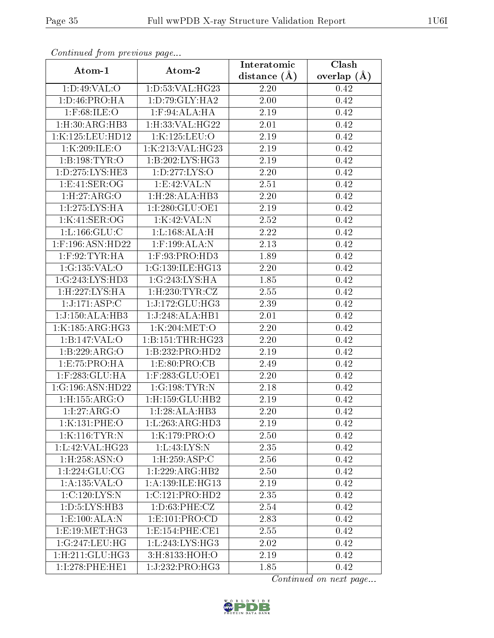| Communa from previous page    |                               | Interatomic       | Clash           |
|-------------------------------|-------------------------------|-------------------|-----------------|
| Atom-1                        | Atom-2                        | distance $(A)$    | overlap $(\AA)$ |
| 1: D:49: VAL:O                | 1:D:53:VAL:HG23               | 2.20              | 0.42            |
| 1: D: 46: PRO: HA             | 1: D: 79: GLY: HA2            | $\overline{2.00}$ | 0.42            |
| $1:$ F:68:ILE:O               | $1:$ F:94:ALA:HA              | $2.19\,$          | 0.42            |
| 1: H:30: ARG: HB3             | 1: H:33: VAL:HG22             | 2.01              | 0.42            |
| 1:K:125:LEU:HD12              | 1:K:125:LEU:O                 | 2.19              | 0.42            |
| 1:K:209:ILE:O                 | 1:K:213:VAL:HG23              | 2.19              | 0.42            |
| 1:B:198:TYR:O                 | 1:B:202:LYS:HG3               | 2.19              | 0.42            |
| 1: D: 275: LYS: HE3           | 1: D: 277: LYS: O             | 2.20              | 0.42            |
| 1: E: 41: SER: OG             | 1: E:42: VAL: N               | $\overline{2}.51$ | 0.42            |
| 1:H:27:ARG:O                  | 1:H:28:ALA:HB3                | 2.20              | 0.42            |
| 1:I:275:LYS:HA                | 1:I:280:GLU:OE1               | 2.19              | 0.42            |
| 1:K:41:SER:OG                 | 1:K:42:VAL:N                  | 2.52              | 0.42            |
| 1: L: 166: GLU: C             | 1:L:168:ALA:H                 | 2.22              | 0.42            |
| 1:F:196:ASN:HD22              | $1:$ F:199:ALA:N              | 2.13              | 0.42            |
| $1:$ F:92:TYR:HA              | 1:F:93:PRO:HD3                | 1.89              | 0.42            |
| 1:G:135:VAL:O                 | 1:G:139:ILE:HG13              | 2.20              | 0.42            |
| 1:G:243:LYS:HD3               | 1:G:243:LYS:HA                | 1.85              | 0.42            |
| 1:H:227:LYS:HA                | $1:$ H $:230:$ TYR $:$ CZ     | 2.55              | 0.42            |
| 1:J:171:ASP:C                 | 1:J:172:GLU:HG3               | 2.39              | 0.42            |
| 1:J:150:ALA:HB3               | 1:J:248:ALA:HB1               | 2.01              | 0.42            |
| 1:K:185:ARG:HG3               | 1:K:204:MET:O                 | 2.20              | 0.42            |
| 1:B:147:VAL:O                 | 1:B:151:THR:HG23              | $2.20\,$          | 0.42            |
| 1:B:229:ARG:O                 | 1:B:232:PRO:HD2               | 2.19              | 0.42            |
| 1: E: 75: PRO: HA             | 1: E: 80: PRO: CB             | 2.49              | 0.42            |
| 1:F:283:GLU:HA                | $1:$ F:283:GLU:OE1            | 2.20              | 0.42            |
| 1:G:196:ASN:HD22              | 1:G:198:TYR:N                 | 2.18              | 0.42            |
| 1:H:155:ARG:O                 | $1:$ H $:159:$ GLU $:$ HB $2$ | 2.19              | 0.42            |
| 1:1:27:ARG:O                  | 1:I:28:ALA:HB3                | 2.20              | 0.42            |
| 1:K:131:PHE:O                 | $1:L:263:AR\overline{G:HD3}$  | 2.19              | 0.42            |
| 1:K:116:TYR:N                 | 1:K:179:PRO:O                 | 2.50              | 0.42            |
| 1: L:42: VAL:H <sub>G23</sub> | 1: L: 43: LYS: N              | 2.35              | 0.42            |
| $1:$ H $:258:$ ASN $:$ O      | 1: H: 259: ASP:C              | 2.56              | 0.42            |
| 1:1:224:GLU:CG                | 1:1:229:ARG:HB2               | 2.50              | 0.42            |
| 1:A:135:VAL:O                 | 1:A:139:ILE:HG13              | 2.19              | 0.42            |
| 1:C:120:LYS:N                 | 1:C:121:PRO:HD2               | 2.35              | 0.42            |
| 1: D:5: LYS: HB3              | 1: D: 63: PHE: CZ             | 2.54              | 0.42            |
| 1:E:100:ALA:N                 | 1: E: 101: PRO: CD            | 2.83              | 0.42            |
| 1:E:19:MET:HG3                | 1:E:154:PHE:CE1               | 2.55              | 0.42            |
| 1:G:247:LEU:HG                | 1: L: 243: LYS: HG3           | 2.02              | 0.42            |
| $1:$ H $:211:$ GLU $:$ HG3    | 3:H:8133:HOH:O                | 2.19              | 0.42            |
| 1:I:278:PHE:HE1               | 1:J:232:PRO:HG3               | 1.85              | 0.42            |

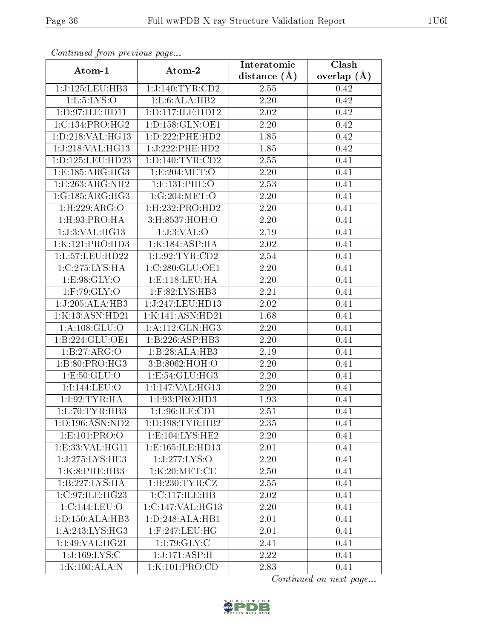| Continuea from previous page |                      | Interatomic | Clash           |
|------------------------------|----------------------|-------------|-----------------|
| Atom-1                       | Atom-2               |             | overlap $(\AA)$ |
| 1:J:125:LEU:HB3              | 1:J:140:TYR:CD2      | 2.55        | 0.42            |
| 1: L: 5: LYS: O              | 1: L:6: ALA: HB2     | 2.20        | 0.42            |
| 1:D:97:ILE:HD11              | 1:D:117:ILE:HD12     | 2.02        | 0.42            |
| 1:C:134:PRO:HG2              | 1: D: 158: GLN: OE1  | 2.20        | 0.42            |
| 1:D:218:VAL:HG13             | 1: D: 222: PHE: HD2  | 1.85        | 0.42            |
| 1:J:218:VAL:HG13             | 1:J:222:PHE:HD2      | 1.85        | 0.42            |
| 1:D:125:LEU:HD23             | 1: D: 140: TYR: CD2  | 2.55        | 0.41            |
| 1: E: 185: ARG: HG3          | 1:E:204:MET:O        | 2.20        | 0.41            |
| 1:E:263:ARG:NH2              | 1:F:131:PHE:O        | 2.53        | 0.41            |
| 1:G:185:ARG:HG3              | 1:G:204:MET:O        | 2.20        | 0.41            |
| 1: H: 229: ARG: O            | 1: H: 232: PRO: HD2  | 2.20        | 0.41            |
| 1: H: 93: PRO: HA            | 3:H:8537:HOH:O       | 2.20        | 0.41            |
| 1:J:3:VAL:HG13               | 1:J:3:VAL:O          | 2.19        | 0.41            |
| 1:K:121:PRO:HD3              | 1:K:184:ASP:HA       | 2.02        | 0.41            |
| 1:L:57:LEU:HD22              | 1:L:92:TYR:CD2       | 2.54        | 0.41            |
| 1:C:275:LYS:HA               | 1:C:280:GLU:OE1      | 2.20        | 0.41            |
| 1:E:98:GLY:O                 | 1: E: 118: LEU: HA   | 2.20        | 0.41            |
| $1:$ F:79: GLY: O            | 1:F:82:LYS:HB3       | 2.21        | 0.41            |
| 1:J:205:ALA:HB3              | 1:J:247:LEU:HD13     | 2.02        | 0.41            |
| 1:K:13:ASN:HD21              | 1:K:141:ASN:HD21     | 1.68        | 0.41            |
| 1: A: 108: GLU:O             | 1: A:112: GLN: HG3   | 2.20        | 0.41            |
| 1:B:224:GLU:OE1              | 1:B:226:ASP:HB3      | 2.20        | 0.41            |
| 1:B:27:ARG:O                 | 1:B:28:ALA:HB3       | 2.19        | 0.41            |
| 1:B:80:PRO:HG3               | 3:B:8062:HOH:O       | 2.20        | 0.41            |
| 1:E:50:GLU:O                 | 1: E: 54: GLU: HG3   | 2.20        | 0.41            |
| 1:I:144:LEU:O                | 1:1:147:VAL:HG13     | $2.20\,$    | 0.41            |
| 1:1:92:TYR:HA                | 1:I:93:PRO:HD3       | 1.93        | 0.41            |
| 1: L: 70: TYR: HB3           | 1: L:96: ILE: CD1    | 2.51        | 0.41            |
| 1: D: 196: ASN: ND2          | 1: D: 198: TYR: HB2  | 2.35        | 0.41            |
| 1:E:101:PRO:O                | 1: E: 104: LYS: HE2  | 2.20        | 0.41            |
| 1:E:33:VAL:HG11              | 1: E: 165: ILE: HD13 | 2.01        | 0.41            |
| 1:J:275:LYS:HE3              | 1:J:277:LYS:O        | 2.20        | 0.41            |
| 1:K:8:PHE:HB3                | 1:K:20:MET:CE        | 2.50        | 0.41            |
| 1:B:227:LYS:HA               | 1: B: 230: TYR: CZ   | 2.55        | 0.41            |
| 1:C:97:ILE:HG23              | 1:C:117:ILE:HB       | 2.02        | 0.41            |
| 1:C:144:LEU:O                | 1:C:147:VAL:HG13     | 2.20        | 0.41            |
| 1: D: 150: ALA: HB3          | 1:D:248:ALA:HB1      | 2.01        | 0.41            |
| 1:A:243:LYS:HG3              | $1:$ F:247:LEU:HG    | 2.01        | 0.41            |
| 1:I:49:VAL:HG21              | 1:1:79:GLY:C         | 2.41        | 0.41            |
| 1:J:169:LYS:C                | 1:J:171:ASP:H        | 2.22        | 0.41            |
| 1:K:100:ALA:N                | 1:K:101:PRO:CD       | 2.83        | 0.41            |

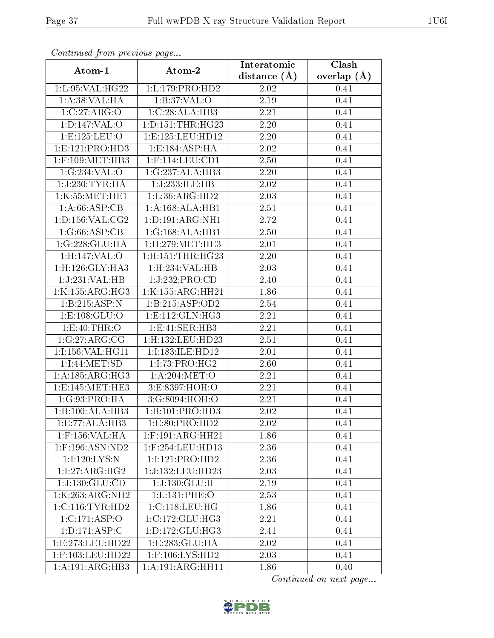|                              | Communaca from previous page |                               | Clash           |
|------------------------------|------------------------------|-------------------------------|-----------------|
| Atom-1                       | Atom-2                       | Interatomic<br>distance $(A)$ | overlap $(\AA)$ |
| 1:L:95:VAL:HG22              | 1: L: 179: PRO: HD2          | 2.02                          | 0.41            |
| 1: A:38: VAL:HA              | 1:B:37:VAL:O                 | 2.19                          | 0.41            |
| 1:C:27:ARG:O                 | 1:C:28:ALA:HB3               | 2.21                          | 0.41            |
| 1: D: 147: VAL: O            | 1: D: 151: THR: HG23         | 2.20                          | 0.41            |
| 1:E:125:LEU:O                | 1:E:125:LEU:HD12             | 2.20                          | 0.41            |
| 1: E: 121: PRO: HD3          | 1:E:184:ASP:HA               | 2.02                          | 0.41            |
| $1:$ F:109:MET:HB3           | $1:$ F:114:LEU:CD1           | 2.50                          | 0.41            |
| 1:G:234:VAL:O                | 1:G:237:ALA:HB3              | 2.20                          | 0.41            |
| 1:J:230:TYR:HA               | 1:J:233:ILE:HB               | $\overline{2}.02$             | 0.41            |
| 1:K:55:MET:HE1               | 1:L:36:ARG:HD2               | 2.03                          | 0.41            |
| 1:A:66:ASP:CB                | 1:A:168:ALA:HB1              | 2.51                          | 0.41            |
| 1: D: 156: VAL: CG2          | 1: D: 191: ARG: NH1          | 2.72                          | 0.41            |
| 1:G:66:ASP:CB                | 1:G:168:ALA:HB1              | 2.50                          | 0.41            |
| 1:G:228:GLU:HA               | 1:H:279:MET:HE3              | 2.01                          | 0.41            |
| 1:H:147:VAL:O                | 1:H:151:THR:HG23             | 2.20                          | 0.41            |
| 1: H: 126: GLY: HA3          | 1: H: 234: VAL: HB           | 2.03                          | 0.41            |
| 1:J:231:VAL:HB               | 1:J:232:PRO:CD               | 2.40                          | 0.41            |
| 1:K:155:ARG:HG3              | 1:K:155:ARG:HH21             | 1.86                          | 0.41            |
| 1:B:215:ASP:N                | 1:B:215:ASP:OD2              | 2.54                          | 0.41            |
| 1: E: 108: GLU:O             | 1: E: 112: GLN: HG3          | 2.21                          | 0.41            |
| 1:E:40:THR:O                 | 1: E:41: SER: HB3            | $\overline{2.21}$             | 0.41            |
| 1:G:27:ARG:CG                | 1:H:132:LEU:HD23             | $2.51\,$                      | 0.41            |
| 1:I:156:VAL:HG11             | 1:I:183:ILE:HD12             | 2.01                          | 0.41            |
| 1:1:44:MET:SD                | 1:1:73:PRO:HG2               | 2.60                          | 0.41            |
| 1: A:185: ARG: HG3           | 1: A:204:MET:O               | 2.21                          | 0.41            |
| 1:E:145:MET:HE3              | 3:E:8397:HOH:O               | 2.21                          | 0.41            |
| 1:G:93:PRO:HA                | 3:G:8094:HOH:O               | 2.21                          | 0.41            |
| $1:B:\overline{100:ALA:HB3}$ | 1:B:101:PRO:HD3              | 2.02                          | 0.41            |
| 1: E: 77: ALA: HB3           | 1:E:80:PRO:HD2               | 2.02                          | 0.41            |
| $1:$ F:156:VAL:HA            | $1:$ F:191:ARG:HH21          | 1.86                          | 0.41            |
| 1:F:196:ASN:ND2              | 1:F:254:LEU:HD13             | 2.36                          | 0.41            |
| 1:I:120:LYS:N                | 1:I:121:PRO:HD2              | 2.36                          | 0.41            |
| 1:1:27:ARG:HG2               | 1:J:132:LEU:HD23             | 2.03                          | 0.41            |
| 1:J:130:GLU:CD               | 1:J:130:GLU:H                | 2.19                          | 0.41            |
| 1:K:263:ARG:NH2              | 1:L:131:PHE:O                | 2.53                          | 0.41            |
| 1:C:116:TYR:HD2              | 1:C:118:LEU:HG               | 1.86                          | 0.41            |
| 1:C:171:ASP:O                | 1:C:172:GLU:HG3              | 2.21                          | 0.41            |
| 1: D: 171: ASP: C            | 1: D: 172: GLU: HG3          | 2.41                          | 0.41            |
| 1:E:273:LEU:HD22             | 1:E:283:GLU:HA               | 2.02                          | 0.41            |
| 1:F:103:LEU:HD22             | $1:$ F:106:LYS:HD2           | 2.03                          | 0.41            |
| $1:A:191:AR\overline{G:HB3}$ | 1:A:191:ARG:HH11             | 1.86                          | 0.40            |

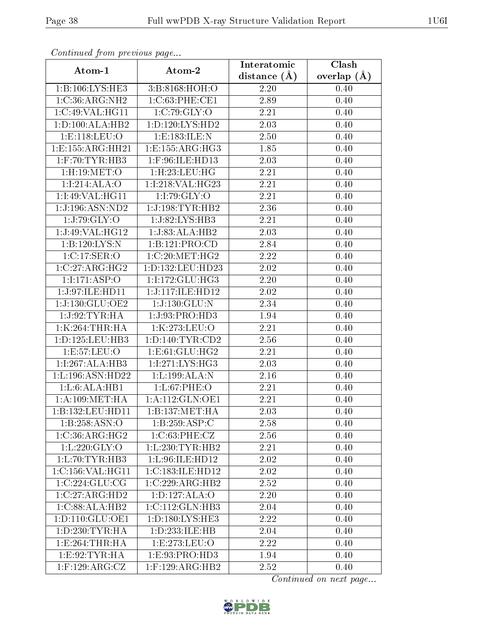| Conningea from previous page |                                      | Interatomic    | Clash           |
|------------------------------|--------------------------------------|----------------|-----------------|
| Atom-1                       | Atom-2                               | distance $(A)$ | overlap $(\AA)$ |
| 1:B:106:LYS:HE3              | 3:B:8168:HOH:O                       | 2.20           | 0.40            |
| 1:C:36:ARG:NH2               | 1:C:63:PHE:CE1                       | 2.89           | 0.40            |
| 1:C:49:VAL:HG11              | 1:C:79:GLY:O                         | 2.21           | 0.40            |
| 1: D: 100: ALA: HB2          | 1: D: 120: LYS: HD2                  | 2.03           | 0.40            |
| 1: E: 118: LEU: O            | 1:E:183:ILE:N                        | 2.50           | 0.40            |
| 1:E:155:ARG:HH21             | 1:E:155:ARG:HG3                      | 1.85           | 0.40            |
| $1:$ F:70:TYR:HB3            | 1:F:96:ILE:HD13                      | 2.03           | 0.40            |
| 1:H:19:MET:O                 | 1: H: 23: LEU: HG                    | 2.21           | 0.40            |
| 1:1:214:ALA:O                | 1:I:218:VAL:HG23                     | 2.21           | 0.40            |
| 1:I:49:VAL:HG11              | 1:I:79:GLY:O                         | 2.21           | 0.40            |
| 1:J:196:ASN:ND2              | 1:J:198:TYR:HB2                      | 2.36           | 0.40            |
| 1:J:79:GLY:O                 | 1:J:82:LYS:HB3                       | 2.21           | 0.40            |
| 1:J:49:VAL:HG12              | 1:J:83:ALA:HB2                       | 2.03           | 0.40            |
| 1:B:120:LYS:N                | 1:B:121:PRO:CD                       | 2.84           | 0.40            |
| 1:C:17:SER:O                 | 1:C:20:MET:HG2                       | 2.22           | 0.40            |
| 1:C:27:ARG:HG2               | 1:D:132:LEU:HD23                     | 2.02           | 0.40            |
| 1:1:171:ASP:O                | 1:I:172:GLU:HG3                      | 2.20           | 0.40            |
| 1:J:97:ILE:HD11              | 1:J:117:ILE:HD12                     | 2.02           | 0.40            |
| 1:J:130:GLU:OE2              | 1:J:130:GLU:N                        | 2.34           | 0.40            |
| 1:J:92:TYR:HA                | 1:J:93:PRO:HD3                       | 1.94           | 0.40            |
| 1:K:264:THR:HA               | 1:K:273:LEU:O                        | 2.21           | 0.40            |
| 1: D: 125: LEU: HB3          | 1: D: 140: TYR: CD2                  | 2.56           | 0.40            |
| 1:E:57:LEU:O                 | 1:E:61:GLU:HG2                       | 2.21           | 0.40            |
| 1:1:267:ALA:HB3              | 1:1:271:LYS:HG3                      | 2.03           | 0.40            |
| 1:L:196:ASN:HD22             | 1:L:199:ALA:N                        | 2.16           | 0.40            |
| 1: L:6: ALA: HB1             | 1:L:67:PHE:O                         | 2.21           | 0.40            |
| 1: A:109: MET:HA             | 1: A:112: GLN: OE1                   | 2.21           | 0.40            |
| 1:B:132:LEU:HD11             | 1:B:137:MET:HA                       | 2.03           | 0.40            |
| 1:B:258:ASN:O                | 1:B:259:ASP:C                        | 2.58           | 0.40            |
| 1:C:36:ARG:HG2               | 1:C:63:PHE:CZ                        | 2.56           | 0.40            |
| 1: L:220: GLY:O              | 1: L: 230: TYR: HB2                  | 2.21           | 0.40            |
| 1: L: 70: TYR: HB3           | 1:L:96:ILE:HD12                      | 2.02           | 0.40            |
| 1:C:156:VAL:HG11             | 1:C:183:ILE:HD12                     | 2.02           | 0.40            |
| 1:C:224:GLU:CG               | $1:C:229: \overline{\text{ARG:HB2}}$ | 2.52           | 0.40            |
| 1:C:27:ARG:HD2               | 1: D: 127: ALA: O                    | 2.20           | 0.40            |
| 1:C:88:ALA:HB2               | 1:C:112:GLN:HB3                      | 2.04           | 0.40            |
| 1: D: 110: GLU: OE1          | 1: D: 180: LYS: HE3                  | 2.22           | 0.40            |
| 1: D: 230: TYR: HA           | 1:D:233:ILE:HB                       | 2.04           | 0.40            |
| 1: E: 264: THR: HA           | 1: E: 273: LEU: O                    | 2.22           | 0.40            |
| 1: E:92: TYR: HA             | 1: E: 93: PRO: HD3                   | 1.94           | 0.40            |
| $1:$ F:129:ARG:CZ            | $1:$ F:129:ARG:HB2                   | 2.52           | 0.40            |

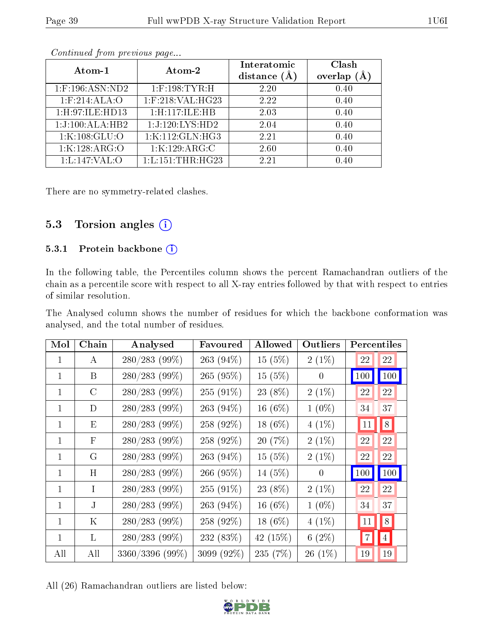| Atom-1             | Atom-2               | Interatomic<br>distance $(A)$ | Clash<br>overlap |
|--------------------|----------------------|-------------------------------|------------------|
| $1:$ F:196:ASN:ND2 | $1:$ F:198:TYR:H     | 2.20                          | 0.40             |
| $1:$ F:214:ALA:O   | $1:$ F:218:VAL:HG23  | 2.22                          | 0.40             |
| 1: H:97: ILE: HD13 | 1:H:117:ILE:HB       | 2.03                          | 0.40             |
| 1:J:100:ALA:HB2    | 1:J:120:LYS:HD2      | 2.04                          | 0.40             |
| 1:K:108:GLU:O      | 1:K:112:GLN:HG3      | 2.21                          | 0.40             |
| 1:K:128:ARG:O      | 1:K:129:ARG:C        | 2.60                          | 0.40             |
| 1: L: 147: VAL: O  | 1: L: 151: THR: HG23 | 2.21                          | 0.40             |

There are no symmetry-related clashes.

## 5.3 Torsion angles (i)

### 5.3.1 Protein backbone (i)

In the following table, the Percentiles column shows the percent Ramachandran outliers of the chain as a percentile score with respect to all X-ray entries followed by that with respect to entries of similar resolution.

The Analysed column shows the number of residues for which the backbone conformation was analysed, and the total number of residues.

| Mol          | Chain         | Analysed        | Favoured     | Allowed    | Outliers         | Percentiles |                 |
|--------------|---------------|-----------------|--------------|------------|------------------|-------------|-----------------|
| $\mathbf{1}$ | A             | $280/283$ (99%) | 263 $(94\%)$ | 15(5%)     | $2(1\%)$         | 22          | 22              |
| $\mathbf{1}$ | B             | 280/283 (99%)   | 265 (95%)    | 15(5%)     | $\theta$         | 100         | 100             |
| $\mathbf{1}$ | $\mathcal{C}$ | 280/283 (99%)   | $255(91\%)$  | 23 (8%)    | $2(1\%)$         | 22          | 22              |
| $\mathbf{1}$ | D             | 280/283 (99%)   | 263 (94%)    | 16 $(6%)$  | $1(0\%)$         | 34          | 37              |
| $\mathbf{1}$ | E             | 280/283 (99%)   | 258 (92%)    | $18(6\%)$  | $4(1\%)$         | 11          | 8               |
| $\mathbf{1}$ | F             | $280/283$ (99%) | 258 (92%)    | 20(7%)     | $2(1\%)$         | 22          | 22              |
| $\mathbf{1}$ | G             | 280/283 (99%)   | 263 (94%)    | 15 (5%)    | $2(1\%)$         | 22          | 22              |
| $\mathbf{1}$ | H             | $280/283$ (99%) | 266 (95%)    | 14 (5%)    | $\boldsymbol{0}$ | 100         | 100             |
| $\mathbf{1}$ | L             | 280/283 (99%)   | 255 (91%)    | 23 (8%)    | $2(1\%)$         | 22          | 22              |
| $\mathbf{1}$ | $\mathbf{J}$  | 280/283 (99%)   | 263 (94%)    | 16 $(6%)$  | $1(0\%)$         | 34          | 37              |
| $\mathbf{1}$ | Κ             | $280/283$ (99%) | 258 (92%)    | 18 $(6%)$  | $4(1\%)$         | 11          | 8               |
| $\mathbf{1}$ | L             | $280/283$ (99%) | 232 (83%)    | 42 $(15%)$ | 6(2%)            | 7           | $\vert 4 \vert$ |
| All          | All           | 3360/3396 (99%) | 3099 (92%)   | 235(7%)    | $26(1\%)$        | 19          | 19              |

All (26) Ramachandran outliers are listed below:

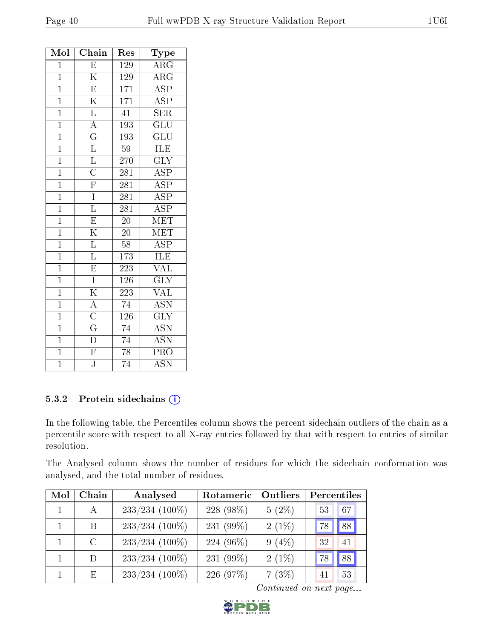| Mol            | Chain                                  | Res              | Type                      |
|----------------|----------------------------------------|------------------|---------------------------|
| $\mathbf{1}$   | $\overline{\mathrm{E}}$                | 129              | $\rm{ARG}$                |
| $\overline{1}$ | $\overline{\rm K}$                     | 129              | $\overline{\rm{ARG}}$     |
| $\overline{1}$ | $\overline{\mathrm{E}}$                | 171              | $\overline{\text{ASP}}$   |
| $\overline{1}$ | $\overline{\mathrm{K}}$                | $\overline{171}$ | $\overline{\text{ASP}}$   |
| $\mathbf{1}$   | $\overline{\mathrm{L}}$                | 41               | <b>SER</b>                |
| $\overline{1}$ | $\overline{A}$                         | $\overline{193}$ | $\overline{{\rm GLU}}$    |
| $\overline{1}$ | $\overline{\mathrm{G}}$                | 193              | $\overline{{\rm GLU}}$    |
| $\overline{1}$ | $\overline{\mathrm{L}}$                | 59               | ILE                       |
| $\overline{1}$ | $\frac{\overline{L}}{C}$               | 270              | $\overline{\text{GLY}}$   |
| $\overline{1}$ |                                        | 281              | <b>ASP</b>                |
| $\overline{1}$ | $\overline{\mathrm{F}}$                | $\overline{281}$ | $\overline{\text{ASP}}$   |
| $\overline{1}$ | $\overline{I}$                         | 281              | $\overline{\text{ASP}}$   |
| $\overline{1}$ | $\overline{\mathrm{L}}$                | $\overline{281}$ | $\overline{\text{ASP}}$   |
| $\overline{1}$ | $\overline{E}$                         | $\overline{20}$  | MET                       |
| $\mathbf{1}$   | $\overline{\mathrm{K}}$                | $20^{-}$         | $\overline{\text{MET}}$   |
| $\overline{1}$ | $\overline{\mathrm{L}}$                | $\overline{58}$  | $\overline{\text{ASP}}$   |
| $\overline{1}$ | $\overline{\mathrm{L}}$                | 173              | ILE                       |
| $\overline{1}$ | $\overline{E}$                         | 223              | $\overline{\text{VAL}}$   |
| $\overline{1}$ | $\overline{I}$                         | 126              | $\overline{\text{GLY}}$   |
| $\overline{1}$ | $\overline{\mathrm{K}}$                | 223              | $\overline{\text{VAL}}$   |
| $\overline{1}$ | $\frac{\overline{\text{A}}}{\text{C}}$ | $\overline{74}$  | $\overline{\text{ASN}}$   |
| $\mathbf{1}$   |                                        | 126              | $\overline{\text{GLY}}$   |
| $\overline{1}$ |                                        | $\overline{74}$  | $\overline{\mathrm{ASN}}$ |
| $\mathbf{1}$   | $\overline{\mathrm{D}}$                | 74               | <b>ASN</b>                |
| $\overline{1}$ | $\overline{F}$                         | $\overline{78}$  | PRO                       |
| $\overline{1}$ | $\overline{\text{J}}$                  | $\overline{74}$  | <b>ASN</b>                |

### 5.3.2 Protein sidechains (i)

In the following table, the Percentiles column shows the percent sidechain outliers of the chain as a percentile score with respect to all X-ray entries followed by that with respect to entries of similar resolution.

The Analysed column shows the number of residues for which the sidechain conformation was analysed, and the total number of residues.

| Mol          | Chain         | Analysed         | Rotameric    | Outliers | Percentiles |
|--------------|---------------|------------------|--------------|----------|-------------|
| $\mathbf{1}$ | A             | $233/234$ (100%) | 228 (98%)    | $5(2\%)$ | 67<br>53    |
|              | B             | $233/234$ (100%) | 231 $(99\%)$ | $2(1\%)$ | 88<br>78    |
|              | $\mathcal{C}$ | $233/234$ (100%) | 224 (96%)    | $9(4\%)$ | 32<br>41    |
|              | D             | $233/234$ (100%) | 231 $(99\%)$ | $2(1\%)$ | 88<br>78    |
|              | E             | $233/234$ (100%) | 226 (97%)    | 7(3%)    | 53<br>41    |

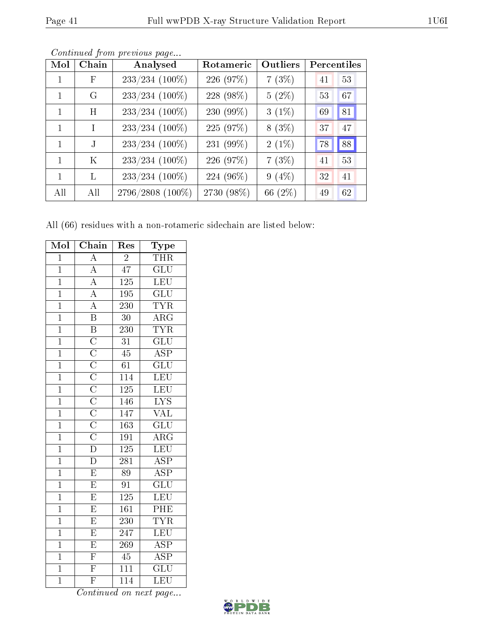| Mol          | Chain      | Analysed         | Rotameric  | Outliers | Percentiles |
|--------------|------------|------------------|------------|----------|-------------|
| 1            | $_{\rm F}$ | $233/234$ (100%) | 226 (97%)  | 7(3%)    | 53<br>41    |
| 1            | G          | $233/234$ (100%) | 228 (98%)  | $5(2\%)$ | 67<br>53    |
| 1            | H          | $233/234$ (100%) | 230 (99%)  | $3(1\%)$ | 81<br>69    |
| 1            | T          | 233/234 (100%)   | 225 (97%)  | $8(3\%)$ | 47<br>37    |
| 1            |            | 233/234 (100%)   | 231 (99%)  | $2(1\%)$ | 88<br>78    |
| $\mathbf{1}$ | K          | 233/234 (100%)   | 226 (97%)  | 7(3%)    | 53<br>41    |
| 1            | L          | $233/234$ (100%) | 224 (96%)  | $9(4\%)$ | 41<br>32    |
| All          | All        | 2796/2808 (100%) | 2730 (98%) | 66 (2%)  | 62<br>49    |

Continued from previous page...

All (66) residues with a non-rotameric sidechain are listed below:

| Mol            | Chain                                                                                                                                                 | $\operatorname{Res}% \left( \mathcal{N}\right) \equiv\operatorname{Res}(\mathcal{N}_{0})\left( \mathcal{N}_{0}\right) ^{2}$ | Type                    |
|----------------|-------------------------------------------------------------------------------------------------------------------------------------------------------|-----------------------------------------------------------------------------------------------------------------------------|-------------------------|
| $\mathbf{1}$   | $\overline{A}$                                                                                                                                        | $\overline{2}$                                                                                                              | $\overline{\text{THR}}$ |
| $\overline{1}$ | $\overline{A}$                                                                                                                                        | $\overline{47}$                                                                                                             | $\overline{\text{GLU}}$ |
| $\overline{1}$ | $\overline{A}$                                                                                                                                        | 125                                                                                                                         | <b>LEU</b>              |
| $\overline{1}$ |                                                                                                                                                       | $\overline{195}$                                                                                                            | $\overline{\text{GLU}}$ |
| $\overline{1}$ | $\frac{\overline{A}}{\overline{A}}$                                                                                                                   | 230                                                                                                                         | <b>TYR</b>              |
| $\overline{1}$ | $\overline{\mathbf{B}}$                                                                                                                               | $\overline{30}$                                                                                                             | $\overline{\text{ARG}}$ |
| $\overline{1}$ |                                                                                                                                                       | $\overline{230}$                                                                                                            | <b>TYR</b>              |
| $\overline{1}$ |                                                                                                                                                       | $\overline{31}$                                                                                                             | $\overline{\text{GLU}}$ |
| $\overline{1}$ | $\overline{B}$ $\overline{C}$ $\overline{C}$ $\overline{C}$ $\overline{C}$ $\overline{C}$ $\overline{C}$ $\overline{C}$ $\overline{C}$ $\overline{D}$ | $\overline{45}$                                                                                                             | $\overline{\text{ASP}}$ |
| $\overline{1}$ |                                                                                                                                                       | $\overline{61}$                                                                                                             | $\overline{{\rm GLU}}$  |
| $\overline{1}$ |                                                                                                                                                       | 114                                                                                                                         | LEU                     |
| $\overline{1}$ |                                                                                                                                                       | $\overline{125}$                                                                                                            | LEU                     |
| $\overline{1}$ |                                                                                                                                                       | 146                                                                                                                         | $\overline{\text{LYS}}$ |
| $\mathbf{1}$   |                                                                                                                                                       | 147                                                                                                                         | $\overline{\text{VAL}}$ |
| $\overline{1}$ |                                                                                                                                                       | $\overline{163}$                                                                                                            | $\overline{\text{GLU}}$ |
| $\mathbf{1}$   |                                                                                                                                                       | 191                                                                                                                         | $\overline{\rm{ARG}}$   |
| $\overline{1}$ |                                                                                                                                                       | $125\,$                                                                                                                     | LEU                     |
| $\overline{1}$ | $\overline{\rm D}$                                                                                                                                    | 281                                                                                                                         | $\overline{\text{ASP}}$ |
| $\overline{1}$ | $\overline{\mathrm{E}}$                                                                                                                               | $\overline{89}$                                                                                                             | $\overline{\text{ASP}}$ |
| $\overline{1}$ | $\overline{\mathrm{E}}$                                                                                                                               | $\overline{91}$                                                                                                             | $\overline{\text{GLU}}$ |
| $\overline{1}$ | $\overline{\mathrm{E}}$                                                                                                                               | 125                                                                                                                         | LEU                     |
| $\overline{1}$ | $\overline{\mathrm{E}}$                                                                                                                               | $\overline{161}$                                                                                                            | PHE                     |
| $\overline{1}$ | $\overline{\mathrm{E}}$                                                                                                                               | 230                                                                                                                         | <b>TYR</b>              |
| $\overline{1}$ | $\overline{\mathrm{E}}$                                                                                                                               | 247                                                                                                                         | LEU                     |
| $\overline{1}$ | $\overline{E}$                                                                                                                                        | 269                                                                                                                         | $\overline{\text{ASP}}$ |
| $\overline{1}$ | $\overline{\mathrm{F}}$                                                                                                                               | $\overline{45}$                                                                                                             | $\overline{\text{ASP}}$ |
| $\overline{1}$ | $\overline{\mathrm{F}}$                                                                                                                               | $\overline{111}$                                                                                                            | $\overline{\text{GLU}}$ |
| $\overline{1}$ | $\overline{\mathrm{F}}$                                                                                                                               | $\overline{114}$                                                                                                            | $\overline{\text{LEU}}$ |

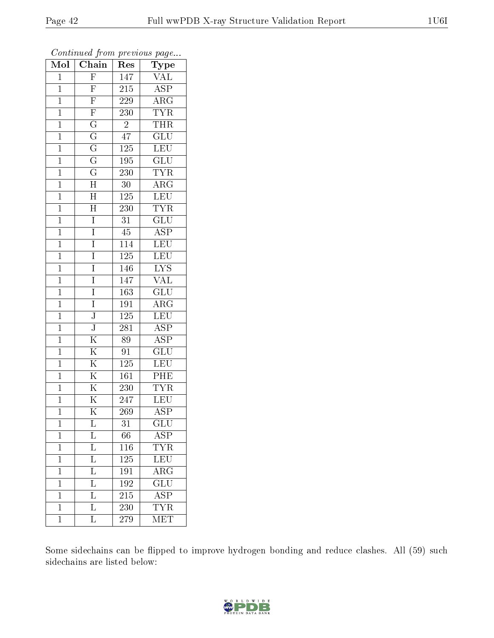| Mol            | $\overline{\text{C}}$ hain | Res              | Type                       |
|----------------|----------------------------|------------------|----------------------------|
| $\mathbf{1}$   | $\overline{F}$             | 147              | VAL                        |
| $\mathbf{1}$   | $\overline{F}$             | 215              | <b>ASP</b>                 |
| $\mathbf{1}$   | $\overline{\mathrm{F}}$    | 229              | $\overline{\rm{ARG}}$      |
| $\overline{1}$ | $\overline{\mathrm{F}}$    | 230              | <b>TYR</b>                 |
| $\overline{1}$ | $\overline{G}$             | $\overline{2}$   | <b>THR</b>                 |
| $\mathbf{1}$   | $\overline{G}$             | 47               | $\overline{\text{GLU}}$    |
| $\mathbf{1}$   | $\overline{\rm G}$         | <b>125</b>       | <b>LEU</b>                 |
| $\mathbf{1}$   | $\overline{G}$             | 195              | $\overline{\text{GLU}}$    |
| $\mathbf{1}$   | $\overline{\mathrm{G}}$    | 230              | <b>TYR</b>                 |
| $\overline{1}$ | $\overline{\rm H}$         | 30               | $\overline{\rm{ARG}}$      |
| $\mathbf{1}$   | $\overline{\rm H}$         | 125              | LEU                        |
| $\mathbf{1}$   | $\overline{\rm H}$         | $\overline{23}0$ | <b>TYR</b>                 |
| $\overline{1}$ | $\overline{I}$             | 31               | GLU                        |
| $\overline{1}$ | I                          | 45               | $\overline{\text{ASP}}$    |
| $\overline{1}$ | $\overline{I}$             | <sup>114</sup>   | $\overline{\text{LEU}}$    |
| $\mathbf{1}$   | I                          | 125              | $\overline{\text{LEU}}$    |
| $\overline{1}$ | $\overline{I}$             | 146              | $\overline{\text{LYS}}$    |
| $\mathbf{1}$   | I                          | 147              | $\rm \sqrt{AL}$            |
| $\overline{1}$ | I                          | $\overline{163}$ | $\overline{\text{GLU}}$    |
| $\mathbf 1$    | I                          | 191              | $\rm{A}\overline{\rm{RG}}$ |
| $\mathbf 1$    | $\overline{\text{J}}$      | 125              | <b>LEU</b>                 |
| $\mathbf{1}$   | $\overline{\text{J}}$      | 281              | $\overline{\text{ASP}}$    |
| $\overline{1}$ | $\overline{\mathrm{K}}$    | 89               | $\overline{\text{ASP}}$    |
| $\overline{1}$ | $\overline{\mathrm{K}}$    | 91               | $\overline{\text{GLU}}$    |
| $\mathbf{1}$   | $\overline{\mathrm{K}}$    | 125              | LEU                        |
| $\mathbf{1}$   | $\overline{\mathrm{K}}$    | $\overline{1}61$ | PHE                        |
| $\mathbf{1}$   | $\overline{\mathrm{K}}$    | 230              | <b>TYR</b>                 |
| $\mathbf{1}$   | $\overline{\mathrm{K}}$    | 247              | $\overline{\text{LEU}}$    |
| $\overline{1}$ | $\overline{\rm K}$         | 269              | $\overline{\text{ASP}}$    |
| 1              | L                          | 31               | $\overline{\text{GLU}}$    |
| $\mathbf{1}$   | L                          | 66               | $\overline{\text{ASP}}$    |
| $\mathbf{1}$   | $\overline{\mathrm{L}}$    | 116              | <b>TYR</b>                 |
| $\mathbf 1$    | L                          | 125              | LEU                        |
| $\overline{1}$ | $\overline{\mathrm{L}}$    | 191              | $\overline{\rm{ARG}}$      |
| $\mathbf 1$    | $\overline{\mathrm{L}}$    | 192              | $\overline{\text{GLU}}$    |
| $\mathbf{1}$   | $\overline{\mathrm{L}}$    | $\overline{215}$ | $\overline{\text{ASP}}$    |
| $\mathbf{1}$   | L                          | 230              | <b>TYR</b>                 |
| $\overline{1}$ | $\overline{\mathrm{L}}$    | 279              | $\overline{\text{MET}}$    |

Some sidechains can be flipped to improve hydrogen bonding and reduce clashes. All (59) such sidechains are listed below:

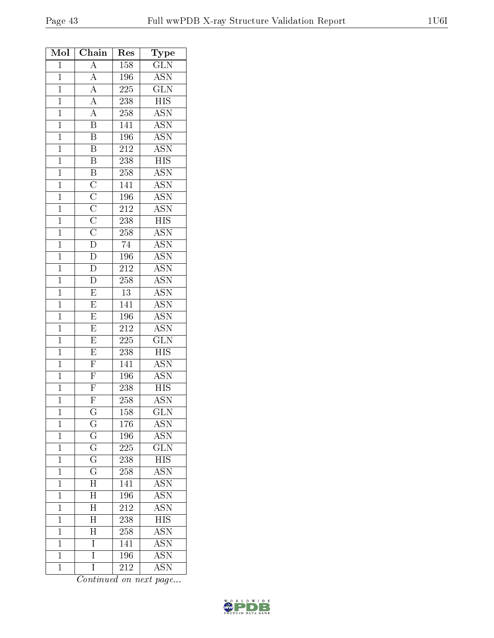| Mol            | Chain                                                                                                    | Res              | Type                      |
|----------------|----------------------------------------------------------------------------------------------------------|------------------|---------------------------|
| $\mathbf 1$    | $\overline{A}$                                                                                           | 158              | $\overline{\text{GLN}}$   |
| $\mathbf 1$    | $\overline{A}$                                                                                           | 196              | $\overline{\text{ASN}}$   |
| $\mathbf{1}$   | $\frac{\overline{A}}{\overline{A}}$                                                                      | $22\overline{5}$ | $\overline{\text{GLN}}$   |
| $\mathbf{1}$   |                                                                                                          | 238              | $\overline{HIS}$          |
| $\mathbf{1}$   |                                                                                                          | 258              | $\overline{\rm ASN}$      |
| $\overline{1}$ | $\overline{\mathbf{B}}$                                                                                  | 141              | <b>ASN</b>                |
| $\mathbf{1}$   | $\overline{B}$                                                                                           | 196              | <b>ASN</b>                |
| $\mathbf{1}$   | $\overline{B}$                                                                                           | 212              | $\overline{\mathrm{ASN}}$ |
| $\overline{1}$ | $\overline{B}$                                                                                           | 238              | <b>HIS</b>                |
| $\overline{1}$ |                                                                                                          | 258              | <b>ASN</b>                |
| $\overline{1}$ |                                                                                                          | 141              | <b>ASN</b>                |
| $\mathbf{1}$   |                                                                                                          | 196              | <b>ASN</b>                |
| $\mathbf{1}$   |                                                                                                          | $\overline{212}$ | $\overline{\mathrm{ASN}}$ |
| $\overline{1}$ |                                                                                                          | $\overline{238}$ | $\overline{HIS}$          |
| $\overline{1}$ | $\overline{B}$ $\overline{C}$ $\overline{C}$ $\overline{C}$ $\overline{C}$ $\overline{C}$ $\overline{D}$ | 258              | $\overline{\mathrm{ASN}}$ |
| $\overline{1}$ |                                                                                                          | $\overline{74}$  | $\overline{\text{ASN}}$   |
| $\mathbf 1$    | $\frac{\overline{D}}{D}$                                                                                 | 196              | <b>ASN</b>                |
| $\overline{1}$ |                                                                                                          | $\overline{212}$ | <b>ASN</b>                |
| $\overline{1}$ | $\overline{\rm D}$                                                                                       | 258              | $\overline{\text{ASN}}$   |
| $\overline{1}$ | $\overline{E}$                                                                                           | 13               | <b>ASN</b>                |
| $\mathbf{1}$   | $\overline{\mathrm{E}}$                                                                                  | 141              | <b>ASN</b>                |
| $\mathbf{1}$   | $\overline{E}$                                                                                           | 196              | $\overline{\text{ASN}}$   |
| $\overline{1}$ | $\overline{\mathrm{E}}$                                                                                  | $\overline{212}$ | <b>ASN</b>                |
| $\mathbf{1}$   | $\overline{\mathrm{E}}$                                                                                  | 225              | $\overline{{\rm GLN}}$    |
| $\overline{1}$ | $\overline{\mathrm{E}}$                                                                                  | 238              | $\overline{HIS}$          |
| $\overline{1}$ | $\overline{F}$                                                                                           | 141              | <b>ASN</b>                |
| $\mathbf{1}$   | $\overline{F}$                                                                                           | 196              | <b>ASN</b>                |
| $\overline{1}$ | $\overline{F}$                                                                                           | 238              | $\overline{HIS}$          |
| $\overline{1}$ | $\overline{\mathrm{F}}$                                                                                  | 258              | <b>ASN</b>                |
| 1              | $\overline{\mathrm{G}}$                                                                                  | 158              | $\overline{\text{GLN}}$   |
| 1              | $\overline{G}$                                                                                           | 176              | $\overline{\text{ASN}}$   |
| $\mathbf{1}$   | $\overline{G}$                                                                                           | $\overline{196}$ | <b>ASN</b>                |
| $\mathbf{1}$   | $\overline{\mathrm{G}}$                                                                                  | 225              | $\overline{\text{GLN}}$   |
| $\overline{1}$ | $\overline{\mathrm{G}}$                                                                                  | 238              | $\overline{\mathrm{HIS}}$ |
| $\mathbf{1}$   | $\overline{\mathrm{G}}$                                                                                  | 258              | $\overline{\mathrm{ASN}}$ |
| $\mathbf 1$    | $\overline{\rm H}$                                                                                       | 141              | <b>ASN</b>                |
| $\mathbf 1$    | $\overline{\rm H}$                                                                                       | 196              | <b>ASN</b>                |
| $\mathbf 1$    | $\overline{\rm H}$                                                                                       | $\overline{21}2$ | <b>ASN</b>                |
| $\mathbf{1}$   | $\overline{\rm H}$                                                                                       | 238              | <b>HIS</b>                |
| $\mathbf 1$    | $\overline{\rm H}$                                                                                       | 258              | $\overline{\text{ASN}}$   |
| $\mathbf 1$    | I                                                                                                        | 141              | <b>ASN</b>                |
| $\mathbf{1}$   | Ī                                                                                                        | 196              | $\overline{\mathrm{ASN}}$ |
| $\mathbf{1}$   | $\overline{I}$                                                                                           | 212              | $\overline{\text{ASN}}$   |

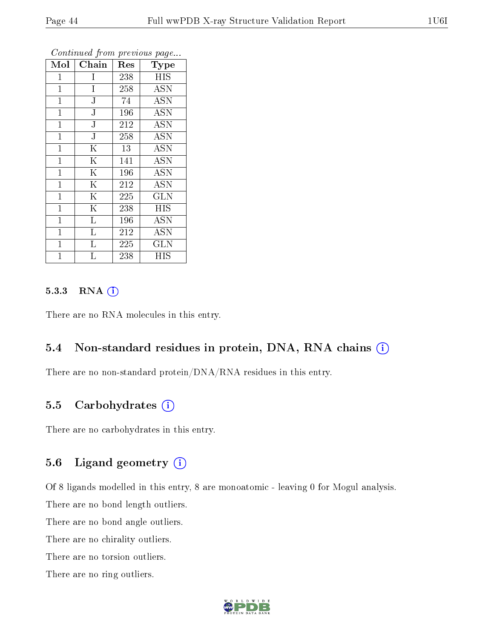| Mol          | Chain                   | Res | Type                 |
|--------------|-------------------------|-----|----------------------|
| $\mathbf{1}$ | I                       | 238 | <b>HIS</b>           |
| $\mathbf 1$  | I                       | 258 | <b>ASN</b>           |
| $\mathbf{1}$ | $\overline{\text{J}}$   | 74  | $\overline{ASN}$     |
| $\mathbf{1}$ | ${\bf J}$               | 196 | <b>ASN</b>           |
| $\mathbf 1$  | $\overline{\rm J}$      | 212 | <b>ASN</b>           |
| $\mathbf{1}$ | ${\bf J}$               | 258 | <b>ASN</b>           |
| $\mathbf{1}$ | $\overline{\mathrm{K}}$ | 13  | <b>ASN</b>           |
| $\mathbf 1$  | $\overline{\mathrm{K}}$ | 141 | <b>ASN</b>           |
| $\mathbf{1}$ | $\overline{\mathrm{K}}$ | 196 | <b>ASN</b>           |
| $\mathbf 1$  | $\overline{\rm K}$      | 212 | <b>ASN</b>           |
| $\mathbf{1}$ | $\overline{\mathrm{K}}$ | 225 | <b>GLN</b>           |
| $\mathbf{1}$ | $\overline{\mathrm{K}}$ | 238 | <b>HIS</b>           |
| $\mathbf 1$  | $\rm L$                 | 196 | <b>ASN</b>           |
| $\mathbf{1}$ | $\overline{\mathrm{L}}$ | 212 | <b>ASN</b>           |
| $\mathbf 1$  | $\overline{\text{L}}$   | 225 | $\overline{\rm GLN}$ |
| 1            | L                       | 238 | НIS                  |

### 5.3.3 RNA [O](https://www.wwpdb.org/validation/2017/XrayValidationReportHelp#rna)i

There are no RNA molecules in this entry.

### 5.4 Non-standard residues in protein, DNA, RNA chains (i)

There are no non-standard protein/DNA/RNA residues in this entry.

### 5.5 Carbohydrates (i)

There are no carbohydrates in this entry.

### 5.6 Ligand geometry (i)

Of 8 ligands modelled in this entry, 8 are monoatomic - leaving 0 for Mogul analysis. There are no bond length outliers.

There are no bond angle outliers.

There are no chirality outliers.

There are no torsion outliers.

There are no ring outliers.

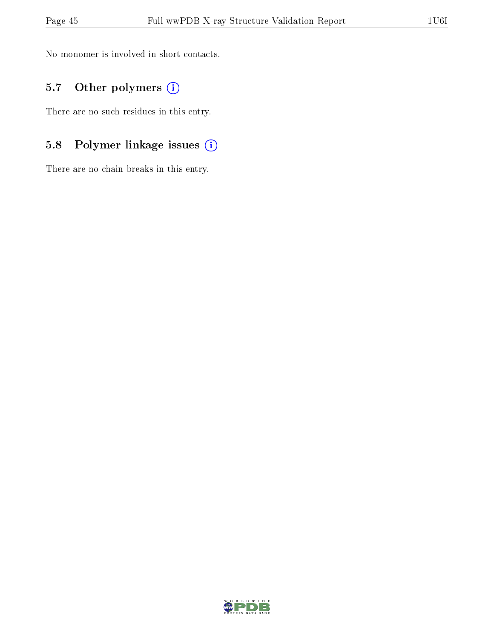No monomer is involved in short contacts.

## 5.7 [O](https://www.wwpdb.org/validation/2017/XrayValidationReportHelp#nonstandard_residues_and_ligands)ther polymers (i)

There are no such residues in this entry.

# 5.8 Polymer linkage issues (i)

There are no chain breaks in this entry.

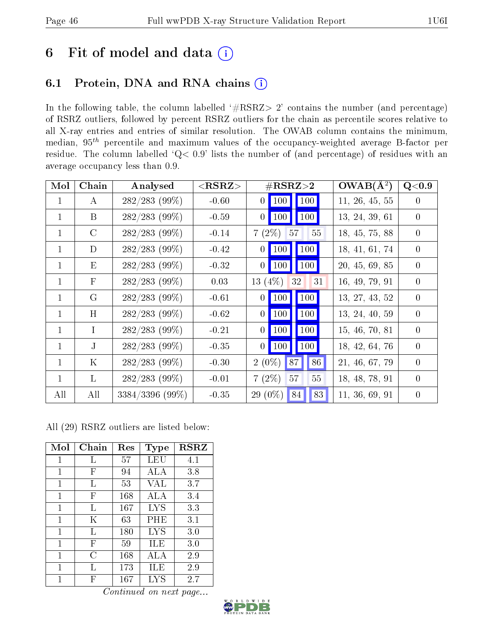# 6 Fit of model and data  $(i)$

# 6.1 Protein, DNA and RNA chains  $(i)$

In the following table, the column labelled  $#RSRZ> 2'$  contains the number (and percentage) of RSRZ outliers, followed by percent RSRZ outliers for the chain as percentile scores relative to all X-ray entries and entries of similar resolution. The OWAB column contains the minimum, median,  $95<sup>th</sup>$  percentile and maximum values of the occupancy-weighted average B-factor per residue. The column labelled ' $Q< 0.9$ ' lists the number of (and percentage) of residues with an average occupancy less than 0.9.

| Mol          | Chain         | Analysed         | ${ <\hspace{-1.5pt}{\mathrm{RSRZ}} \hspace{-1.5pt}>}$ | $\#\text{RSRZ}\text{>2}$                            | $\overline{\text{OWAB}}(\AA^2)$ | Q<0.9          |
|--------------|---------------|------------------|-------------------------------------------------------|-----------------------------------------------------|---------------------------------|----------------|
| $\mathbf{1}$ | $\bf{A}$      | $282/283$ (99%)  | $-0.60$                                               | 100<br>$\vert$ 100 $\vert$<br>$\overline{0}$        | 11, 26, 45, 55                  | $\overline{0}$ |
| $\mathbf{1}$ | B             | $282/283$ (99%)  | $-0.59$                                               | $0$   100<br>100                                    | 13, 24, 39, 61                  | $\theta$       |
| $\mathbf 1$  | $\mathcal{C}$ | $282/283$ (99%)  | $-0.14$                                               | $55\,$<br>$7(2\%)$<br>57                            | 18, 45, 75, 88                  | $\overline{0}$ |
| $\mathbf 1$  | D             | $282/283$ (99%)  | $-0.42$                                               | 100<br>$\vert$ 100 $\vert$<br>$\vert 0 \vert \vert$ | 18, 41, 61, 74                  | $\overline{0}$ |
| $\mathbf{1}$ | E             | $282/283$ (99%)  | $-0.32$                                               | $0$ 100<br>100                                      | 20, 45, 69, 85                  | $\theta$       |
| $\mathbf{1}$ | $\mathbf{F}$  | $282/283$ (99\%) | 0.03                                                  | 13 $(4%)$<br>32<br>31                               | 16, 49, 79, 91                  | $\overline{0}$ |
| $\mathbf 1$  | G             | $282/283$ (99%)  | $-0.61$                                               | $0$   100   100                                     | 13, 27, 43, 52                  | $\overline{0}$ |
| $\mathbf{1}$ | H             | $282/283$ (99\%) | $-0.62$                                               | $0$   100  <br>100                                  | 13, 24, 40, 59                  | $\theta$       |
| $\mathbf{1}$ | $\mathbf{I}$  | $282/283$ (99%)  | $-0.21$                                               | $0$   100  <br>100                                  | 15, 46, 70, 81                  | $\overline{0}$ |
| $\mathbf 1$  | $\mathbf{J}$  | $282/283$ (99%)  | $-0.35$                                               | $0$   100<br>100                                    | 18, 42, 64, 76                  | $\theta$       |
| $\mathbf{1}$ | $\rm K$       | $282/283$ (99%)  | $-0.30$                                               | $2(0\%)$<br>86<br>87                                | 21, 46, 67, 79                  | $\overline{0}$ |
| $\mathbf{1}$ | $\mathbf{L}$  | $282/283$ (99%)  | $-0.01$                                               | $7(2\%)$<br>57<br>55                                | 18, 48, 78, 91                  | $\Omega$       |
| All          | All           | 3384/3396 (99%)  | $-0.35$                                               | 83<br>$29(0\%)$<br>84                               | 11, 36, 69, 91                  | $\overline{0}$ |

All (29) RSRZ outliers are listed below:

| Mol         | $Chain$                   | Res | Type       | $_{\rm RSRZ}$ |
|-------------|---------------------------|-----|------------|---------------|
| 1           | L                         | 57  | LEU        | 4.1           |
| 1           | F                         | 94  | ALA        | 3.8           |
| 1           | L                         | 53  | VAL        | 3.7           |
| 1           | F                         | 168 | ALA        | 3.4           |
| 1           | L                         | 167 | <b>LYS</b> | 3.3           |
| 1           | Κ                         | 63  | PHE        | 3.1           |
| $\mathbf 1$ | L                         | 180 | <b>LYS</b> | 3.0           |
| 1           | $\boldsymbol{\mathrm{F}}$ | 59  | ILE        | 3.0           |
| 1           | С                         | 168 | ALA        | 2.9           |
| 1           | Τ,                        | 173 | ILE        | 2.9           |
| 1           | F                         | 167 | LYS        | 2.7           |

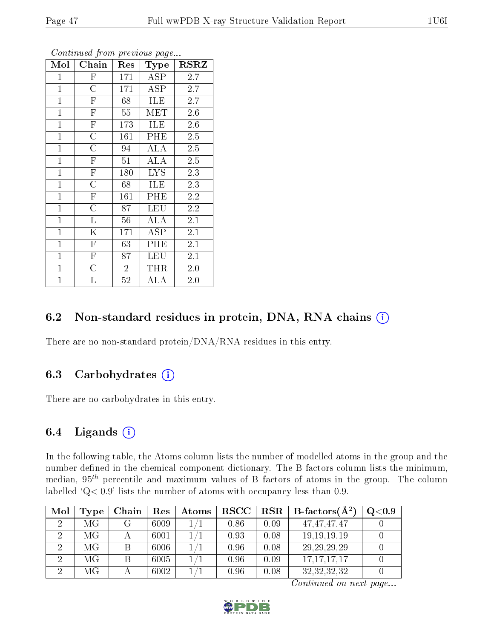| Mol            | Chain                   | Res            | Type       | <b>RSRZ</b> |
|----------------|-------------------------|----------------|------------|-------------|
| $\mathbf 1$    | ${\rm F}$               | 171            | ASP        | 2.7         |
| $\mathbf{1}$   | $\overline{\rm C}$      | 171            | ASP        | 2.7         |
| $\overline{1}$ | $\overline{\mathrm{F}}$ | 68             | ILE        | 2.7         |
| $\overline{1}$ | $\overline{\mathrm{F}}$ | 55             | MET        | 2.6         |
| $\overline{1}$ | $\overline{\mathrm{F}}$ | 173            | ILE        | 2.6         |
| $\overline{1}$ | $\overline{\rm C}$      | 161            | PHE        | 2.5         |
| $\overline{1}$ | $\overline{\rm C}$      | 94             | ALA        | 2.5         |
| $\mathbf{1}$   | $\overline{\mathrm{F}}$ | 51             | ALA        | 2.5         |
| $\mathbf{1}$   | $\overline{\mathrm{F}}$ | 180            | <b>LYS</b> | 2.3         |
| $\mathbf{1}$   | $\overline{\rm C}$      | 68             | ILE        | 2.3         |
| $\mathbf{1}$   | ${\bf F}$               | 161            | PHE        | 2.2         |
| $\mathbf{1}$   | $\overline{\rm C}$      | 87             | LEU        | 2.2         |
| $\mathbf{1}$   | L                       | 56             | ALA        | 2.1         |
| $\mathbf{1}$   | $\mathbf K$             | 171            | ASP        | 2.1         |
| $\mathbf{1}$   | $\overline{F}$          | 63             | PHE        | 2.1         |
| $\mathbf{1}$   | $\mathbf F$             | 87             | <b>LEU</b> | 2.1         |
| $\mathbf{1}$   | $\mathcal C$            | $\overline{2}$ | THR        | 2.0         |
| $\mathbf{1}$   | L                       | 52             | ALA        | 2.0         |

### 6.2 Non-standard residues in protein, DNA, RNA chains (i)

There are no non-standard protein/DNA/RNA residues in this entry.

### 6.3 Carbohydrates  $(i)$

There are no carbohydrates in this entry.

### 6.4 Ligands  $(i)$

In the following table, the Atoms column lists the number of modelled atoms in the group and the number defined in the chemical component dictionary. The B-factors column lists the minimum, median,  $95<sup>th</sup>$  percentile and maximum values of B factors of atoms in the group. The column labelled  $Q < 0.9$ ' lists the number of atoms with occupancy less than 0.9.

| Mol | 'Type | Chain | Res  | Atoms | $_{\rm RSCC}$ |      | $\mid$ $\text{RSR} \mid$ $\text{B-factors}(\text{A}^2)$ | $\mathrm{Q}{<}0.9$ |
|-----|-------|-------|------|-------|---------------|------|---------------------------------------------------------|--------------------|
|     | МG    |       | 6009 |       | 0.86          | 0.09 | 47.47.47.47                                             |                    |
|     | МG    |       | 6001 |       | 0.93          | 0.08 | 19, 19, 19, 19                                          |                    |
|     | МG    |       | 6006 |       | 0.96          | 0.08 | 29, 29, 29, 29                                          |                    |
|     | МG    |       | 6005 |       | 0.96          | 0.09 | 17, 17, 17, 17                                          |                    |
|     | МG    |       | 6002 |       | 0.96          | 0.08 | 32, 32, 32, 32                                          |                    |